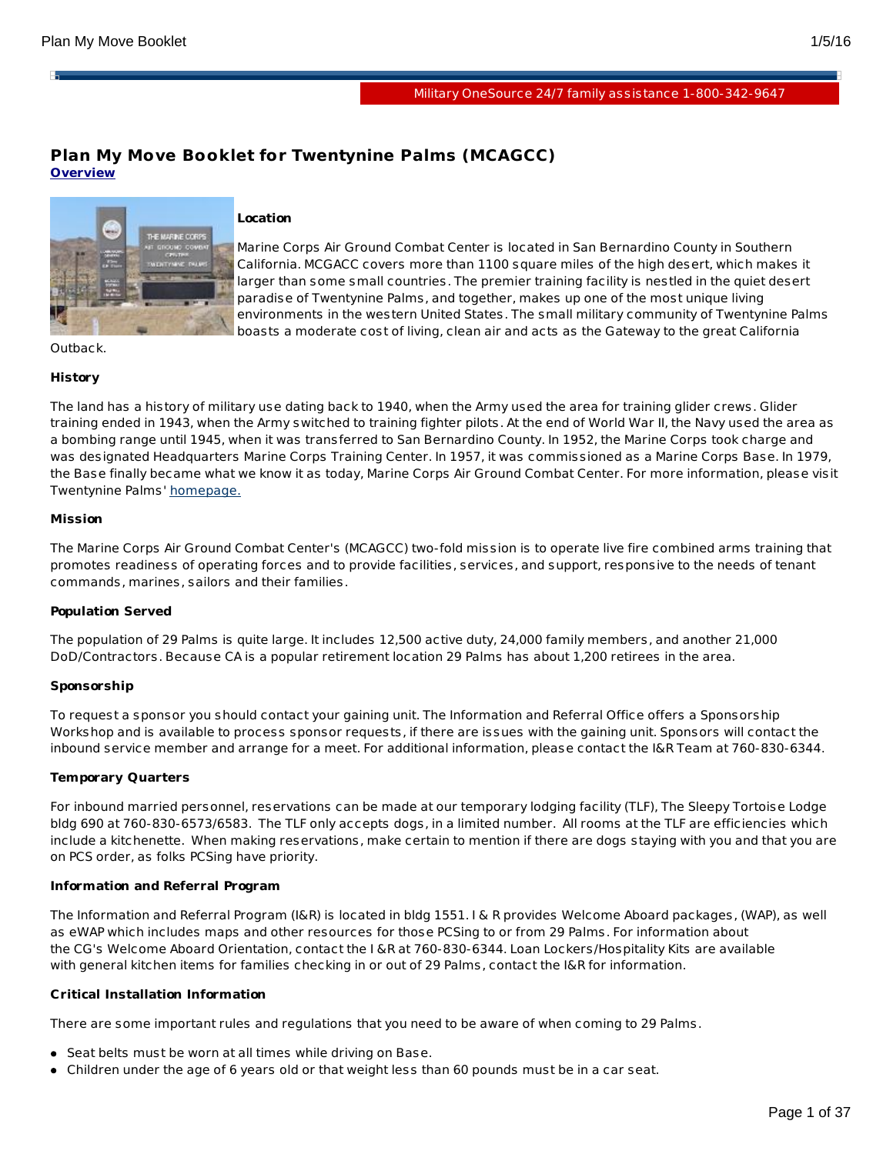н

# **Plan My Move Booklet for Twentynine Palms (MCAGCC) Overview**



# **Location**

Marine Corps Air Ground Combat Center is located in San Bernardino County in Southern California. MCGACC covers more than 1100 square miles of the high desert, which makes it larger than some small countries. The premier training facility is nestled in the quiet desert paradise of Twentynine Palms, and together, makes up one of the most unique living environments in the western United States. The small military community of Twentynine Palms boasts a moderate cost of living, clean air and acts as the Gateway to the great California

Outback.

# **History**

The land has a history of military use dating back to 1940, when the Army used the area for training glider crews. Glider training ended in 1943, when the Army switched to training fighter pilots. At the end of World War II, the Navy used the area as a bombing range until 1945, when it was transferred to San Bernardino County. In 1952, the Marine Corps took charge and was designated Headquarters Marine Corps Training Center. In 1957, it was commissioned as a Marine Corps Base. In 1979, the Base finally became what we know it as today, Marine Corps Air Ground Combat Center. For more information, please visit Twentynine Palms' [homepage.](http://www.29palms.usmc.mil/)

#### **Mission**

The Marine Corps Air Ground Combat Center's (MCAGCC) two-fold mission is to operate live fire combined arms training that promotes readiness of operating forces and to provide facilities, services, and support, responsive to the needs of tenant commands, marines, sailors and their families.

#### **Population Served**

The population of 29 Palms is quite large. It includes 12,500 active duty, 24,000 family members, and another 21,000 DoD/Contractors. Because CA is a popular retirement location 29 Palms has about 1,200 retirees in the area.

#### **Sponsorship**

To request a sponsor you should contact your gaining unit. The Information and Referral Office offers a Sponsorship Workshop and is available to process sponsor requests, if there are issues with the gaining unit. Sponsors will contact the inbound service member and arrange for a meet. For additional information, please contact the I&R Team at 760-830-6344.

#### **Temporary Quarters**

For inbound married personnel, reservations can be made at our temporary lodging facility (TLF), The Sleepy Tortoise Lodge bldg 690 at 760-830-6573/6583. The TLF only accepts dogs, in a limited number. All rooms at the TLF are efficiencies which include a kitchenette. When making reservations, make certain to mention if there are dogs staying with you and that you are on PCS order, as folks PCSing have priority.

#### **Information and Referral Program**

The Information and Referral Program (I&R) is located in bldg 1551. I & R provides Welcome Aboard packages, (WAP), as well as eWAP which includes maps and other resources for those PCSing to or from 29 Palms. For information about the CG's Welcome Aboard Orientation, contact the I &R at 760-830-6344. Loan Lockers/Hospitality Kits are available with general kitchen items for families checking in or out of 29 Palms, contact the I&R for information.

#### **Critical Installation Information**

There are some important rules and regulations that you need to be aware of when coming to 29 Palms.

- Seat belts must be worn at all times while driving on Base.
- Children under the age of 6 years old or that weight less than 60 pounds must be in a car seat.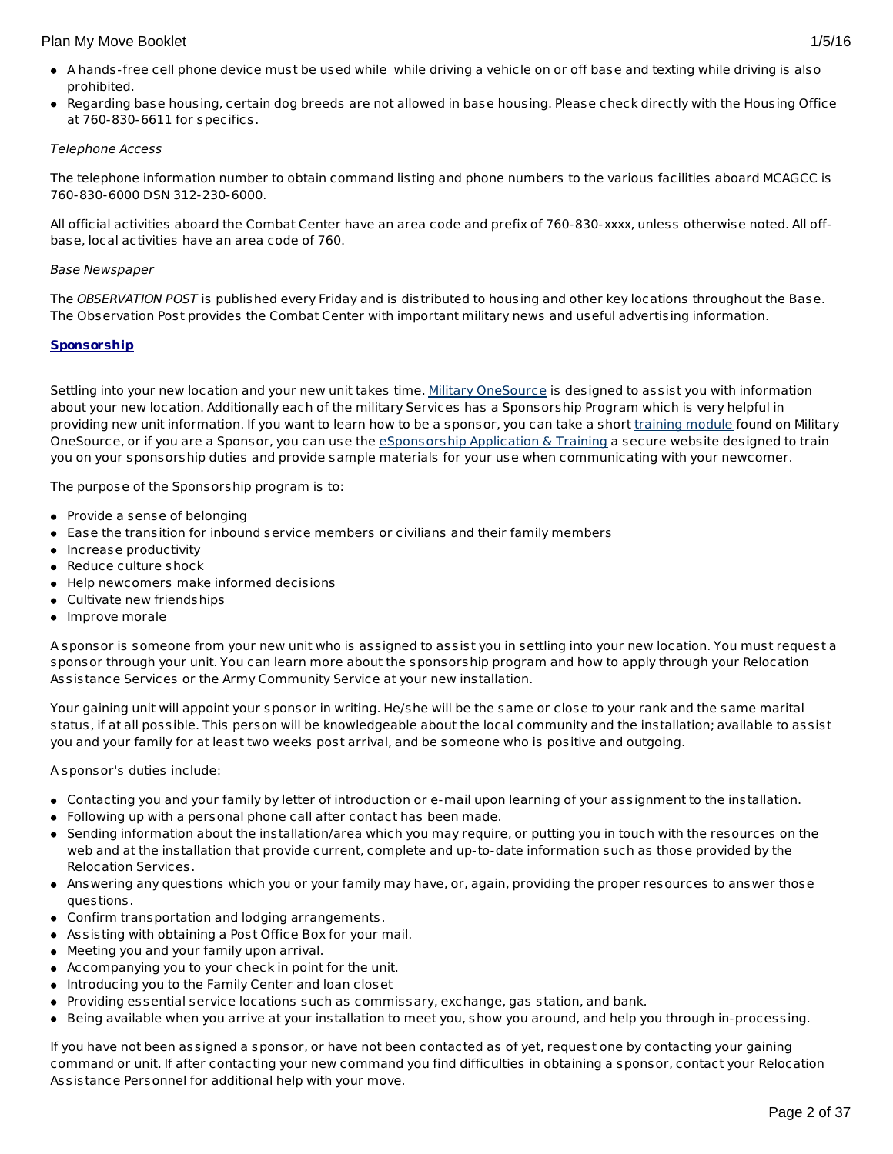- A hands-free cell phone device must be used while while driving a vehicle on or off base and texting while driving is also prohibited.
- Regarding base housing, certain dog breeds are not allowed in base housing. Please check directly with the Housing Office at 760-830-6611 for specifics.

## Telephone Access

The telephone information number to obtain command listing and phone numbers to the various facilities aboard MCAGCC is 760-830-6000 DSN 312-230-6000.

All official activities aboard the Combat Center have an area code and prefix of 760-830-xxxx, unless otherwise noted. All offbase, local activities have an area code of 760.

## Base Newspaper

The OBSERVATION POST is published every Friday and is distributed to housing and other key locations throughout the Base. The Observation Post provides the Combat Center with important military news and useful advertising information.

# **Sponsorship**

Settling into your new location and your new unit takes time. Military [OneSource](http://www.militaryonesource.mil/) is designed to assist you with information about your new location. Additionally each of the military Services has a Sponsorship Program which is very helpful in providing new unit information. If you want to learn how to be a sponsor, you can take a short [training](http://apps.militaryonesource.mil/MOS/f?p=ESAT:WELCOMEP) module found on Military OneSource, or if you are a Sponsor, you can use the [eSponsorship](http://apps.militaryonesource.mil/esat) Application & Training a secure website designed to train you on your sponsorship duties and provide sample materials for your use when communicating with your newcomer.

The purpose of the Sponsorship program is to:

- Provide a sense of belonging
- Ease the transition for inbound service members or civilians and their family members
- Increase productivity
- Reduce culture shock
- Help newcomers make informed decisions
- Cultivate new friendships
- Improve morale

A sponsor is someone from your new unit who is assigned to assist you in settling into your new location. You must request a sponsor through your unit. You can learn more about the sponsorship program and how to apply through your Relocation Assistance Services or the Army Community Service at your new installation.

Your gaining unit will appoint your sponsor in writing. He/she will be the same or close to your rank and the same marital status, if at all possible. This person will be knowledgeable about the local community and the installation; available to assist you and your family for at least two weeks post arrival, and be someone who is positive and outgoing.

A sponsor's duties include:

- Contacting you and your family by letter of introduction or e-mail upon learning of your assignment to the installation.
- Following up with a personal phone call after contact has been made.
- Sending information about the installation/area which you may require, or putting you in touch with the resources on the web and at the installation that provide current, complete and up-to-date information such as those provided by the Relocation Services.
- Answering any questions which you or your family may have, or, again, providing the proper resources to answer those questions.
- Confirm transportation and lodging arrangements.
- Assisting with obtaining a Post Office Box for your mail.
- Meeting you and your family upon arrival.
- Accompanying you to your check in point for the unit.
- Introducing you to the Family Center and loan closet
- Providing essential service locations such as commissary, exchange, gas station, and bank.
- Being available when you arrive at your installation to meet you, show you around, and help you through in-processing.

If you have not been assigned a sponsor, or have not been contacted as of yet, request one by contacting your gaining command or unit. If after contacting your new command you find difficulties in obtaining a sponsor, contact your Relocation Assistance Personnel for additional help with your move.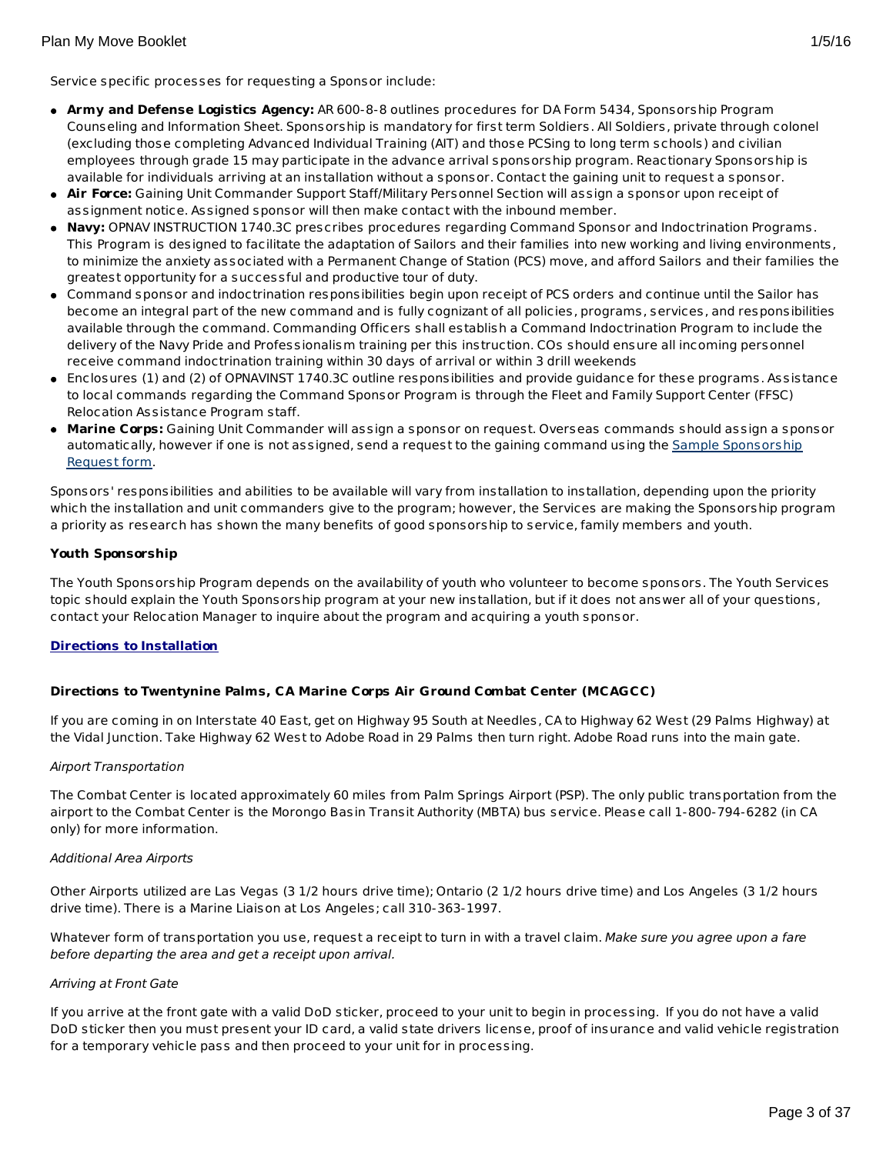- **Army and Defense Logistics Agency:** AR 600-8-8 outlines procedures for DA Form 5434, Sponsorship Program Counseling and Information Sheet. Sponsorship is mandatory for first term Soldiers. All Soldiers, private through colonel (excluding those completing Advanced Individual Training (AIT) and those PCSing to long term schools) and civilian employees through grade 15 may participate in the advance arrival sponsorship program. Reactionary Sponsorship is available for individuals arriving at an installation without a sponsor. Contact the gaining unit to request a sponsor.
- **Air Force:** Gaining Unit Commander Support Staff/Military Personnel Section will assign a sponsor upon receipt of assignment notice. Assigned sponsor will then make contact with the inbound member.
- **Navy:** OPNAV INSTRUCTION 1740.3C prescribes procedures regarding Command Sponsor and Indoctrination Programs. This Program is designed to facilitate the adaptation of Sailors and their families into new working and living environments, to minimize the anxiety associated with a Permanent Change of Station (PCS) move, and afford Sailors and their families the greatest opportunity for a successful and productive tour of duty.
- Command sponsor and indoctrination responsibilities begin upon receipt of PCS orders and continue until the Sailor has become an integral part of the new command and is fully cognizant of all policies, programs, services, and responsibilities available through the command. Commanding Officers shall establish a Command Indoctrination Program to include the delivery of the Navy Pride and Professionalism training per this instruction. COs should ensure all incoming personnel receive command indoctrination training within 30 days of arrival or within 3 drill weekends
- Enclosures (1) and (2) of OPNAVINST 1740.3C outline responsibilities and provide guidance for these programs. Assistance to local commands regarding the Command Sponsor Program is through the Fleet and Family Support Center (FFSC) Relocation Assistance Program staff.
- **Marine Corps:** Gaining Unit Commander will assign a sponsor on request. Overseas commands should assign a sponsor [automatically,](http://www.militaryonesource.mil/12038/MyDoD/Spons Request Form.doc) however if one is not assigned, send a request to the gaining command using the Sample Sponsorship Request form.

Sponsors' responsibilities and abilities to be available will vary from installation to installation, depending upon the priority which the installation and unit commanders give to the program; however, the Services are making the Sponsorship program a priority as research has shown the many benefits of good sponsorship to service, family members and youth.

# **Youth Sponsorship**

The Youth Sponsorship Program depends on the availability of youth who volunteer to become sponsors. The Youth Services topic should explain the Youth Sponsorship program at your new installation, but if it does not answer all of your questions, contact your Relocation Manager to inquire about the program and acquiring a youth sponsor.

# **Directions to Installation**

# **Directions to Twentynine Palms, CA Marine Corps Air Ground Combat Center (MCAGCC)**

If you are coming in on Interstate 40 East, get on Highway 95 South at Needles, CA to Highway 62 West (29 Palms Highway) at the Vidal Junction. Take Highway 62 West to Adobe Road in 29 Palms then turn right. Adobe Road runs into the main gate.

#### Airport Transportation

The Combat Center is located approximately 60 miles from Palm Springs Airport (PSP). The only public transportation from the airport to the Combat Center is the Morongo Basin Transit Authority (MBTA) bus service. Please call 1-800-794-6282 (in CA only) for more information.

#### Additional Area Airports

Other Airports utilized are Las Vegas (3 1/2 hours drive time); Ontario (2 1/2 hours drive time) and Los Angeles (3 1/2 hours drive time). There is a Marine Liaison at Los Angeles; call 310-363-1997.

Whatever form of transportation you use, request a receipt to turn in with a travel claim. Make sure you agree upon a fare before departing the area and get a receipt upon arrival.

#### Arriving at Front Gate

If you arrive at the front gate with a valid DoD sticker, proceed to your unit to begin in processing. If you do not have a valid DoD sticker then you must present your ID card, a valid state drivers license, proof of insurance and valid vehicle registration for a temporary vehicle pass and then proceed to your unit for in processing.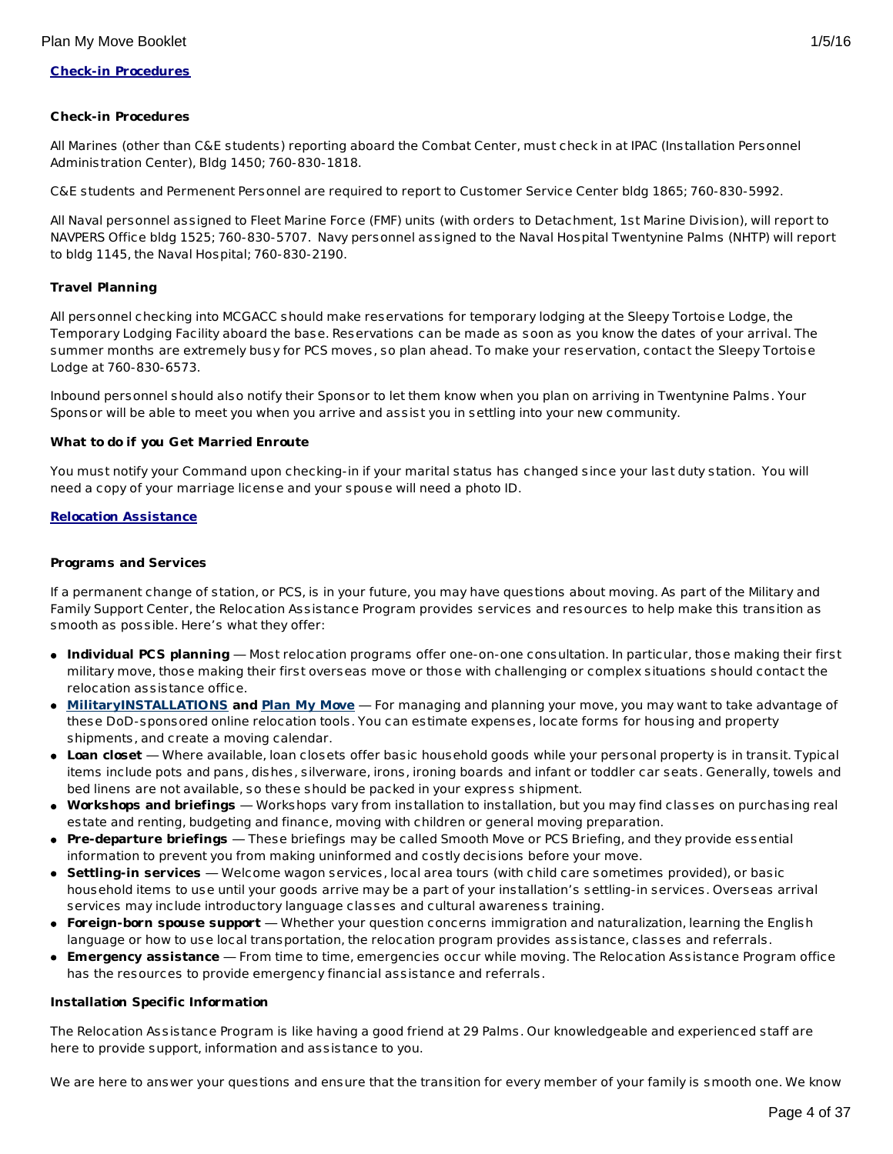## **Check-in Procedures**

All Marines (other than C&E students) reporting aboard the Combat Center, must check in at IPAC (Installation Personnel Administration Center), Bldg 1450; 760-830-1818.

C&E students and Permenent Personnel are required to report to Customer Service Center bldg 1865; 760-830-5992.

All Naval personnel assigned to Fleet Marine Force (FMF) units (with orders to Detachment, 1st Marine Division), will report to NAVPERS Office bldg 1525; 760-830-5707. Navy personnel assigned to the Naval Hospital Twentynine Palms (NHTP) will report to bldg 1145, the Naval Hospital; 760-830-2190.

# **Travel Planning**

All personnel checking into MCGACC should make reservations for temporary lodging at the Sleepy Tortoise Lodge, the Temporary Lodging Facility aboard the base. Reservations can be made as soon as you know the dates of your arrival. The summer months are extremely busy for PCS moves, so plan ahead. To make your reservation, contact the Sleepy Tortoise Lodge at 760-830-6573.

Inbound personnel should also notify their Sponsor to let them know when you plan on arriving in Twentynine Palms. Your Sponsor will be able to meet you when you arrive and assist you in settling into your new community.

#### **What to do if you Get Married Enroute**

You must notify your Command upon checking-in if your marital status has changed since your last duty station. You will need a copy of your marriage license and your spouse will need a photo ID.

## **Relocation Assistance**

#### **Programs and Services**

If a permanent change of station, or PCS, is in your future, you may have questions about moving. As part of the Military and Family Support Center, the Relocation Assistance Program provides services and resources to help make this transition as smooth as possible. Here's what they offer:

- **Individual PCS planning** Most relocation programs offer one-on-one consultation. In particular, those making their first military move, those making their first overseas move or those with challenging or complex situations should contact the relocation assistance office.
- **[MilitaryINSTALLATIONS](http://www.militaryinstallations.dod.mil) and Plan My [Move](http://apps.militaryonesource.mil/MOS/f?p=PMM:ENTRY:0)** For managing and planning your move, you may want to take advantage of these DoD-sponsored online relocation tools. You can estimate expenses, locate forms for housing and property shipments, and create a moving calendar.
- **Loan closet** Where available, loan closets offer basic household goods while your personal property is in transit. Typical items include pots and pans, dishes, silverware, irons, ironing boards and infant or toddler car seats. Generally, towels and bed linens are not available, so these should be packed in your express shipment.
- **Workshops and briefings** Workshops vary from installation to installation, but you may find classes on purchasing real estate and renting, budgeting and finance, moving with children or general moving preparation.
- **Pre-departure briefings** These briefings may be called Smooth Move or PCS Briefing, and they provide essential information to prevent you from making uninformed and costly decisions before your move.
- **Settling-in services** Welcome wagon services, local area tours (with child care sometimes provided), or basic household items to use until your goods arrive may be a part of your installation's settling-in services. Overseas arrival services may include introductory language classes and cultural awareness training.
- **Foreign-born spouse support** Whether your question concerns immigration and naturalization, learning the English language or how to use local transportation, the relocation program provides assistance, classes and referrals.
- **Emergency assistance** From time to time, emergencies occur while moving. The Relocation Assistance Program office has the resources to provide emergency financial assistance and referrals.

#### **Installation Specific Information**

The Relocation Assistance Program is like having a good friend at 29 Palms. Our knowledgeable and experienced staff are here to provide support, information and assistance to you.

We are here to answer your questions and ensure that the transition for every member of your family is smooth one. We know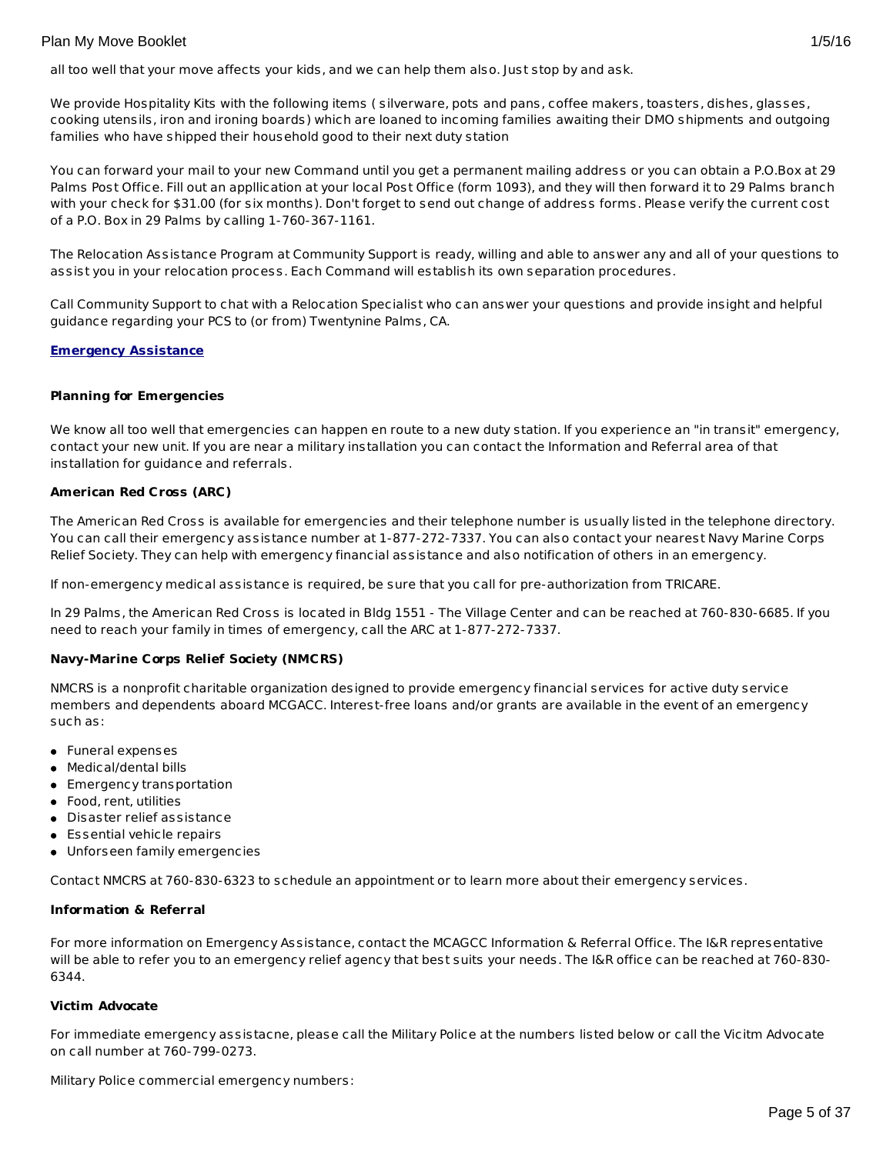all too well that your move affects your kids, and we can help them also. Just stop by and ask.

We provide Hospitality Kits with the following items ( silverware, pots and pans, coffee makers, toasters, dishes, glasses, cooking utensils, iron and ironing boards) which are loaned to incoming families awaiting their DMO shipments and outgoing families who have shipped their household good to their next duty station

You can forward your mail to your new Command until you get a permanent mailing address or you can obtain a P.O.Box at 29 Palms Post Office. Fill out an appllication at your local Post Office (form 1093), and they will then forward it to 29 Palms branch with your check for \$31.00 (for six months). Don't forget to send out change of address forms. Please verify the current cost of a P.O. Box in 29 Palms by calling 1-760-367-1161.

The Relocation Assistance Program at Community Support is ready, willing and able to answer any and all of your questions to assist you in your relocation process. Each Command will establish its own separation procedures.

Call Community Support to chat with a Relocation Specialist who can answer your questions and provide insight and helpful guidance regarding your PCS to (or from) Twentynine Palms, CA.

# **Emergency Assistance**

## **Planning for Emergencies**

We know all too well that emergencies can happen en route to a new duty station. If you experience an "in transit" emergency, contact your new unit. If you are near a military installation you can contact the Information and Referral area of that installation for guidance and referrals.

## **American Red Cross (ARC)**

The American Red Cross is available for emergencies and their telephone number is usually listed in the telephone directory. You can call their emergency assistance number at 1-877-272-7337. You can also contact your nearest Navy Marine Corps Relief Society. They can help with emergency financial assistance and also notification of others in an emergency.

If non-emergency medical assistance is required, be sure that you call for pre-authorization from TRICARE.

In 29 Palms, the American Red Cross is located in Bldg 1551 - The Village Center and can be reached at 760-830-6685. If you need to reach your family in times of emergency, call the ARC at 1-877-272-7337.

# **Navy-Marine Corps Relief Society (NMCRS)**

NMCRS is a nonprofit charitable organization designed to provide emergency financial services for active duty service members and dependents aboard MCGACC. Interest-free loans and/or grants are available in the event of an emergency such as:

- Funeral expenses
- Medical/dental bills
- **Emergency transportation**
- Food, rent, utilities
- Disaster relief assistance
- Essential vehicle repairs
- Unforseen family emergencies

Contact NMCRS at 760-830-6323 to schedule an appointment or to learn more about their emergency services.

#### **Information & Referral**

For more information on Emergency Assistance, contact the MCAGCC Information & Referral Office. The I&R representative will be able to refer you to an emergency relief agency that best suits your needs. The I&R office can be reached at 760-830- 6344.

#### **Victim Advocate**

For immediate emergency assistacne, please call the Military Police at the numbers listed below or call the Vicitm Advocate on call number at 760-799-0273.

Military Police commercial emergency numbers: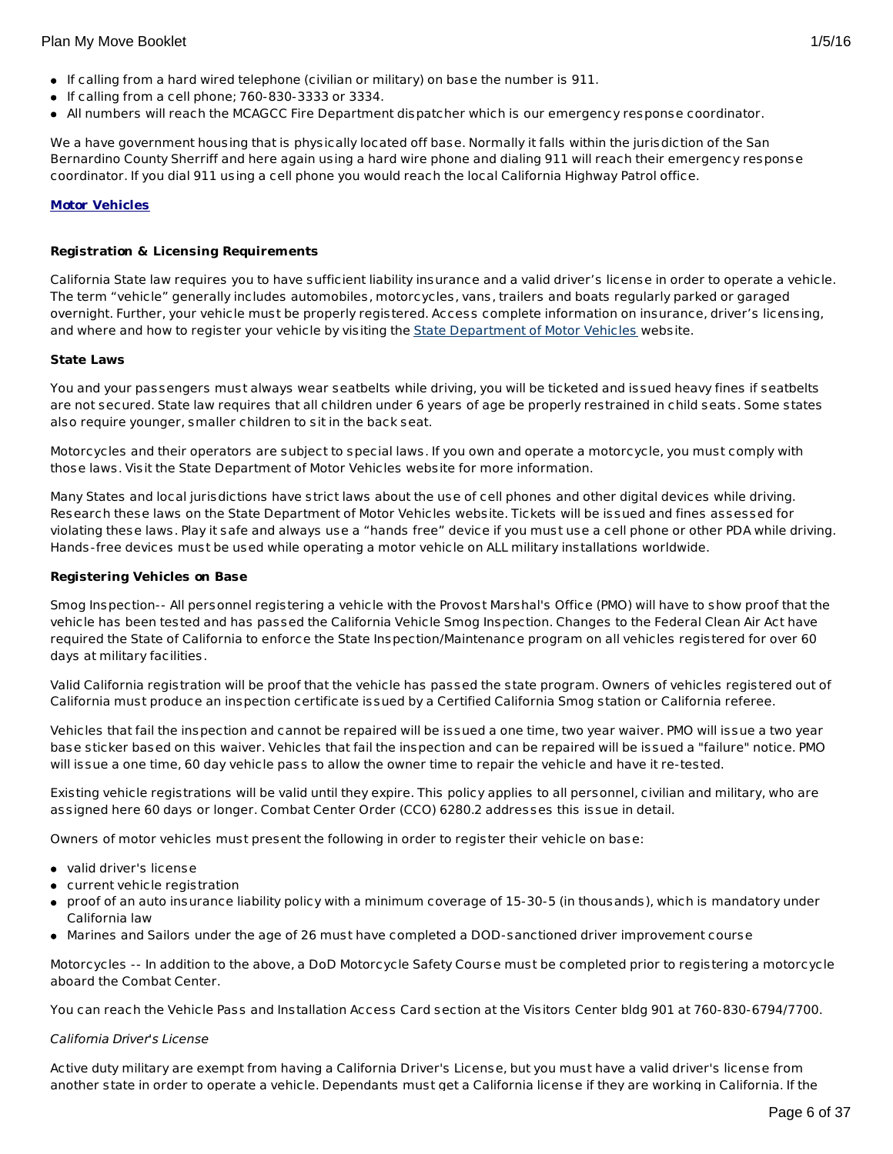- If calling from a hard wired telephone (civilian or military) on base the number is 911.
- $\bullet$  If calling from a cell phone; 760-830-3333 or 3334.
- All numbers will reach the MCAGCC Fire Department dispatcher which is our emergency response coordinator.

We a have government housing that is physically located off base. Normally it falls within the jurisdiction of the San Bernardino County Sherriff and here again using a hard wire phone and dialing 911 will reach their emergency response coordinator. If you dial 911 using a cell phone you would reach the local California Highway Patrol office.

# **Motor Vehicles**

## **Registration & Licensing Requirements**

California State law requires you to have sufficient liability insurance and a valid driver's license in order to operate a vehicle. The term "vehicle" generally includes automobiles, motorcycles, vans, trailers and boats regularly parked or garaged overnight. Further, your vehicle must be properly registered. Access complete information on insurance, driver's licensing, and where and how to register your vehicle by visiting the State [Department](http://www.dmv.ca.gov/) of Motor Vehicles website.

#### **State Laws**

You and your passengers must always wear seatbelts while driving, you will be ticketed and issued heavy fines if seatbelts are not secured. State law requires that all children under 6 years of age be properly restrained in child seats. Some states also require younger, smaller children to sit in the back seat.

Motorcycles and their operators are subject to special laws. If you own and operate a motorcycle, you must comply with those laws. Visit the State Department of Motor Vehicles website for more information.

Many States and local jurisdictions have strict laws about the use of cell phones and other digital devices while driving. Research these laws on the State Department of Motor Vehicles website. Tickets will be issued and fines assessed for violating these laws. Play it safe and always use a "hands free" device if you must use a cell phone or other PDA while driving. Hands-free devices must be used while operating a motor vehicle on ALL military installations worldwide.

#### **Registering Vehicles on Base**

Smog Inspection-- All personnel registering a vehicle with the Provost Marshal's Office (PMO) will have to show proof that the vehicle has been tested and has passed the California Vehicle Smog Inspection. Changes to the Federal Clean Air Act have required the State of California to enforce the State Inspection/Maintenance program on all vehicles registered for over 60 days at military facilities.

Valid California registration will be proof that the vehicle has passed the state program. Owners of vehicles registered out of California must produce an inspection certificate issued by a Certified California Smog station or California referee.

Vehicles that fail the inspection and cannot be repaired will be issued a one time, two year waiver. PMO will issue a two year base sticker based on this waiver. Vehicles that fail the inspection and can be repaired will be issued a "failure" notice. PMO will issue a one time, 60 day vehicle pass to allow the owner time to repair the vehicle and have it re-tested.

Existing vehicle registrations will be valid until they expire. This policy applies to all personnel, civilian and military, who are assigned here 60 days or longer. Combat Center Order (CCO) 6280.2 addresses this issue in detail.

Owners of motor vehicles must present the following in order to register their vehicle on base:

- valid driver's license
- current vehicle registration
- proof of an auto insurance liability policy with a minimum coverage of 15-30-5 (in thousands), which is mandatory under California law
- Marines and Sailors under the age of 26 must have completed a DOD-sanctioned driver improvement course

Motorcycles -- In addition to the above, a DoD Motorcycle Safety Course must be completed prior to registering a motorcycle aboard the Combat Center.

You can reach the Vehicle Pass and Installation Access Card section at the Visitors Center bldg 901 at 760-830-6794/7700.

#### California Driver's License

Active duty military are exempt from having a California Driver's License, but you must have a valid driver's license from another state in order to operate a vehicle. Dependants must get a California license if they are working in California. If the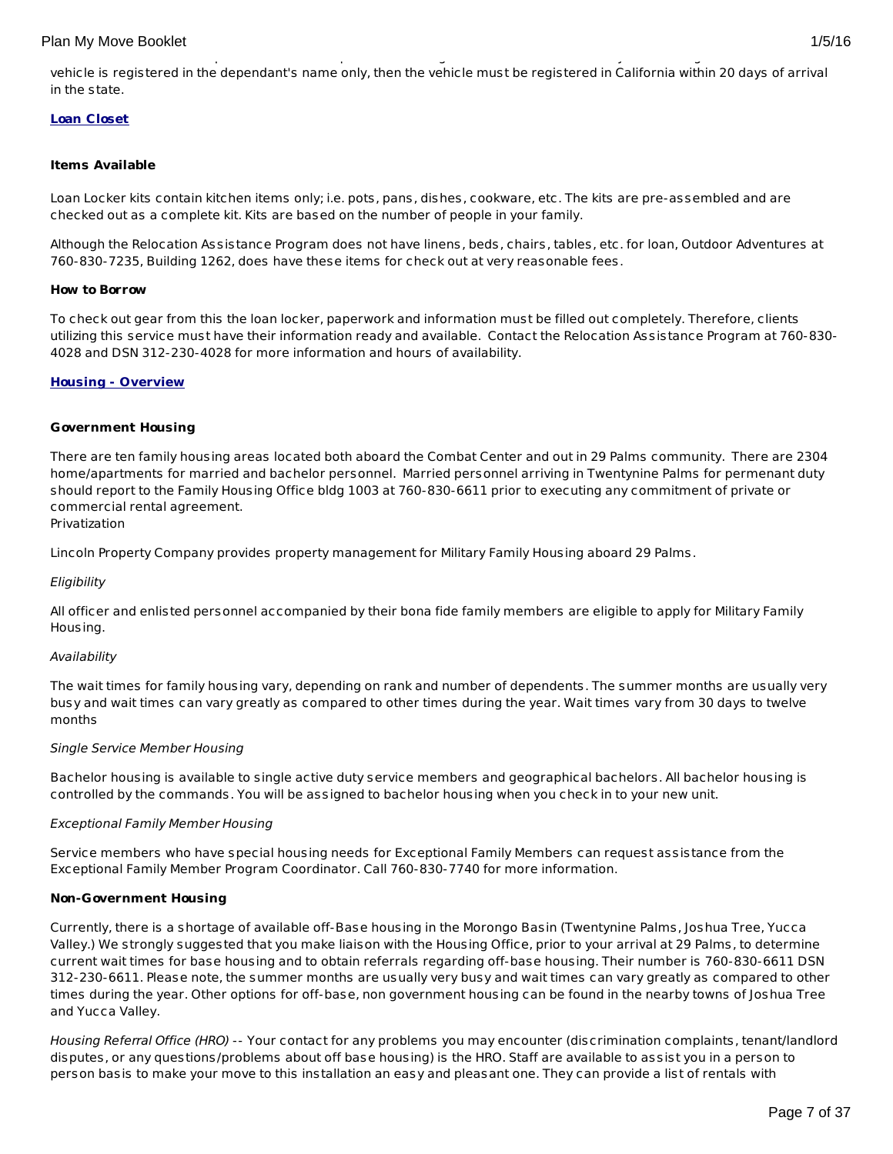## **Loan Closet**

## **Items Available**

Loan Locker kits contain kitchen items only; i.e. pots, pans, dishes, cookware, etc. The kits are pre-assembled and are checked out as a complete kit. Kits are based on the number of people in your family.

Although the Relocation Assistance Program does not have linens, beds, chairs, tables, etc. for loan, Outdoor Adventures at 760-830-7235, Building 1262, does have these items for check out at very reasonable fees.

#### **How to Borrow**

To check out gear from this the loan locker, paperwork and information must be filled out completely. Therefore, clients utilizing this service must have their information ready and available. Contact the Relocation Assistance Program at 760-830- 4028 and DSN 312-230-4028 for more information and hours of availability.

#### **Housing - Overview**

#### **Government Housing**

There are ten family housing areas located both aboard the Combat Center and out in 29 Palms community. There are 2304 home/apartments for married and bachelor personnel. Married personnel arriving in Twentynine Palms for permenant duty should report to the Family Housing Office bldg 1003 at 760-830-6611 prior to executing any commitment of private or commercial rental agreement.

## Privatization

Lincoln Property Company provides property management for Military Family Housing aboard 29 Palms.

#### **Eligibility**

All officer and enlisted personnel accompanied by their bona fide family members are eligible to apply for Military Family Housing.

#### Availability

The wait times for family housing vary, depending on rank and number of dependents. The summer months are usually very busy and wait times can vary greatly as compared to other times during the year. Wait times vary from 30 days to twelve months

#### Single Service Member Housing

Bachelor housing is available to single active duty service members and geographical bachelors. All bachelor housing is controlled by the commands. You will be assigned to bachelor housing when you check in to your new unit.

#### Exceptional Family Member Housing

Service members who have special housing needs for Exceptional Family Members can request assistance from the Exceptional Family Member Program Coordinator. Call 760-830-7740 for more information.

#### **Non-Government Housing**

Currently, there is a shortage of available off-Base housing in the Morongo Basin (Twentynine Palms, Joshua Tree, Yucca Valley.) We strongly suggested that you make liaison with the Housing Office, prior to your arrival at 29 Palms, to determine current wait times for base housing and to obtain referrals regarding off-base housing. Their number is 760-830-6611 DSN 312-230-6611. Please note, the summer months are usually very busy and wait times can vary greatly as compared to other times during the year. Other options for off-base, non government housing can be found in the nearby towns of Joshua Tree and Yucca Valley.

Housing Referral Office (HRO) -- Your contact for any problems you may encounter (discrimination complaints, tenant/landlord disputes, or any questions/problems about off base housing) is the HRO. Staff are available to assist you in a person to person basis to make your move to this installation an easy and pleasant one. They can provide a list of rentals with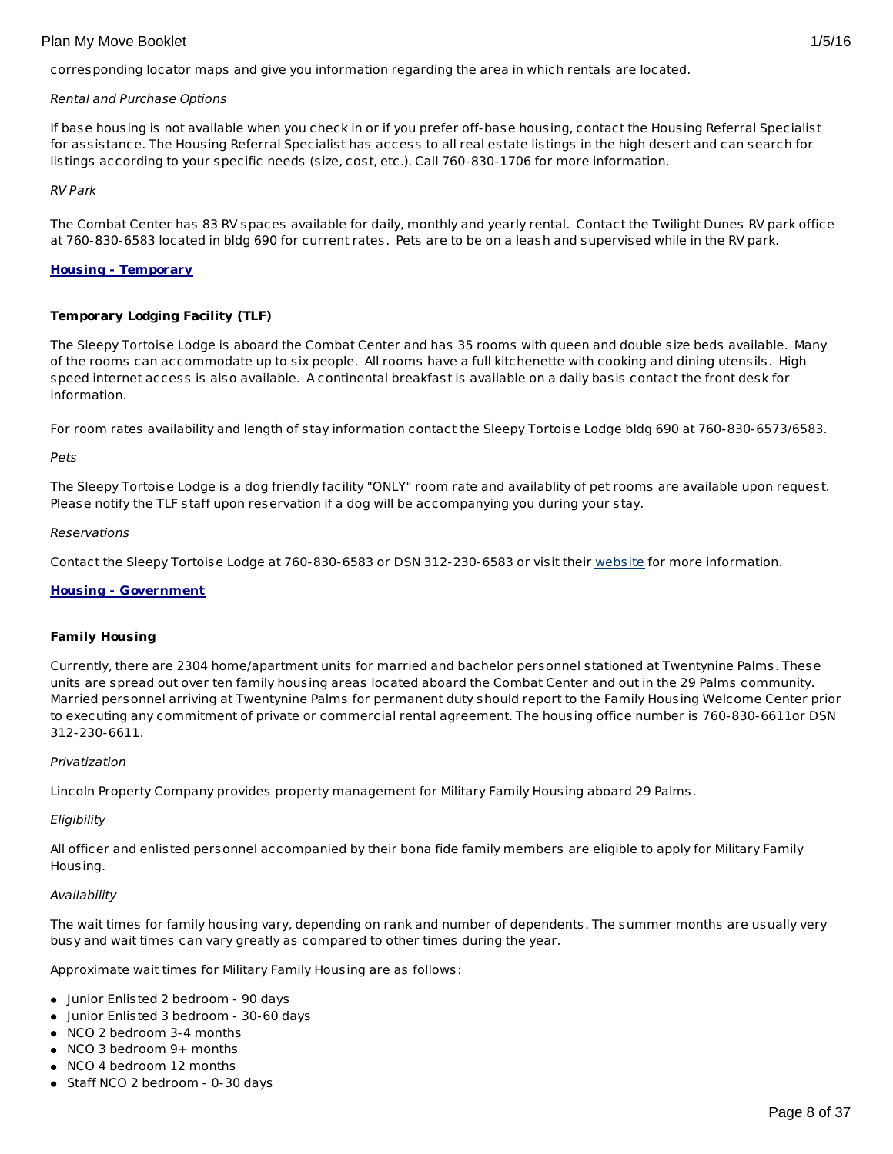corresponding locator maps and give you information regarding the area in which rentals are located.

## Rental and Purchase Options

If base housing is not available when you check in or if you prefer off-base housing, contact the Housing Referral Specialist for assistance. The Housing Referral Specialist has access to all real estate listings in the high desert and can search for listings according to your specific needs (size, cost, etc.). Call 760-830-1706 for more information.

## RV Park

The Combat Center has 83 RV spaces available for daily, monthly and yearly rental. Contact the Twilight Dunes RV park office at 760-830-6583 located in bldg 690 for current rates. Pets are to be on a leash and supervised while in the RV park.

## **Housing - Temporary**

## **Temporary Lodging Facility (TLF)**

The Sleepy Tortoise Lodge is aboard the Combat Center and has 35 rooms with queen and double size beds available. Many of the rooms can accommodate up to six people. All rooms have a full kitchenette with cooking and dining utensils. High speed internet access is also available. A continental breakfast is available on a daily basis contact the front desk for information.

For room rates availability and length of stay information contact the Sleepy Tortoise Lodge bldg 690 at 760-830-6573/6583.

#### Pets

The Sleepy Tortoise Lodge is a dog friendly facility "ONLY" room rate and availablity of pet rooms are available upon request. Please notify the TLF staff upon reservation if a dog will be accompanying you during your stay.

#### **Reservations**

Contact the Sleepy Tortoise Lodge at 760-830-6583 or DSN 312-230-6583 or visit their [website](http://www.mccs29palms.com/) for more information.

#### **Housing - Government**

#### **Family Housing**

Currently, there are 2304 home/apartment units for married and bachelor personnel stationed at Twentynine Palms. These units are spread out over ten family housing areas located aboard the Combat Center and out in the 29 Palms community. Married personnel arriving at Twentynine Palms for permanent duty should report to the Family Housing Welcome Center prior to executing any commitment of private or commercial rental agreement. The housing office number is 760-830-6611or DSN 312-230-6611.

#### Privatization

Lincoln Property Company provides property management for Military Family Housing aboard 29 Palms.

# **Eligibility**

All officer and enlisted personnel accompanied by their bona fide family members are eligible to apply for Military Family Housing.

#### Availability

The wait times for family housing vary, depending on rank and number of dependents. The summer months are usually very busy and wait times can vary greatly as compared to other times during the year.

Approximate wait times for Military Family Housing are as follows:

- Junior Enlisted 2 bedroom 90 days
- Junior Enlisted 3 bedroom 30-60 days
- NCO 2 bedroom 3-4 months
- NCO 3 bedroom 9+ months
- NCO 4 bedroom 12 months
- Staff NCO 2 bedroom 0-30 days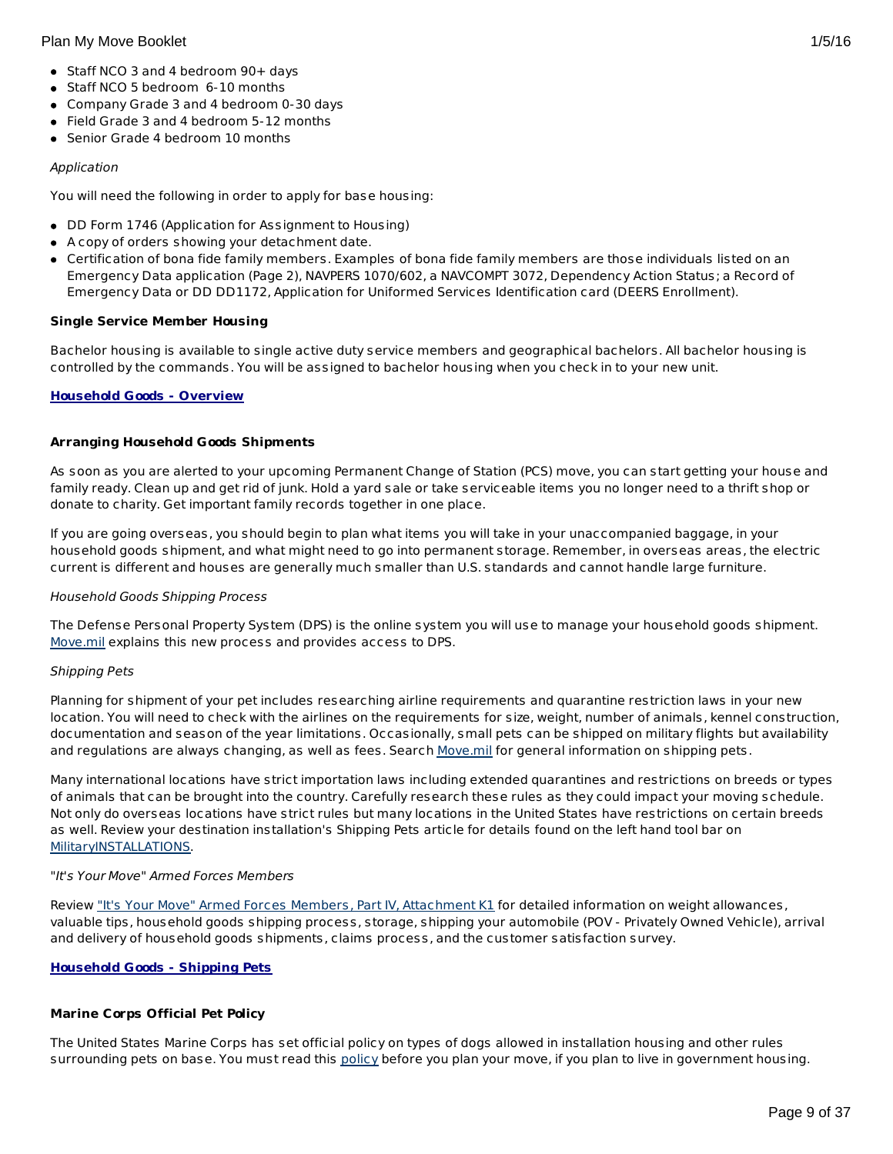- Staff NCO 3 and 4 bedroom 90+ days
- Staff NCO 5 bedroom 6-10 months
- Company Grade 3 and 4 bedroom 0-30 days
- Field Grade 3 and 4 bedroom 5-12 months
- **Senior Grade 4 bedroom 10 months**

# Application

You will need the following in order to apply for base housing:

- DD Form 1746 (Application for Assignment to Housing)
- A copy of orders showing your detachment date.
- Certification of bona fide family members. Examples of bona fide family members are those individuals listed on an Emergency Data application (Page 2), NAVPERS 1070/602, a NAVCOMPT 3072, Dependency Action Status; a Record of Emergency Data or DD DD1172, Application for Uniformed Services Identification card (DEERS Enrollment).

## **Single Service Member Housing**

Bachelor housing is available to single active duty service members and geographical bachelors. All bachelor housing is controlled by the commands. You will be assigned to bachelor housing when you check in to your new unit.

## **Household Goods - Overview**

## **Arranging Household Goods Shipments**

As soon as you are alerted to your upcoming Permanent Change of Station (PCS) move, you can start getting your house and family ready. Clean up and get rid of junk. Hold a yard sale or take serviceable items you no longer need to a thrift shop or donate to charity. Get important family records together in one place.

If you are going overseas, you should begin to plan what items you will take in your unaccompanied baggage, in your household goods shipment, and what might need to go into permanent storage. Remember, in overseas areas, the electric current is different and houses are generally much smaller than U.S. standards and cannot handle large furniture.

#### Household Goods Shipping Process

The Defense Personal Property System (DPS) is the online system you will use to manage your household goods shipment. [Move.mil](http://www.move.mil/) explains this new process and provides access to DPS.

#### Shipping Pets

Planning for shipment of your pet includes researching airline requirements and quarantine restriction laws in your new location. You will need to check with the airlines on the requirements for size, weight, number of animals, kennel construction, documentation and season of the year limitations. Occasionally, small pets can be shipped on military flights but availability and regulations are always changing, as well as fees. Search [Move.mil](http://www.move.mil/dod/travel_information/pets.cfm ) for general information on shipping pets.

Many international locations have strict importation laws including extended quarantines and restrictions on breeds or types of animals that can be brought into the country. Carefully research these rules as they could impact your moving schedule. Not only do overseas locations have strict rules but many locations in the United States have restrictions on certain breeds as well. Review your destination installation's Shipping Pets article for details found on the left hand tool bar on [MilitaryINSTALLATIONS](http://www.militaryinstallations.dod.mil/).

#### "It's Your Move" Armed Forces Members

Review "It's Your Move" Armed Forces Members, Part IV, [Attachment](http://www.transcom.mil/dtr/part-iv/dtr_part_iv_app_k_1.pdf) K1 for detailed information on weight allowances, valuable tips, household goods shipping process, storage, shipping your automobile (POV - Privately Owned Vehicle), arrival and delivery of household goods shipments, claims process, and the customer satisfaction survey.

# **Household Goods - Shipping Pets**

# **Marine Corps Official Pet Policy**

The United States Marine Corps has set official policy on types of dogs allowed in installation housing and other rules surrounding pets on base. You must read this [policy](http://www.militaryonesource.mil/12038/Plan My Move/USMC pet policy 8 09.pdf) before you plan your move, if you plan to live in government housing.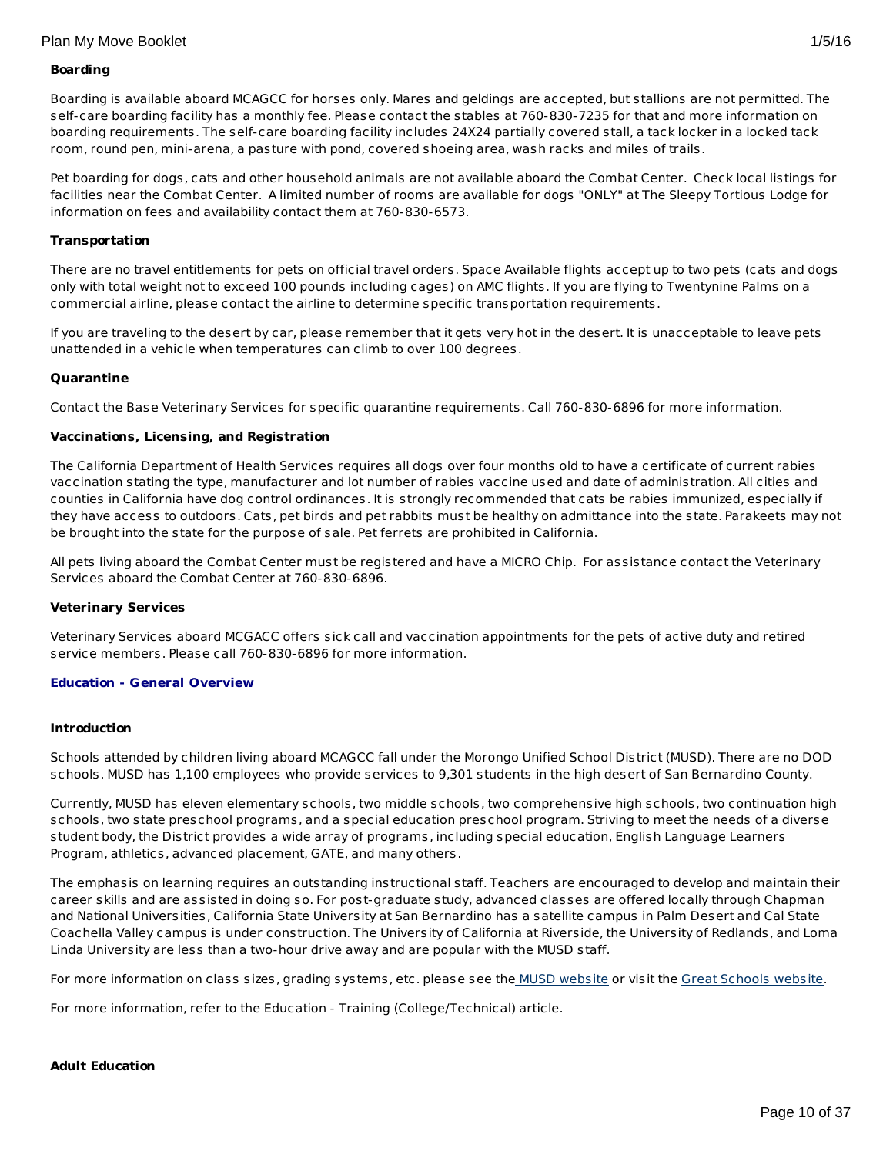# **Boarding**

Boarding is available aboard MCAGCC for horses only. Mares and geldings are accepted, but stallions are not permitted. The self-care boarding facility has a monthly fee. Please contact the stables at 760-830-7235 for that and more information on boarding requirements. The self-care boarding facility includes 24X24 partially covered stall, a tack locker in a locked tack room, round pen, mini-arena, a pasture with pond, covered shoeing area, wash racks and miles of trails.

Pet boarding for dogs, cats and other household animals are not available aboard the Combat Center. Check local listings for facilities near the Combat Center. A limited number of rooms are available for dogs "ONLY" at The Sleepy Tortious Lodge for information on fees and availability contact them at 760-830-6573.

## **Transportation**

There are no travel entitlements for pets on official travel orders. Space Available flights accept up to two pets (cats and dogs only with total weight not to exceed 100 pounds including cages) on AMC flights. If you are flying to Twentynine Palms on a commercial airline, please contact the airline to determine specific transportation requirements.

If you are traveling to the desert by car, please remember that it gets very hot in the desert. It is unacceptable to leave pets unattended in a vehicle when temperatures can climb to over 100 degrees.

## **Quarantine**

Contact the Base Veterinary Services for specific quarantine requirements. Call 760-830-6896 for more information.

## **Vaccinations, Licensing, and Registration**

The California Department of Health Services requires all dogs over four months old to have a certificate of current rabies vaccination stating the type, manufacturer and lot number of rabies vaccine used and date of administration. All cities and counties in California have dog control ordinances. It is strongly recommended that cats be rabies immunized, especially if they have access to outdoors. Cats, pet birds and pet rabbits must be healthy on admittance into the state. Parakeets may not be brought into the state for the purpose of sale. Pet ferrets are prohibited in California.

All pets living aboard the Combat Center must be registered and have a MICRO Chip. For assistance contact the Veterinary Services aboard the Combat Center at 760-830-6896.

#### **Veterinary Services**

Veterinary Services aboard MCGACC offers sick call and vaccination appointments for the pets of active duty and retired service members. Please call 760-830-6896 for more information.

#### **Education - General Overview**

## **Introduction**

Schools attended by children living aboard MCAGCC fall under the Morongo Unified School District (MUSD). There are no DOD schools. MUSD has 1,100 employees who provide services to 9,301 students in the high desert of San Bernardino County.

Currently, MUSD has eleven elementary schools, two middle schools, two comprehensive high schools, two continuation high schools, two state preschool programs, and a special education preschool program. Striving to meet the needs of a diverse student body, the District provides a wide array of programs, including special education, English Language Learners Program, athletics, advanced placement, GATE, and many others.

The emphasis on learning requires an outstanding instructional staff. Teachers are encouraged to develop and maintain their career skills and are assisted in doing so. For post-graduate study, advanced classes are offered locally through Chapman and National Universities, California State University at San Bernardino has a satellite campus in Palm Desert and Cal State Coachella Valley campus is under construction. The University of California at Riverside, the University of Redlands, and Loma Linda University are less than a two-hour drive away and are popular with the MUSD staff.

For more information on class sizes, grading systems, etc. please see the MUSD [website](http://www.morongo.k12.ca.us/) or visit the Great [Schools](http://www.greatschools.net/) website.

For more information, refer to the Education - Training (College/Technical) article.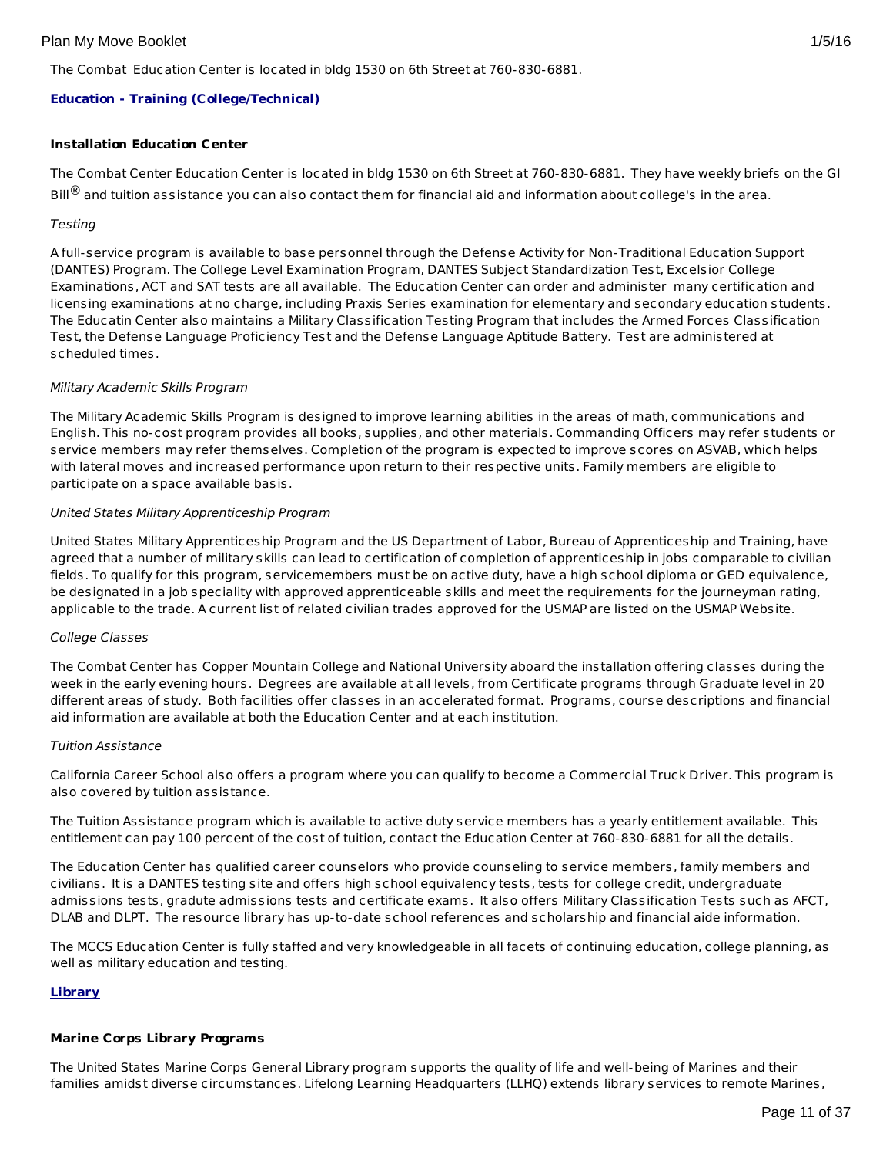The Combat Education Center is located in bldg 1530 on 6th Street at 760-830-6881.

# **Education - Training (College/Technical)**

#### **Installation Education Center**

The Combat Center Education Center is located in bldg 1530 on 6th Street at 760-830-6881. They have weekly briefs on the GI Bill $^{\circledR}$  and tuition assistance you can also contact them for financial aid and information about college's in the area.

#### **Testing**

A full-service program is available to base personnel through the Defense Activity for Non-Traditional Education Support (DANTES) Program. The College Level Examination Program, DANTES Subject Standardization Test, Excelsior College Examinations, ACT and SAT tests are all available. The Education Center can order and administer many certification and licensing examinations at no charge, including Praxis Series examination for elementary and secondary education students. The Educatin Center also maintains a Military Classification Testing Program that includes the Armed Forces Classification Test, the Defense Language Proficiency Test and the Defense Language Aptitude Battery. Test are administered at scheduled times.

#### Military Academic Skills Program

The Military Academic Skills Program is designed to improve learning abilities in the areas of math, communications and English. This no-cost program provides all books, supplies, and other materials. Commanding Officers may refer students or service members may refer themselves. Completion of the program is expected to improve scores on ASVAB, which helps with lateral moves and increased performance upon return to their respective units. Family members are eligible to participate on a space available basis.

#### United States Military Apprenticeship Program

United States Military Apprenticeship Program and the US Department of Labor, Bureau of Apprenticeship and Training, have agreed that a number of military skills can lead to certification of completion of apprenticeship in jobs comparable to civilian fields. To qualify for this program, servicemembers must be on active duty, have a high school diploma or GED equivalence, be designated in a job speciality with approved apprenticeable skills and meet the requirements for the journeyman rating, applicable to the trade. A current list of related civilian trades approved for the USMAP are listed on the USMAP Website.

#### College Classes

The Combat Center has Copper Mountain College and National University aboard the installation offering classes during the week in the early evening hours. Degrees are available at all levels, from Certificate programs through Graduate level in 20 different areas of study. Both facilities offer classes in an accelerated format. Programs, course descriptions and financial aid information are available at both the Education Center and at each institution.

#### Tuition Assistance

California Career School also offers a program where you can qualify to become a Commercial Truck Driver. This program is also covered by tuition assistance.

The Tuition Assistance program which is available to active duty service members has a yearly entitlement available. This entitlement can pay 100 percent of the cost of tuition, contact the Education Center at 760-830-6881 for all the details.

The Education Center has qualified career counselors who provide counseling to service members, family members and civilians. It is a DANTES testing site and offers high school equivalency tests, tests for college credit, undergraduate admissions tests, gradute admissions tests and certificate exams. It also offers Military Classification Tests such as AFCT, DLAB and DLPT. The resource library has up-to-date school references and scholarship and financial aide information.

The MCCS Education Center is fully staffed and very knowledgeable in all facets of continuing education, college planning, as well as military education and testing.

#### **Library**

#### **Marine Corps Library Programs**

The United States Marine Corps General Library program supports the quality of life and well-being of Marines and their families amidst diverse circumstances. Lifelong Learning Headquarters (LLHQ) extends library services to remote Marines,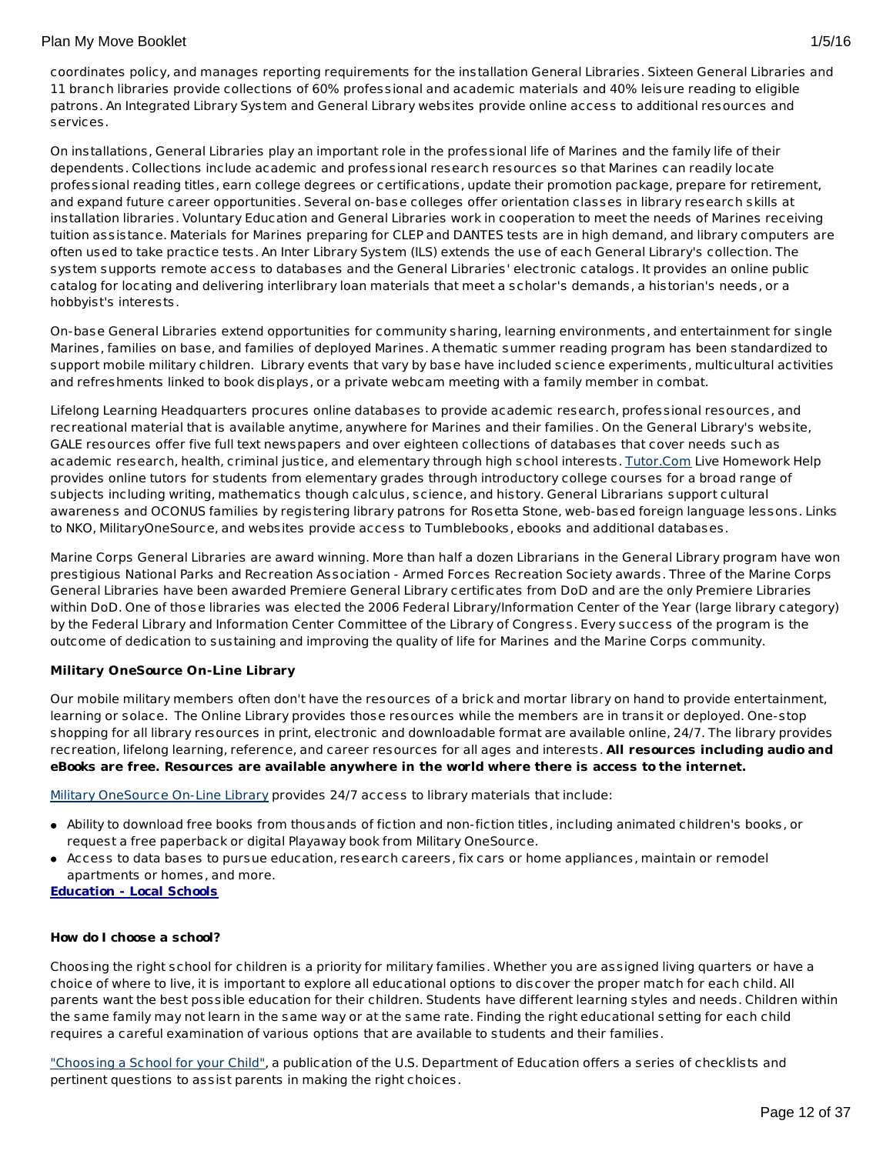coordinates policy, and manages reporting requirements for the installation General Libraries. Sixteen General Libraries and 11 branch libraries provide collections of 60% professional and academic materials and 40% leisure reading to eligible patrons. An Integrated Library System and General Library websites provide online access to additional resources and services.

On installations, General Libraries play an important role in the professional life of Marines and the family life of their dependents. Collections include academic and professional research resources so that Marines can readily locate professional reading titles, earn college degrees or certifications, update their promotion package, prepare for retirement, and expand future career opportunities. Several on-base colleges offer orientation classes in library research skills at installation libraries. Voluntary Education and General Libraries work in cooperation to meet the needs of Marines receiving tuition assistance. Materials for Marines preparing for CLEP and DANTES tests are in high demand, and library computers are often used to take practice tests. An Inter Library System (ILS) extends the use of each General Library's collection. The system supports remote access to databases and the General Libraries' electronic catalogs. It provides an online public catalog for locating and delivering interlibrary loan materials that meet a scholar's demands, a historian's needs, or a hobbyist's interests.

On-base General Libraries extend opportunities for community sharing, learning environments, and entertainment for single Marines, families on base, and families of deployed Marines. A thematic summer reading program has been standardized to support mobile military children. Library events that vary by base have included science experiments, multicultural activities and refreshments linked to book displays, or a private webcam meeting with a family member in combat.

Lifelong Learning Headquarters procures online databases to provide academic research, professional resources, and recreational material that is available anytime, anywhere for Marines and their families. On the General Library's website, GALE resources offer five full text newspapers and over eighteen collections of databases that cover needs such as academic research, health, criminal justice, and elementary through high school interests. [Tutor.Com](http://www.tutor.com/military) Live Homework Help provides online tutors for students from elementary grades through introductory college courses for a broad range of subjects including writing, mathematics though calculus, science, and history. General Librarians support cultural awareness and OCONUS families by registering library patrons for Rosetta Stone, web-based foreign language lessons. Links to NKO, MilitaryOneSource, and websites provide access to Tumblebooks, ebooks and additional databases.

Marine Corps General Libraries are award winning. More than half a dozen Librarians in the General Library program have won prestigious National Parks and Recreation Association - Armed Forces Recreation Society awards. Three of the Marine Corps General Libraries have been awarded Premiere General Library certificates from DoD and are the only Premiere Libraries within DoD. One of those libraries was elected the 2006 Federal Library/Information Center of the Year (large library category) by the Federal Library and Information Center Committee of the Library of Congress. Every success of the program is the outcome of dedication to sustaining and improving the quality of life for Marines and the Marine Corps community.

# **Military OneSource On-Line Library**

Our mobile military members often don't have the resources of a brick and mortar library on hand to provide entertainment, learning or solace. The Online Library provides those resources while the members are in transit or deployed. One-stop shopping for all library resources in print, electronic and downloadable format are available online, 24/7. The library provides recreation, lifelong learning, reference, and career resources for all ages and interests. **All resources including audio and eBooks are free. Resources are available anywhere in the world where there is access to the internet.**

Military [OneSource](http://www.militaryonesource.mil) On-Line Library provides 24/7 access to library materials that include:

- Ability to download free books from thousands of fiction and non-fiction titles, including animated children's books, or request a free paperback or digital Playaway book from Military OneSource.
- Access to data bases to pursue education, research careers, fix cars or home appliances, maintain or remodel apartments or homes, and more.

#### **Education - Local Schools**

#### **How do I choose a school?**

Choosing the right school for children is a priority for military families. Whether you are assigned living quarters or have a choice of where to live, it is important to explore all educational options to discover the proper match for each child. All parents want the best possible education for their children. Students have different learning styles and needs. Children within the same family may not learn in the same way or at the same rate. Finding the right educational setting for each child requires a careful examination of various options that are available to students and their families.

["Choosing](http://www2.ed.gov/parents/schools/find/choose/index.html) a School for your Child", a publication of the U.S. Department of Education offers a series of checklists and pertinent questions to assist parents in making the right choices.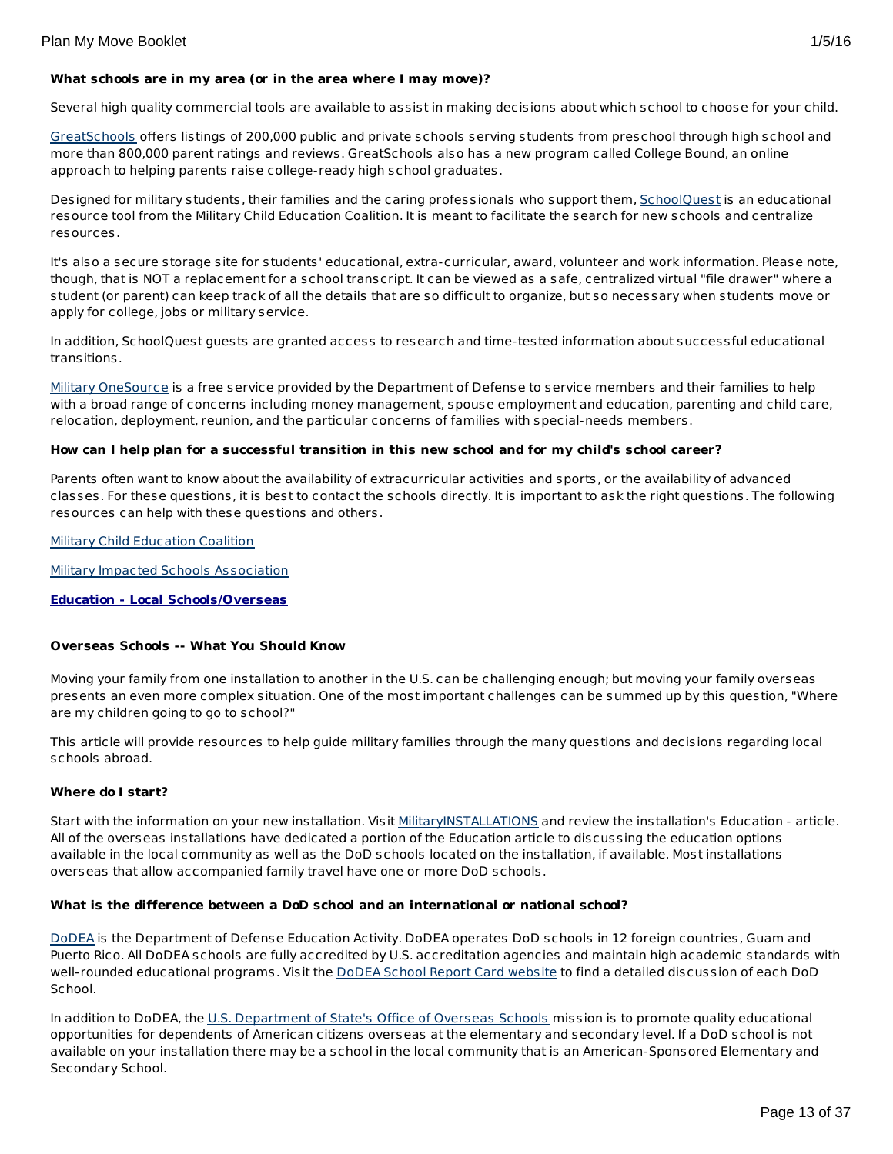Several high quality commercial tools are available to assist in making decisions about which school to choose for your child.

[GreatSchools](http://www.greatschools.org/) offers listings of 200,000 public and private schools serving students from preschool through high school and more than 800,000 parent ratings and reviews. GreatSchools also has a new program called College Bound, an online approach to helping parents raise college-ready high school graduates.

Designed for military students, their families and the caring professionals who support them, [SchoolQuest](http://www.schoolquest.org/) is an educational resource tool from the Military Child Education Coalition. It is meant to facilitate the search for new schools and centralize resources.

It's also a secure storage site for students' educational, extra-curricular, award, volunteer and work information. Please note, though, that is NOT a replacement for a school transcript. It can be viewed as a safe, centralized virtual "file drawer" where a student (or parent) can keep track of all the details that are so difficult to organize, but so necessary when students move or apply for college, jobs or military service.

In addition, SchoolQuest guests are granted access to research and time-tested information about successful educational transitions.

Military [OneSource](http://www.militaryonesource.mil/) is a free service provided by the Department of Defense to service members and their families to help with a broad range of concerns including money management, spouse employment and education, parenting and child care, relocation, deployment, reunion, and the particular concerns of families with special-needs members.

## How can I help plan for a successful transition in this new school and for my child's school career?

Parents often want to know about the availability of extracurricular activities and sports, or the availability of advanced classes. For these questions, it is best to contact the schools directly. It is important to ask the right questions. The following resources can help with these questions and others.

Military Child [Education](http://www.militarychild.org/) Coalition

Military Impacted Schools [Association](http://militaryimpactedschoolsassociation.org/)

**Education - Local Schools/Overseas**

#### **Overseas Schools -- What You Should Know**

Moving your family from one installation to another in the U.S. can be challenging enough; but moving your family overseas presents an even more complex situation. One of the most important challenges can be summed up by this question, "Where are my children going to go to school?"

This article will provide resources to help guide military families through the many questions and decisions regarding local schools abroad.

#### **Where do I start?**

Start with the information on your new installation. Visit [MilitaryINSTALLATIONS](http://www.militaryinstallations.dod.mil) and review the installation's Education - article. All of the overseas installations have dedicated a portion of the Education article to discussing the education options available in the local community as well as the DoD schools located on the installation, if available. Most installations overseas that allow accompanied family travel have one or more DoD schools.

#### **What is the difference between a DoD school and an international or national school?**

[DoDEA](http://www.dodea.edu/) is the Department of Defense Education Activity. DoDEA operates DoD schools in 12 foreign countries, Guam and Puerto Rico. All DoDEA schools are fully accredited by U.S. accreditation agencies and maintain high academic standards with well-rounded educational programs. Visit the DoDEA School Report Card [website](https://webapps.dodea.edu/SRC) to find a detailed discussion of each DoD School.

In addition to DoDEA, the U.S. [Department](http://www.state.gov/m/a/os/) of State's Office of Overseas Schools mission is to promote quality educational opportunities for dependents of American citizens overseas at the elementary and secondary level. If a DoD school is not available on your installation there may be a school in the local community that is an American-Sponsored Elementary and Secondary School.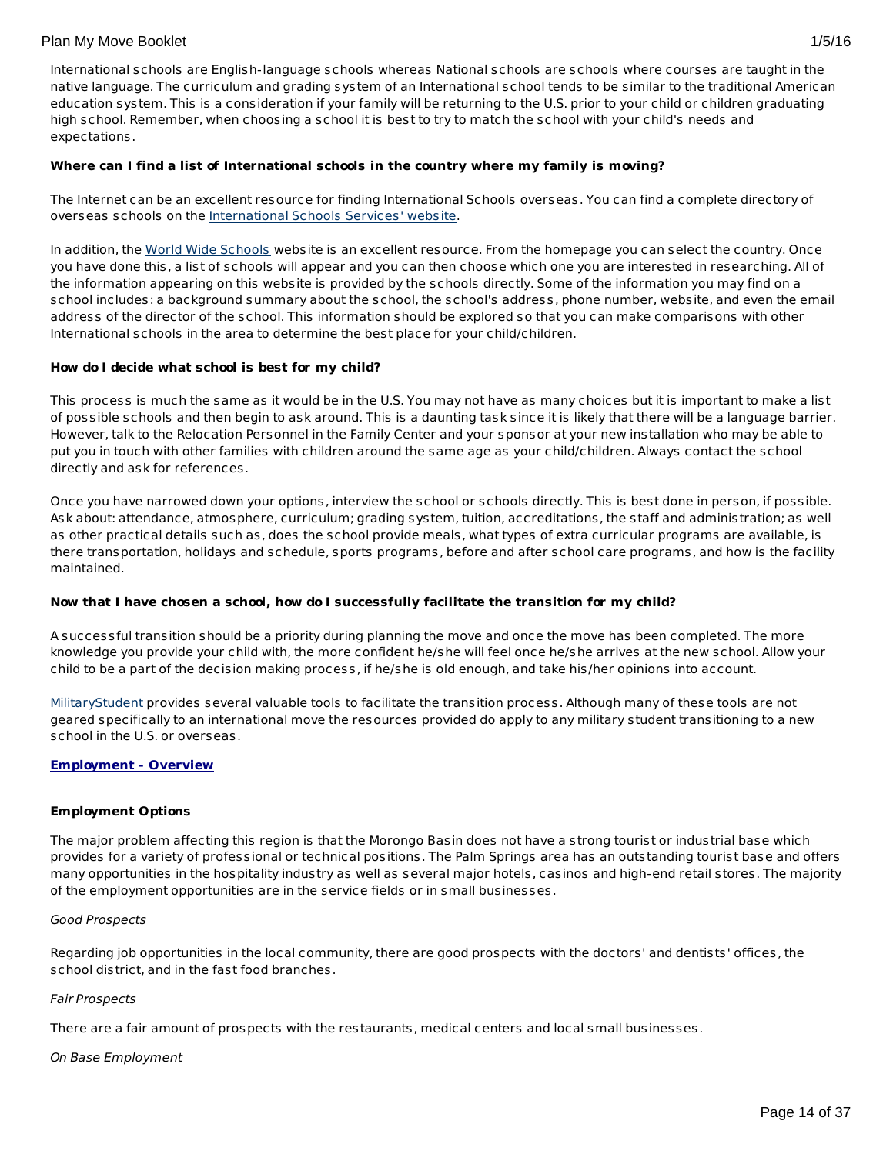# **Where can I find a list of International schools in the country where my family is moving?**

The Internet can be an excellent resource for finding International Schools overseas. You can find a complete directory of overseas schools on the [International](http://www.iss.edu/) Schools Services' website.

In addition, the World Wide [Schools](http://www.english-schools.org/index.htm) website is an excellent resource. From the homepage you can select the country. Once you have done this, a list of schools will appear and you can then choose which one you are interested in researching. All of the information appearing on this website is provided by the schools directly. Some of the information you may find on a school includes: a background summary about the school, the school's address, phone number, website, and even the email address of the director of the school. This information should be explored so that you can make comparisons with other International schools in the area to determine the best place for your child/children.

## **How do I decide what school is best for my child?**

This process is much the same as it would be in the U.S. You may not have as many choices but it is important to make a list of possible schools and then begin to ask around. This is a daunting task since it is likely that there will be a language barrier. However, talk to the Relocation Personnel in the Family Center and your sponsor at your new installation who may be able to put you in touch with other families with children around the same age as your child/children. Always contact the school directly and ask for references.

Once you have narrowed down your options, interview the school or schools directly. This is best done in person, if possible. Ask about: attendance, atmosphere, curriculum; grading system, tuition, accreditations, the staff and administration; as well as other practical details such as, does the school provide meals, what types of extra curricular programs are available, is there transportation, holidays and schedule, sports programs, before and after school care programs, and how is the facility maintained.

# **Now that I have chosen a school, how do I successfully facilitate the transition for my child?**

A successful transition should be a priority during planning the move and once the move has been completed. The more knowledge you provide your child with, the more confident he/she will feel once he/she arrives at the new school. Allow your child to be a part of the decision making process, if he/she is old enough, and take his/her opinions into account.

[MilitaryStudent](http://militaryk12partners.dodea.edu/) provides several valuable tools to facilitate the transition process. Although many of these tools are not geared specifically to an international move the resources provided do apply to any military student transitioning to a new school in the U.S. or overseas.

# **Employment - Overview**

#### **Employment Options**

The major problem affecting this region is that the Morongo Basin does not have a strong tourist or industrial base which provides for a variety of professional or technical positions. The Palm Springs area has an outstanding tourist base and offers many opportunities in the hospitality industry as well as several major hotels, casinos and high-end retail stores. The majority of the employment opportunities are in the service fields or in small businesses.

#### Good Prospects

Regarding job opportunities in the local community, there are good prospects with the doctors' and dentists' offices, the school district, and in the fast food branches.

#### Fair Prospects

There are a fair amount of prospects with the restaurants, medical centers and local small businesses.

#### On Base Employment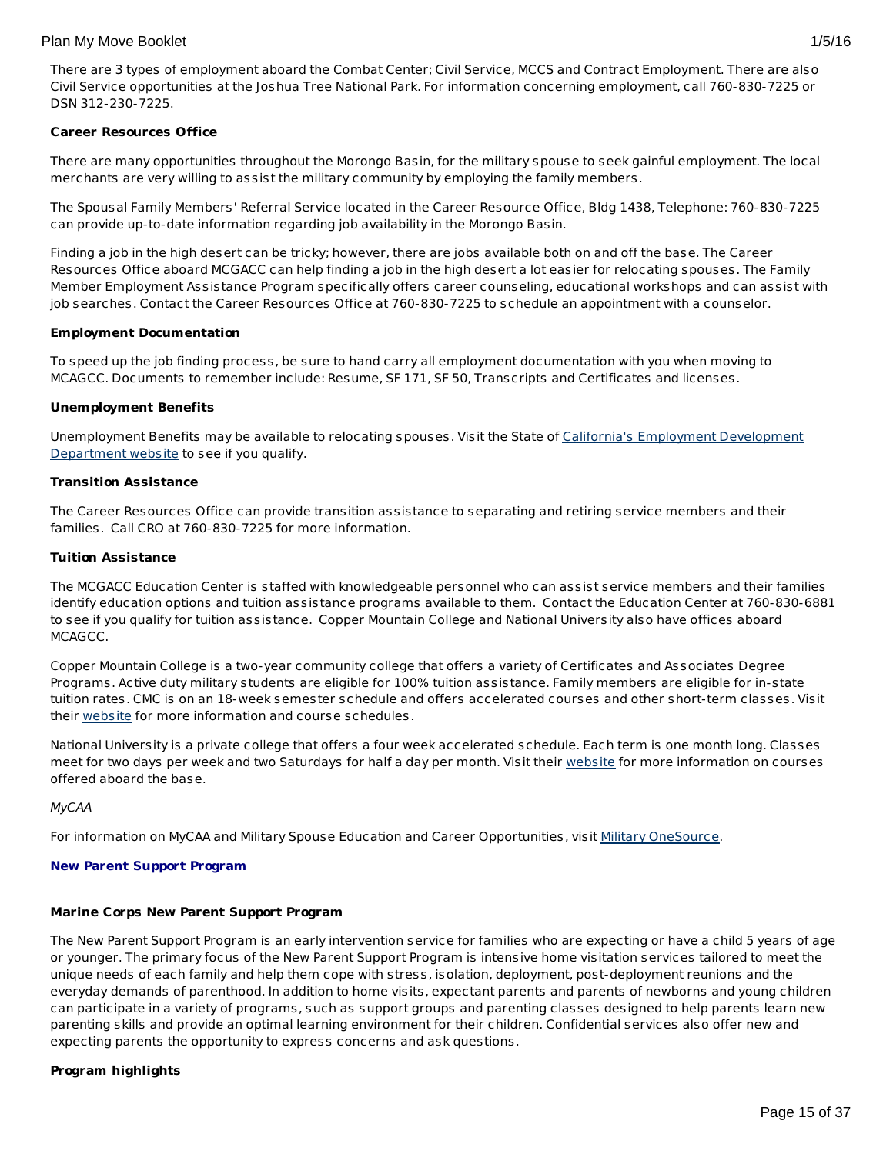# **Career Resources Office**

There are many opportunities throughout the Morongo Basin, for the military spouse to seek gainful employment. The local merchants are very willing to assist the military community by employing the family members.

The Spousal Family Members' Referral Service located in the Career Resource Office, Bldg 1438, Telephone: 760-830-7225 can provide up-to-date information regarding job availability in the Morongo Basin.

Finding a job in the high desert can be tricky; however, there are jobs available both on and off the base. The Career Resources Office aboard MCGACC can help finding a job in the high desert a lot easier for relocating spouses. The Family Member Employment Assistance Program specifically offers career counseling, educational workshops and can assist with job searches. Contact the Career Resources Office at 760-830-7225 to schedule an appointment with a counselor.

## **Employment Documentation**

To speed up the job finding process, be sure to hand carry all employment documentation with you when moving to MCAGCC. Documents to remember include: Resume, SF 171, SF 50, Transcripts and Certificates and licenses.

## **Unemployment Benefits**

[Unemployment](http://www.edd.ca.gov/) Benefits may be available to relocating spouses. Visit the State of California's Employment Development Department website to see if you qualify.

## **Transition Assistance**

The Career Resources Office can provide transition assistance to separating and retiring service members and their families. Call CRO at 760-830-7225 for more information.

## **Tuition Assistance**

The MCGACC Education Center is staffed with knowledgeable personnel who can assist service members and their families identify education options and tuition assistance programs available to them. Contact the Education Center at 760-830-6881 to see if you qualify for tuition assistance. Copper Mountain College and National University also have offices aboard MCAGCC.

Copper Mountain College is a two-year community college that offers a variety of Certificates and Associates Degree Programs. Active duty military students are eligible for 100% tuition assistance. Family members are eligible for in-state tuition rates. CMC is on an 18-week semester schedule and offers accelerated courses and other short-term classes. Visit their [website](http://www.cmccd.edu/) for more information and course schedules.

National University is a private college that offers a four week accelerated schedule. Each term is one month long. Classes meet for two days per week and two Saturdays for half a day per month. Visit their [website](http://www.nu.edu/) for more information on courses offered aboard the base.

#### MyCAA

For information on MyCAA and Military Spouse Education and Career Opportunities, visit Military [OneSource](http://www.militaryonesource.mil/MOS/f?p=MOS:TOPIC:0::::SV,UT,LG,CID,TID:ArmyActive,Member,EN,23.50.40.0.0.0.0.0.0,23.50.40.10.0.0.0.0.0).

## **New Parent Support Program**

### **Marine Corps New Parent Support Program**

The New Parent Support Program is an early intervention service for families who are expecting or have a child 5 years of age or younger. The primary focus of the New Parent Support Program is intensive home visitation services tailored to meet the unique needs of each family and help them cope with stress, isolation, deployment, post-deployment reunions and the everyday demands of parenthood. In addition to home visits, expectant parents and parents of newborns and young children can participate in a variety of programs, such as support groups and parenting classes designed to help parents learn new parenting skills and provide an optimal learning environment for their children. Confidential services also offer new and expecting parents the opportunity to express concerns and ask questions.

# **Program highlights**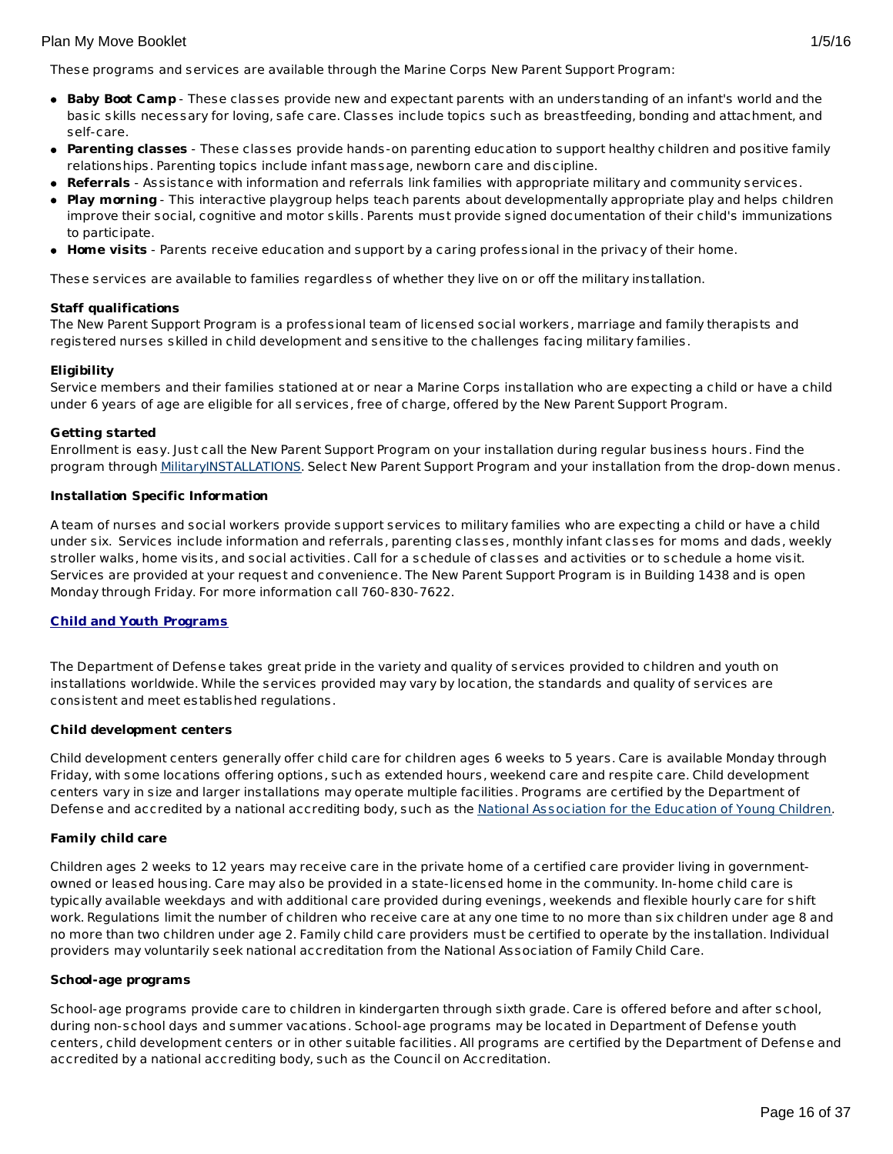These programs and services are available through the Marine Corps New Parent Support Program:

- **Baby Boot Camp** These classes provide new and expectant parents with an understanding of an infant's world and the basic skills necessary for loving, safe care. Classes include topics such as breastfeeding, bonding and attachment, and self-care.
- **Parenting classes** These classes provide hands-on parenting education to support healthy children and positive family relationships. Parenting topics include infant massage, newborn care and discipline.
- **Referrals** Assistance with information and referrals link families with appropriate military and community services.
- **Play morning** This interactive playgroup helps teach parents about developmentally appropriate play and helps children improve their social, cognitive and motor skills. Parents must provide signed documentation of their child's immunizations to participate.
- **Home visits** Parents receive education and support by a caring professional in the privacy of their home.

These services are available to families regardless of whether they live on or off the military installation.

#### **Staff qualifications**

The New Parent Support Program is a professional team of licensed social workers, marriage and family therapists and registered nurses skilled in child development and sensitive to the challenges facing military families.

## **Eligibility**

Service members and their families stationed at or near a Marine Corps installation who are expecting a child or have a child under 6 years of age are eligible for all services, free of charge, offered by the New Parent Support Program.

#### **Getting started**

Enrollment is easy. Just call the New Parent Support Program on your installation during regular business hours. Find the program through [MilitaryINSTALLATIONS](http://www.militaryinstallations.dod.mil/). Select New Parent Support Program and your installation from the drop-down menus.

#### **Installation Specific Information**

A team of nurses and social workers provide support services to military families who are expecting a child or have a child under six. Services include information and referrals, parenting classes, monthly infant classes for moms and dads, weekly stroller walks, home visits, and social activities. Call for a schedule of classes and activities or to schedule a home visit. Services are provided at your request and convenience. The New Parent Support Program is in Building 1438 and is open Monday through Friday. For more information call 760-830-7622.

#### **Child and Youth Programs**

The Department of Defense takes great pride in the variety and quality of services provided to children and youth on installations worldwide. While the services provided may vary by location, the standards and quality of services are consistent and meet established regulations.

#### **Child development centers**

Child development centers generally offer child care for children ages 6 weeks to 5 years. Care is available Monday through Friday, with some locations offering options, such as extended hours, weekend care and respite care. Child development centers vary in size and larger installations may operate multiple facilities. Programs are certified by the Department of Defense and accredited by a national accrediting body, such as the National [Association](http://www.naeyc.org/) for the Education of Young Children.

#### **Family child care**

Children ages 2 weeks to 12 years may receive care in the private home of a certified care provider living in governmentowned or leased housing. Care may also be provided in a state-licensed home in the community. In-home child care is typically available weekdays and with additional care provided during evenings, weekends and flexible hourly care for shift work. Regulations limit the number of children who receive care at any one time to no more than six children under age 8 and no more than two children under age 2. Family child care providers must be certified to operate by the installation. Individual providers may voluntarily seek national accreditation from the National Association of Family Child Care.

#### **School-age programs**

School-age programs provide care to children in kindergarten through sixth grade. Care is offered before and after school, during non-school days and summer vacations. School-age programs may be located in Department of Defense youth centers, child development centers or in other suitable facilities. All programs are certified by the Department of Defense and accredited by a national accrediting body, such as the Council on Accreditation.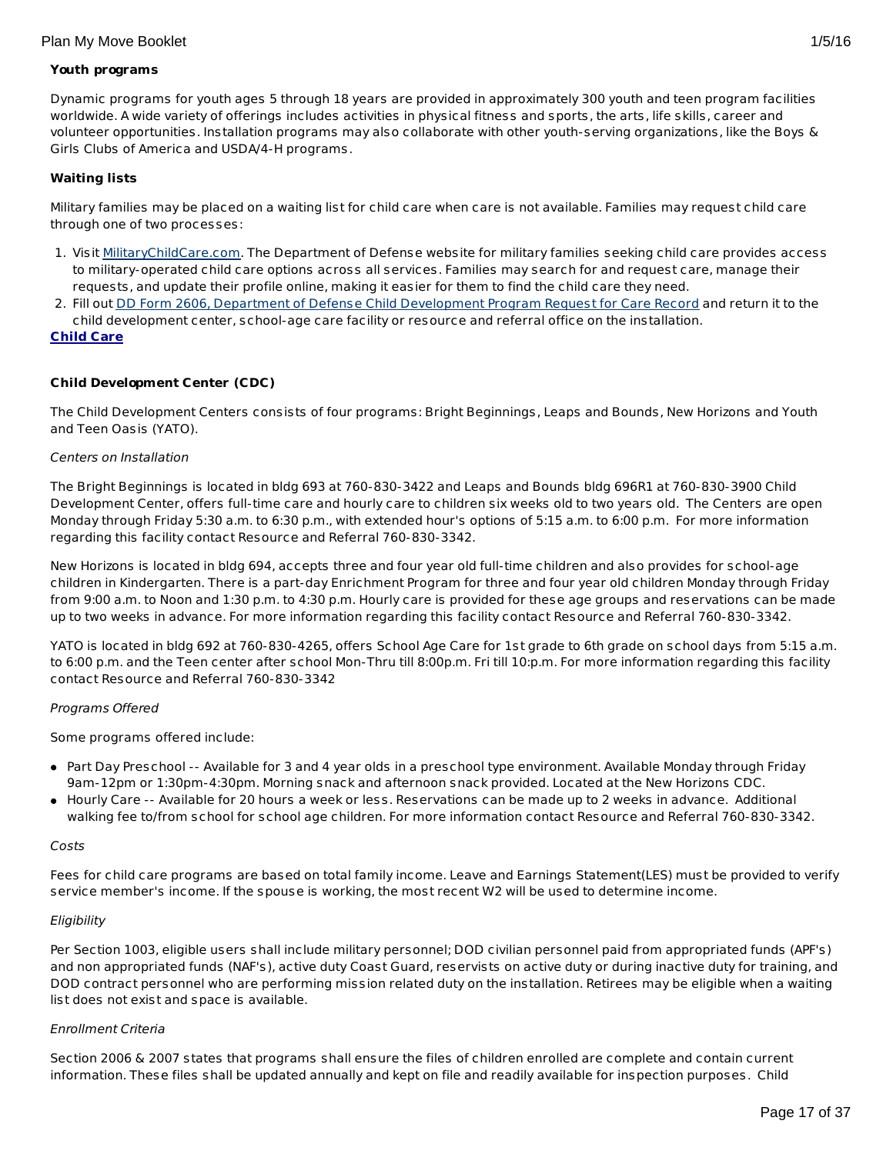## **Youth programs**

Dynamic programs for youth ages 5 through 18 years are provided in approximately 300 youth and teen program facilities worldwide. A wide variety of offerings includes activities in physical fitness and sports, the arts, life skills, career and volunteer opportunities. Installation programs may also collaborate with other youth-serving organizations, like the Boys & Girls Clubs of America and USDA/4-H programs.

## **Waiting lists**

Military families may be placed on a waiting list for child care when care is not available. Families may request child care through one of two processes:

- 1. Visit [MilitaryChildCare.com](https://militarychildcare.cnic.navy.mil/mcc-consumer/home/viewhome.action). The Department of Defense website for military families seeking child care provides access to military-operated child care options across all services. Families may search for and request care, manage their requests, and update their profile online, making it easier for them to find the child care they need.
- 2. Fill out DD Form 2606, Department of Defense Child [Development](http://www.dtic.mil/whs/directives/forms/eforms/dd2606.pdf) Program Request for Care Record and return it to the child development center, school-age care facility or resource and referral office on the installation.

#### **Child Care**

## **Child Development Center (CDC)**

The Child Development Centers consists of four programs: Bright Beginnings, Leaps and Bounds, New Horizons and Youth and Teen Oasis (YATO).

#### Centers on Installation

The Bright Beginnings is located in bldg 693 at 760-830-3422 and Leaps and Bounds bldg 696R1 at 760-830-3900 Child Development Center, offers full-time care and hourly care to children six weeks old to two years old. The Centers are open Monday through Friday 5:30 a.m. to 6:30 p.m., with extended hour's options of 5:15 a.m. to 6:00 p.m. For more information regarding this facility contact Resource and Referral 760-830-3342.

New Horizons is located in bldg 694, accepts three and four year old full-time children and also provides for school-age children in Kindergarten. There is a part-day Enrichment Program for three and four year old children Monday through Friday from 9:00 a.m. to Noon and 1:30 p.m. to 4:30 p.m. Hourly care is provided for these age groups and reservations can be made up to two weeks in advance. For more information regarding this facility contact Resource and Referral 760-830-3342.

YATO is located in bldg 692 at 760-830-4265, offers School Age Care for 1st grade to 6th grade on school days from 5:15 a.m. to 6:00 p.m. and the Teen center after school Mon-Thru till 8:00p.m. Fri till 10:p.m. For more information regarding this facility contact Resource and Referral 760-830-3342

#### Programs Offered

Some programs offered include:

- Part Day Preschool -- Available for 3 and 4 year olds in a preschool type environment. Available Monday through Friday 9am-12pm or 1:30pm-4:30pm. Morning snack and afternoon snack provided. Located at the New Horizons CDC.
- Hourly Care -- Available for 20 hours a week or less. Reservations can be made up to 2 weeks in advance. Additional walking fee to/from school for school age children. For more information contact Resource and Referral 760-830-3342.

#### Costs

Fees for child care programs are based on total family income. Leave and Earnings Statement(LES) must be provided to verify service member's income. If the spouse is working, the most recent W2 will be used to determine income.

#### **Eligibility**

Per Section 1003, eligible users shall include military personnel; DOD civilian personnel paid from appropriated funds (APF's) and non appropriated funds (NAF's), active duty Coast Guard, reservists on active duty or during inactive duty for training, and DOD contract personnel who are performing mission related duty on the installation. Retirees may be eligible when a waiting list does not exist and space is available.

#### Enrollment Criteria

Section 2006 & 2007 states that programs shall ensure the files of children enrolled are complete and contain current information. These files shall be updated annually and kept on file and readily available for inspection purposes. Child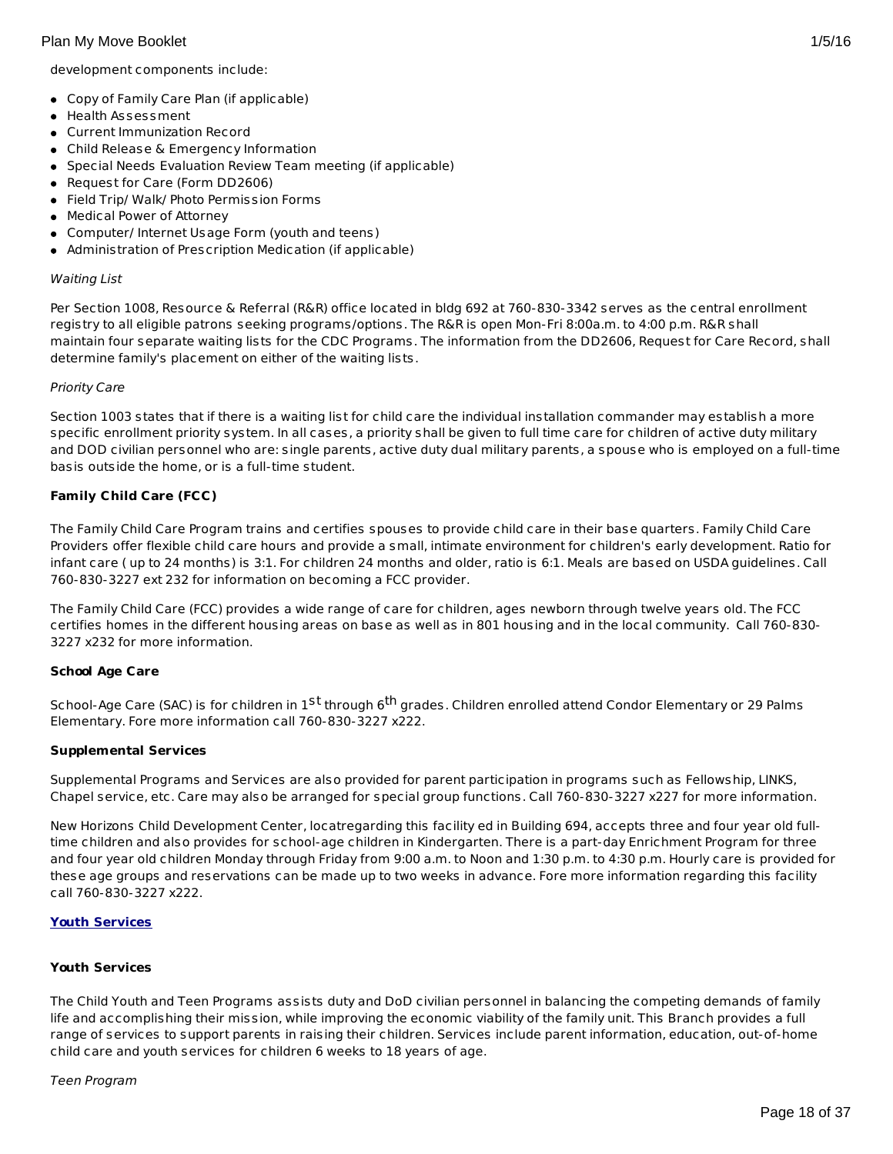development components include:

- Copy of Family Care Plan (if applicable)
- Health Assessment
- Current Immunization Record
- Child Release & Emergency Information
- Special Needs Evaluation Review Team meeting (if applicable)
- Request for Care (Form DD2606)
- Field Trip/ Walk/ Photo Permission Forms
- Medical Power of Attorney
- Computer/ Internet Usage Form (youth and teens)
- Administration of Prescription Medication (if applicable)

## Waiting List

Per Section 1008, Resource & Referral (R&R) office located in bldg 692 at 760-830-3342 serves as the central enrollment registry to all eligible patrons seeking programs/options. The R&R is open Mon-Fri 8:00a.m. to 4:00 p.m. R&R shall maintain four separate waiting lists for the CDC Programs. The information from the DD2606, Request for Care Record, shall determine family's placement on either of the waiting lists.

## Priority Care

Section 1003 states that if there is a waiting list for child care the individual installation commander may establish a more specific enrollment priority system. In all cases, a priority shall be given to full time care for children of active duty military and DOD civilian personnel who are: single parents, active duty dual military parents, a spouse who is employed on a full-time basis outside the home, or is a full-time student.

# **Family Child Care (FCC)**

The Family Child Care Program trains and certifies spouses to provide child care in their base quarters. Family Child Care Providers offer flexible child care hours and provide a small, intimate environment for children's early development. Ratio for infant care ( up to 24 months) is 3:1. For children 24 months and older, ratio is 6:1. Meals are based on USDA guidelines. Call 760-830-3227 ext 232 for information on becoming a FCC provider.

The Family Child Care (FCC) provides a wide range of care for children, ages newborn through twelve years old. The FCC certifies homes in the different housing areas on base as well as in 801 housing and in the local community. Call 760-830- 3227 x232 for more information.

# **School Age Care**

School-Age Care (SAC) is for children in 1<sup>St</sup> through 6<sup>th</sup> grades. Children enrolled attend Condor Elementary or 29 Palms Elementary. Fore more information call 760-830-3227 x222.

# **Supplemental Services**

Supplemental Programs and Services are also provided for parent participation in programs such as Fellowship, LINKS, Chapel service, etc. Care may also be arranged for special group functions. Call 760-830-3227 x227 for more information.

New Horizons Child Development Center, locatregarding this facility ed in Building 694, accepts three and four year old fulltime children and also provides for school-age children in Kindergarten. There is a part-day Enrichment Program for three and four year old children Monday through Friday from 9:00 a.m. to Noon and 1:30 p.m. to 4:30 p.m. Hourly care is provided for these age groups and reservations can be made up to two weeks in advance. Fore more information regarding this facility call 760-830-3227 x222.

# **Youth Services**

# **Youth Services**

The Child Youth and Teen Programs assists duty and DoD civilian personnel in balancing the competing demands of family life and accomplishing their mission, while improving the economic viability of the family unit. This Branch provides a full range of services to support parents in raising their children. Services include parent information, education, out-of-home child care and youth services for children 6 weeks to 18 years of age.

#### Teen Program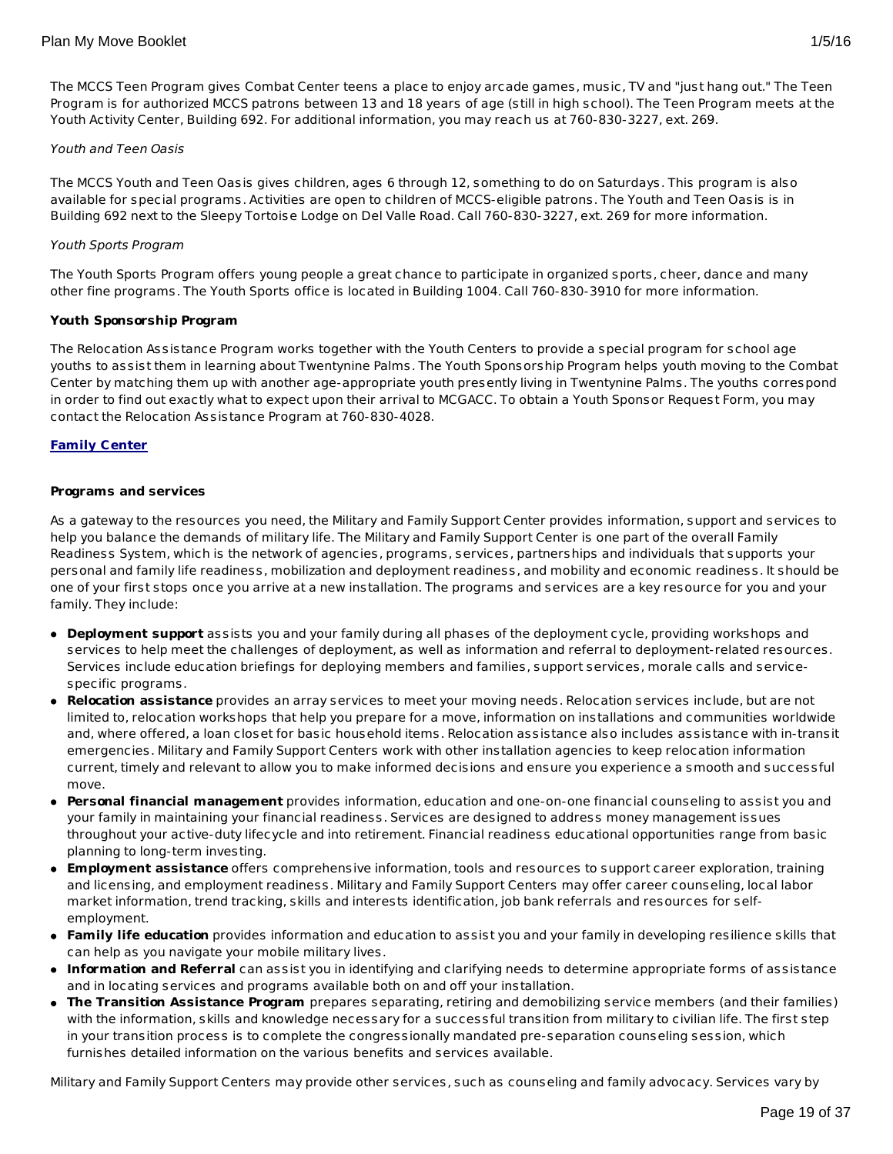# Youth and Teen Oasis

The MCCS Youth and Teen Oasis gives children, ages 6 through 12, something to do on Saturdays. This program is also available for special programs. Activities are open to children of MCCS-eligible patrons. The Youth and Teen Oasis is in Building 692 next to the Sleepy Tortoise Lodge on Del Valle Road. Call 760-830-3227, ext. 269 for more information.

Youth Activity Center, Building 692. For additional information, you may reach us at 760-830-3227, ext. 269.

# Youth Sports Program

The Youth Sports Program offers young people a great chance to participate in organized sports, cheer, dance and many other fine programs. The Youth Sports office is located in Building 1004. Call 760-830-3910 for more information.

## **Youth Sponsorship Program**

The Relocation Assistance Program works together with the Youth Centers to provide a special program for school age youths to assist them in learning about Twentynine Palms. The Youth Sponsorship Program helps youth moving to the Combat Center by matching them up with another age-appropriate youth presently living in Twentynine Palms. The youths correspond in order to find out exactly what to expect upon their arrival to MCGACC. To obtain a Youth Sponsor Request Form, you may contact the Relocation Assistance Program at 760-830-4028.

## **Family Center**

## **Programs and services**

As a gateway to the resources you need, the Military and Family Support Center provides information, support and services to help you balance the demands of military life. The Military and Family Support Center is one part of the overall Family Readiness System, which is the network of agencies, programs, services, partnerships and individuals that supports your personal and family life readiness, mobilization and deployment readiness, and mobility and economic readiness. It should be one of your first stops once you arrive at a new installation. The programs and services are a key resource for you and your family. They include:

- **Deployment support** assists you and your family during all phases of the deployment cycle, providing workshops and services to help meet the challenges of deployment, as well as information and referral to deployment-related resources. Services include education briefings for deploying members and families, support services, morale calls and servicespecific programs.
- **Relocation assistance** provides an array services to meet your moving needs. Relocation services include, but are not limited to, relocation workshops that help you prepare for a move, information on installations and communities worldwide and, where offered, a loan closet for basic household items. Relocation assistance also includes assistance with in-transit emergencies. Military and Family Support Centers work with other installation agencies to keep relocation information current, timely and relevant to allow you to make informed decisions and ensure you experience a smooth and successful move.
- **Personal financial management** provides information, education and one-on-one financial counseling to assist you and your family in maintaining your financial readiness. Services are designed to address money management issues throughout your active-duty lifecycle and into retirement. Financial readiness educational opportunities range from basic planning to long-term investing.
- **Employment assistance** offers comprehensive information, tools and resources to support career exploration, training and licensing, and employment readiness. Military and Family Support Centers may offer career counseling, local labor market information, trend tracking, skills and interests identification, job bank referrals and resources for selfemployment.
- **Family life education** provides information and education to assist you and your family in developing resilience skills that can help as you navigate your mobile military lives.
- **Information and Referral** can assist you in identifying and clarifying needs to determine appropriate forms of assistance and in locating services and programs available both on and off your installation.
- **The Transition Assistance Program** prepares separating, retiring and demobilizing service members (and their families) with the information, skills and knowledge necessary for a successful transition from military to civilian life. The first step in your transition process is to complete the congressionally mandated pre-separation counseling session, which furnishes detailed information on the various benefits and services available.

Military and Family Support Centers may provide other services, such as counseling and family advocacy. Services vary by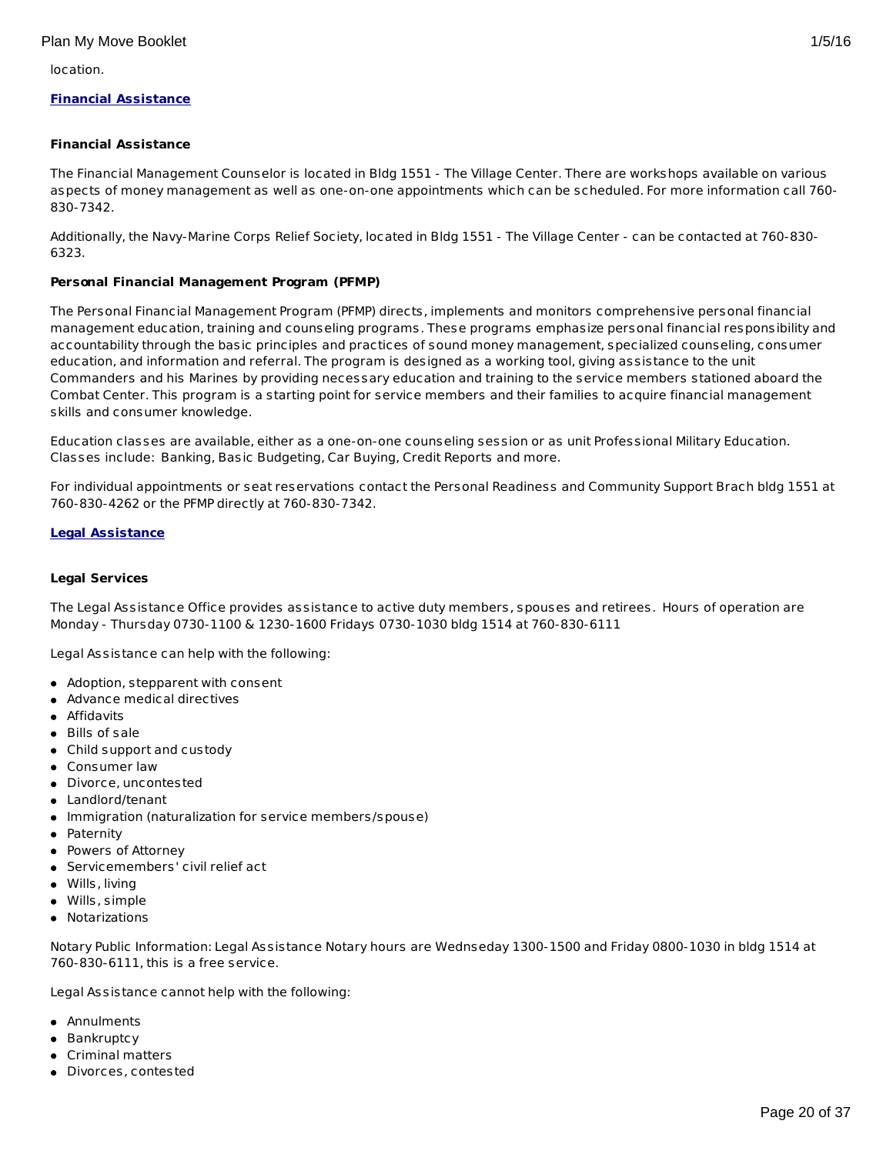location.

# **Financial Assistance**

# **Financial Assistance**

The Financial Management Counselor is located in Bldg 1551 - The Village Center. There are workshops available on various aspects of money management as well as one-on-one appointments which can be scheduled. For more information call 760- 830-7342.

Additionally, the Navy-Marine Corps Relief Society, located in Bldg 1551 - The Village Center - can be contacted at 760-830- 6323.

## **Personal Financial Management Program (PFMP)**

The Personal Financial Management Program (PFMP) directs, implements and monitors comprehensive personal financial management education, training and counseling programs. These programs emphasize personal financial responsibility and accountability through the basic principles and practices of sound money management, specialized counseling, consumer education, and information and referral. The program is designed as a working tool, giving assistance to the unit Commanders and his Marines by providing necessary education and training to the service members stationed aboard the Combat Center. This program is a starting point for service members and their families to acquire financial management skills and consumer knowledge.

Education classes are available, either as a one-on-one counseling session or as unit Professional Military Education. Classes include: Banking, Basic Budgeting, Car Buying, Credit Reports and more.

For individual appointments or seat reservations contact the Personal Readiness and Community Support Brach bldg 1551 at 760-830-4262 or the PFMP directly at 760-830-7342.

## **Legal Assistance**

#### **Legal Services**

The Legal Assistance Office provides assistance to active duty members, spouses and retirees. Hours of operation are Monday - Thursday 0730-1100 & 1230-1600 Fridays 0730-1030 bldg 1514 at 760-830-6111

Legal Assistance can help with the following:

- Adoption, stepparent with consent
- Advance medical directives
- **•** Affidavits
- Bills of sale
- Child support and custody
- Consumer law
- Divorce, uncontested
- Landlord/tenant
- Immigration (naturalization for service members/spouse)
- Paternity
- Powers of Attorney
- Servicemembers' civil relief act
- Wills, living
- Wills, simple
- Notarizations

Notary Public Information: Legal Assistance Notary hours are Wednseday 1300-1500 and Friday 0800-1030 in bldg 1514 at 760-830-6111, this is a free service.

Legal Assistance cannot help with the following:

- Annulments
- Bankruptcy
- Criminal matters
- Divorces, contested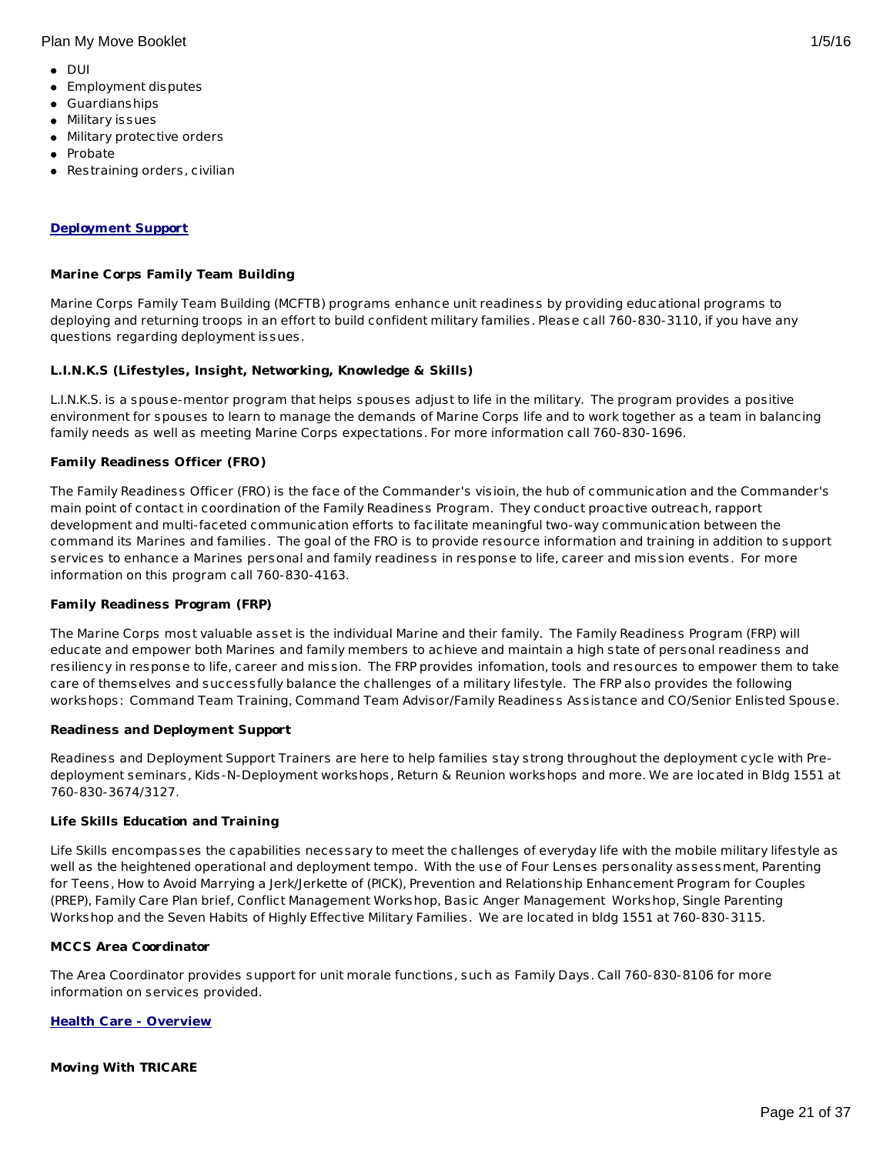#### Plan My Move Booklet 1/5/16

- $\bullet$  DUI
- **•** Employment disputes
- Guardianships
- Military issues
- Military protective orders
- Probate
- Restraining orders, civilian

## **Deployment Support**

#### **Marine Corps Family Team Building**

Marine Corps Family Team Building (MCFTB) programs enhance unit readiness by providing educational programs to deploying and returning troops in an effort to build confident military families. Please call 760-830-3110, if you have any questions regarding deployment issues.

## **L.I.N.K.S (Lifestyles, Insight, Networking, Knowledge & Skills)**

L.I.N.K.S. is a spouse-mentor program that helps spouses adjust to life in the military. The program provides a positive environment for spouses to learn to manage the demands of Marine Corps life and to work together as a team in balancing family needs as well as meeting Marine Corps expectations. For more information call 760-830-1696.

## **Family Readiness Officer (FRO)**

The Family Readiness Officer (FRO) is the face of the Commander's visioin, the hub of communication and the Commander's main point of contact in coordination of the Family Readiness Program. They conduct proactive outreach, rapport development and multi-faceted communication efforts to facilitate meaningful two-way communication between the command its Marines and families. The goal of the FRO is to provide resource information and training in addition to support services to enhance a Marines personal and family readiness in response to life, career and mission events. For more information on this program call 760-830-4163.

#### **Family Readiness Program (FRP)**

The Marine Corps most valuable asset is the individual Marine and their family. The Family Readiness Program (FRP) will educate and empower both Marines and family members to achieve and maintain a high state of personal readiness and resiliency in response to life, career and mission. The FRP provides infomation, tools and resources to empower them to take care of themselves and successfully balance the challenges of a military lifestyle. The FRP also provides the following workshops: Command Team Training, Command Team Advisor/Family Readiness Assistance and CO/Senior Enlisted Spouse.

#### **Readiness and Deployment Support**

Readiness and Deployment Support Trainers are here to help families stay strong throughout the deployment cycle with Predeployment seminars, Kids-N-Deployment workshops, Return & Reunion workshops and more. We are located in Bldg 1551 at 760-830-3674/3127.

#### **Life Skills Education and Training**

Life Skills encompasses the capabilities necessary to meet the challenges of everyday life with the mobile military lifestyle as well as the heightened operational and deployment tempo. With the use of Four Lenses personality assessment, Parenting for Teens, How to Avoid Marrying a Jerk/Jerkette of (PICK), Prevention and Relationship Enhancement Program for Couples (PREP), Family Care Plan brief, Conflict Management Workshop, Basic Anger Management Workshop, Single Parenting Workshop and the Seven Habits of Highly Effective Military Families. We are located in bldg 1551 at 760-830-3115.

#### **MCCS Area Coordinator**

The Area Coordinator provides support for unit morale functions, such as Family Days. Call 760-830-8106 for more information on services provided.

#### **Health Care - Overview**

#### **Moving With TRICARE**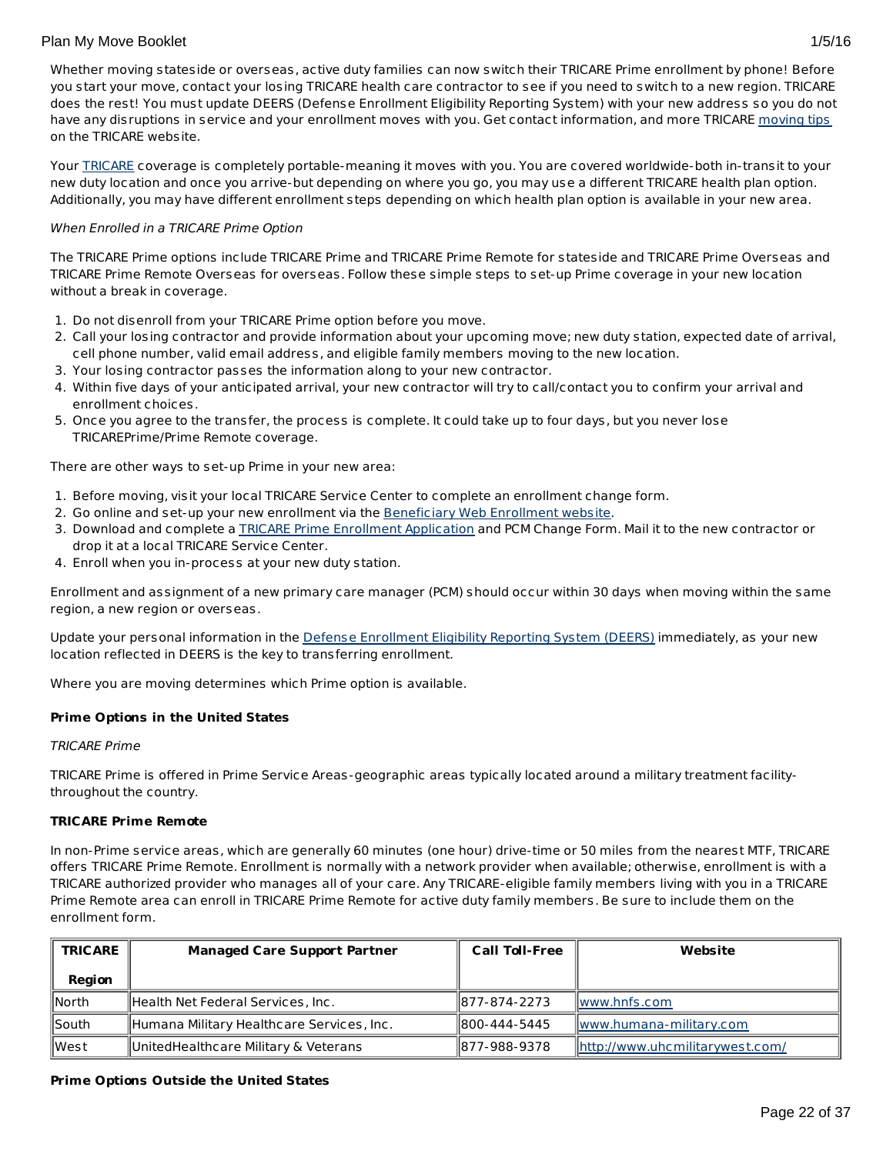Whether moving stateside or overseas, active duty families can now switch their TRICARE Prime enrollment by phone! Before you start your move, contact your losing TRICARE health care contractor to see if you need to switch to a new region. TRICARE does the rest! You must update DEERS (Defense Enrollment Eligibility Reporting System) with your new address so you do not have any disruptions in service and your enrollment moves with you. Get contact information, and more TRICARE [moving](http://www.tricare.mil/moving) tips on the TRICARE website.

Your [TRICARE](http://www.tricare.mil/) coverage is completely portable-meaning it moves with you. You are covered worldwide-both in-transit to your new duty location and once you arrive-but depending on where you go, you may use a different TRICARE health plan option. Additionally, you may have different enrollment steps depending on which health plan option is available in your new area.

# When Enrolled in a TRICARE Prime Option

The TRICARE Prime options include TRICARE Prime and TRICARE Prime Remote for stateside and TRICARE Prime Overseas and TRICARE Prime Remote Overseas for overseas. Follow these simple steps to set-up Prime coverage in your new location without a break in coverage.

- 1. Do not disenroll from your TRICARE Prime option before you move.
- 2. Call your losing contractor and provide information about your upcoming move; new duty station, expected date of arrival, cell phone number, valid email address, and eligible family members moving to the new location.
- 3. Your losing contractor passes the information along to your new contractor.
- 4. Within five days of your anticipated arrival, your new contractor will try to call/contact you to confirm your arrival and enrollment choices.
- 5. Once you agree to the transfer, the process is complete. It could take up to four days, but you never lose TRICAREPrime/Prime Remote coverage.

There are other ways to set-up Prime in your new area:

- 1. Before moving, visit your local TRICARE Service Center to complete an enrollment change form.
- 2. Go online and set-up your new enrollment via the [Beneficiary](https://www.dmdc.osd.mil/appj/bwe/indexAction.do;jsessionid=7962ecfc6b86dfb33476ab70607f4835a6bef5c6f4af875ca0a4ac0a6b3b2fe3) Web Enrollment website.
- 3. Download and complete a TRICARE Prime [Enrollment](http://www.tricare.mil/Forms/Enrollment/Prime.aspx) Application and PCM Change Form. Mail it to the new contractor or drop it at a local TRICARE Service Center.
- 4. Enroll when you in-process at your new duty station.

Enrollment and assignment of a new primary care manager (PCM) should occur within 30 days when moving within the same region, a new region or overseas.

Update your personal information in the Defense [Enrollment](https://www.dmdc.osd.mil/self_service/rapids/unauthenticated;jsessionid=5DgBRmXRqGc3NBSmDVTbTrDzTH3Pcz9QSnKjGsXnGSYnw3n5gGHL!-250999068?execution=e1s1) Eligibility Reporting System (DEERS) immediately, as your new location reflected in DEERS is the key to transferring enrollment.

Where you are moving determines which Prime option is available.

# **Prime Options in the United States**

#### TRICARE Prime

TRICARE Prime is offered in Prime Service Areas-geographic areas typically located around a military treatment facilitythroughout the country.

#### **TRICARE Prime Remote**

In non-Prime service areas, which are generally 60 minutes (one hour) drive-time or 50 miles from the nearest MTF, TRICARE offers TRICARE Prime Remote. Enrollment is normally with a network provider when available; otherwise, enrollment is with a TRICARE authorized provider who manages all of your care. Any TRICARE-eligible family members living with you in a TRICARE Prime Remote area can enroll in TRICARE Prime Remote for active duty family members. Be sure to include them on the enrollment form.

| <b>TRICARE</b> | <b>Managed Care Support Partner</b>       | <b>Call Toll-Free</b> | Website                         |
|----------------|-------------------------------------------|-----------------------|---------------------------------|
| Region         |                                           |                       |                                 |
| llNorth        | Health Net Federal Services, Inc.         | 1877-874-2273         | $\ www.hnfs.com\ $              |
| llSouth        | Humana Military Healthcare Services, Inc. | 1800-444-5445         | www.humana-military.com         |
| lWest          | UnitedHealthcare Military & Veterans      | 1877-988-9378         | http://www.uhcmilitarywest.com/ |

#### **Prime Options Outside the United States**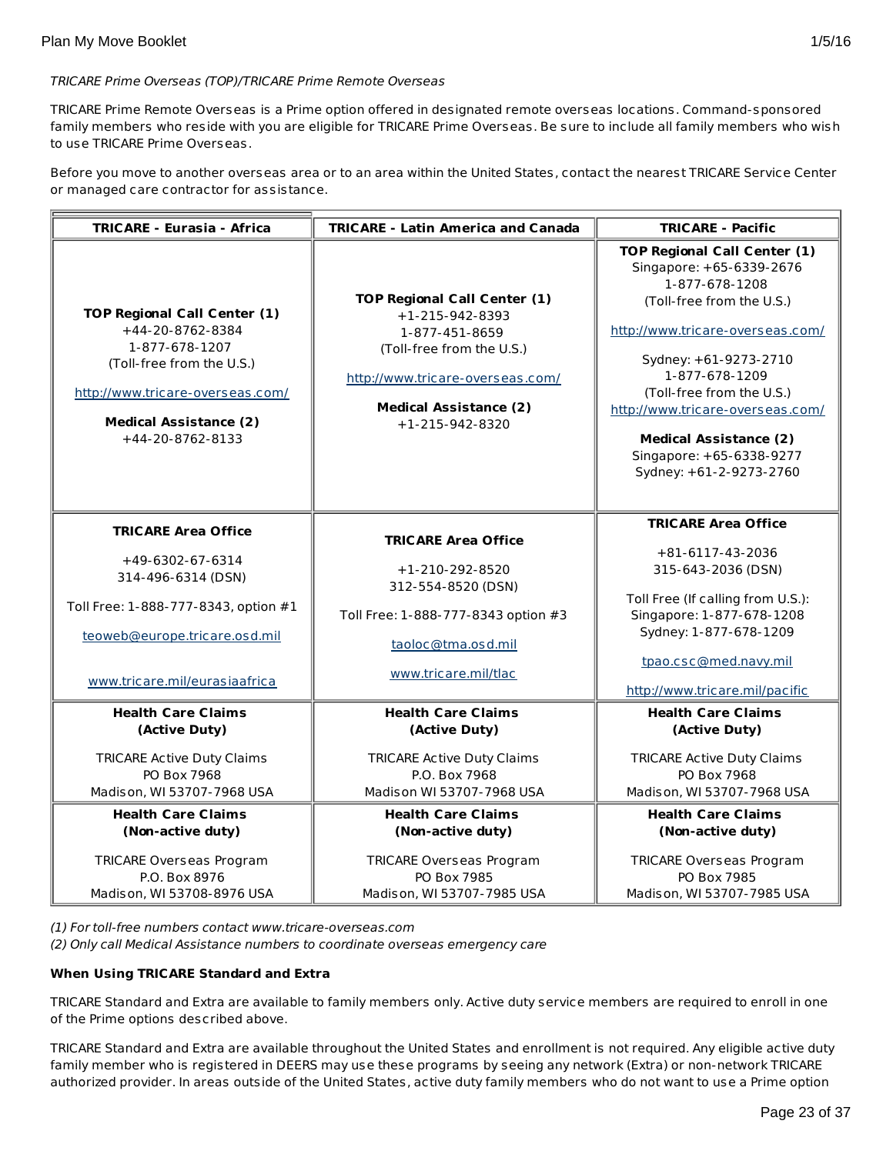# TRICARE Prime Overseas (TOP)/TRICARE Prime Remote Overseas

TRICARE Prime Remote Overseas is a Prime option offered in designated remote overseas locations. Command-sponsored family members who reside with you are eligible for TRICARE Prime Overseas. Be sure to include all family members who wish to use TRICARE Prime Overseas.

Before you move to another overseas area or to an area within the United States, contact the nearest TRICARE Service Center or managed care contractor for assistance.

| <b>TRICARE - Eurasia - Africa</b>                                                                                                                                                               | <b>TRICARE - Latin America and Canada</b>                                                                                                                                                         | <b>TRICARE - Pacific</b>                                                                                                                                                                                                                                                                                                                               |
|-------------------------------------------------------------------------------------------------------------------------------------------------------------------------------------------------|---------------------------------------------------------------------------------------------------------------------------------------------------------------------------------------------------|--------------------------------------------------------------------------------------------------------------------------------------------------------------------------------------------------------------------------------------------------------------------------------------------------------------------------------------------------------|
| <b>TOP Regional Call Center (1)</b><br>+44-20-8762-8384<br>1-877-678-1207<br>(Toll-free from the U.S.)<br>http://www.tricare-overseas.com/<br><b>Medical Assistance (2)</b><br>+44-20-8762-8133 | <b>TOP Regional Call Center (1)</b><br>$+1-215-942-8393$<br>1-877-451-8659<br>(Toll-free from the U.S.)<br>http://www.tricare-overseas.com/<br><b>Medical Assistance (2)</b><br>$+1-215-942-8320$ | <b>TOP Regional Call Center (1)</b><br>Singapore: +65-6339-2676<br>1-877-678-1208<br>(Toll-free from the U.S.)<br>http://www.tricare-overseas.com/<br>Sydney: +61-9273-2710<br>1-877-678-1209<br>(Toll-free from the U.S.)<br>http://www.tricare-overseas.com/<br><b>Medical Assistance (2)</b><br>Singapore: +65-6338-9277<br>Sydney: +61-2-9273-2760 |
| <b>TRICARE Area Office</b><br>+49-6302-67-6314<br>314-496-6314 (DSN)<br>Toll Free: 1-888-777-8343, option #1<br>teoweb@europe.tricare.osd.mil<br>www.tricare.mil/eurasiaafrica                  | <b>TRICARE Area Office</b><br>$+1-210-292-8520$<br>312-554-8520 (DSN)<br>Toll Free: 1-888-777-8343 option #3<br>taoloc@tma.osd.mil<br>www.tricare.mil/tlac                                        | <b>TRICARE Area Office</b><br>+81-6117-43-2036<br>315-643-2036 (DSN)<br>Toll Free (If calling from U.S.):<br>Singapore: 1-877-678-1208<br>Sydney: 1-877-678-1209<br>tpao.csc@med.navy.mil<br>http://www.tricare.mil/pacific                                                                                                                            |
| <b>Health Care Claims</b><br>(Active Duty)<br><b>TRICARE Active Duty Claims</b><br>PO Box 7968<br>Madison, WI 53707-7968 USA                                                                    | <b>Health Care Claims</b><br>(Active Duty)<br><b>TRICARE Active Duty Claims</b><br>P.O. Box 7968<br>Madison WI 53707-7968 USA                                                                     | <b>Health Care Claims</b><br>(Active Duty)<br><b>TRICARE Active Duty Claims</b><br>PO Box 7968<br>Madison, WI 53707-7968 USA                                                                                                                                                                                                                           |
| <b>Health Care Claims</b><br>(Non-active duty)<br>TRICARE Overseas Program<br>P.O. Box 8976<br>Madison, WI 53708-8976 USA                                                                       | <b>Health Care Claims</b><br>(Non-active duty)<br><b>TRICARE Overseas Program</b><br>PO Box 7985<br>Madison, WI 53707-7985 USA                                                                    | <b>Health Care Claims</b><br>(Non-active duty)<br><b>TRICARE Overseas Program</b><br>PO Box 7985<br>Madison, WI 53707-7985 USA                                                                                                                                                                                                                         |

(1) For toll-free numbers contact www.tricare-overseas.com

(2) Only call Medical Assistance numbers to coordinate overseas emergency care

# **When Using TRICARE Standard and Extra**

TRICARE Standard and Extra are available to family members only. Active duty service members are required to enroll in one of the Prime options described above.

TRICARE Standard and Extra are available throughout the United States and enrollment is not required. Any eligible active duty family member who is registered in DEERS may use these programs by seeing any network (Extra) or non-network TRICARE authorized provider. In areas outside of the United States, active duty family members who do not want to use a Prime option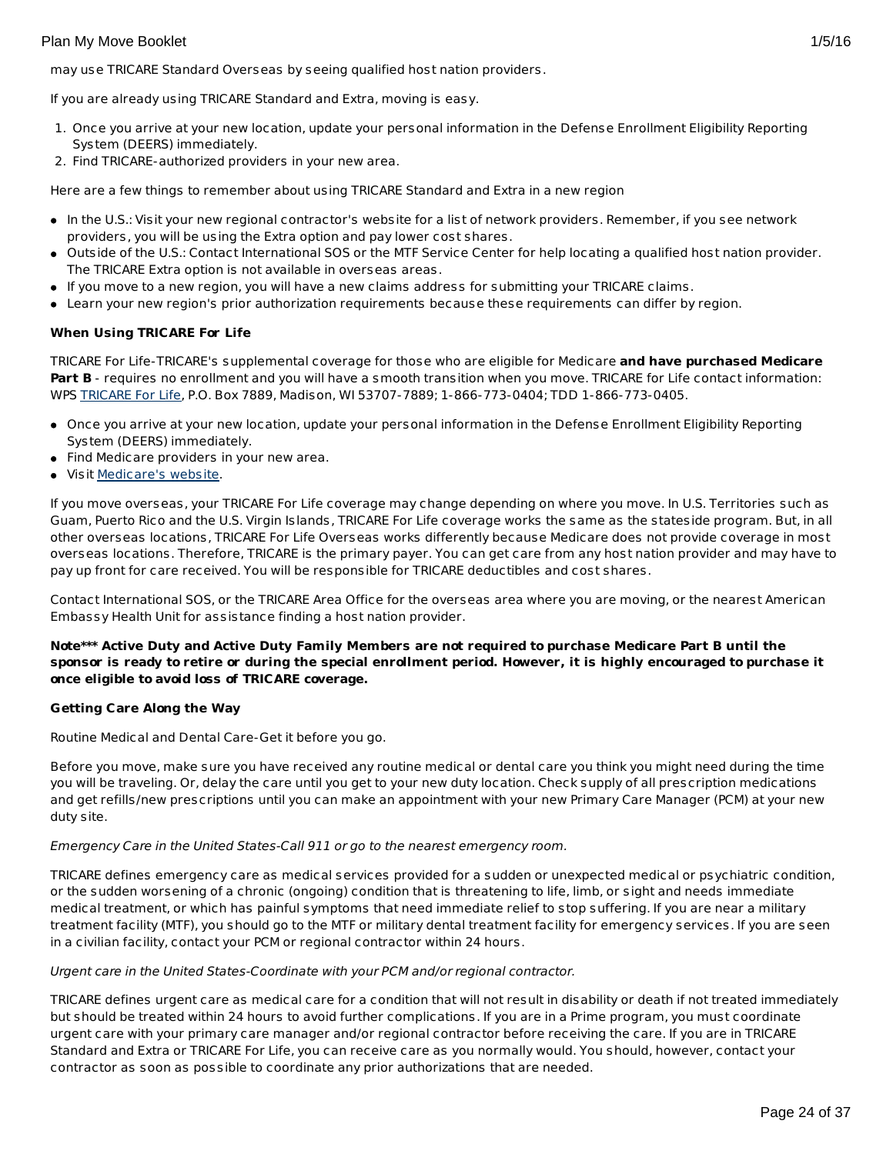may use TRICARE Standard Overseas by seeing qualified host nation providers.

If you are already using TRICARE Standard and Extra, moving is easy.

- 1. Once you arrive at your new location, update your personal information in the Defense Enrollment Eligibility Reporting System (DEERS) immediately.
- 2. Find TRICARE-authorized providers in your new area.

Here are a few things to remember about using TRICARE Standard and Extra in a new region

- In the U.S.: Visit your new regional contractor's website for a list of network providers. Remember, if you see network providers, you will be using the Extra option and pay lower cost shares.
- Outside of the U.S.: Contact International SOS or the MTF Service Center for help locating a qualified host nation provider. The TRICARE Extra option is not available in overseas areas.
- If you move to a new region, you will have a new claims address for submitting your TRICARE claims.
- Learn your new region's prior authorization requirements because these requirements can differ by region.

## **When Using TRICARE For Life**

TRICARE For Life-TRICARE's supplemental coverage for those who are eligible for Medicare **and have purchased Medicare** Part B - requires no enrollment and you will have a smooth transition when you move. TRICARE for Life contact information: WPS [TRICARE](https://www.tricare4u.com/apps-portal/tricareapps-app/static/) For Life, P.O. Box 7889, Madison, WI 53707-7889; 1-866-773-0404; TDD 1-866-773-0405.

- Once you arrive at your new location, update your personal information in the Defense Enrollment Eligibility Reporting System (DEERS) immediately.
- Find Medicare providers in your new area.
- **visit [Medicare's](http://www.medicare.gov/) website.**

If you move overseas, your TRICARE For Life coverage may change depending on where you move. In U.S. Territories such as Guam, Puerto Rico and the U.S. Virgin Islands, TRICARE For Life coverage works the same as the stateside program. But, in all other overseas locations, TRICARE For Life Overseas works differently because Medicare does not provide coverage in most overseas locations. Therefore, TRICARE is the primary payer. You can get care from any host nation provider and may have to pay up front for care received. You will be responsible for TRICARE deductibles and cost shares.

Contact International SOS, or the TRICARE Area Office for the overseas area where you are moving, or the nearest American Embassy Health Unit for assistance finding a host nation provider.

Note\*\*\* Active Duty and Active Duty Family Members are not required to purchase Medicare Part B until the sponsor is ready to retire or during the special enrollment period. However, it is highly encouraged to purchase it **once eligible to avoid loss of TRICARE coverage.**

#### **Getting Care Along the Way**

Routine Medical and Dental Care-Get it before you go.

Before you move, make sure you have received any routine medical or dental care you think you might need during the time you will be traveling. Or, delay the care until you get to your new duty location. Check supply of all prescription medications and get refills/new prescriptions until you can make an appointment with your new Primary Care Manager (PCM) at your new duty site.

#### Emergency Care in the United States-Call 911 or go to the nearest emergency room.

TRICARE defines emergency care as medical services provided for a sudden or unexpected medical or psychiatric condition, or the sudden worsening of a chronic (ongoing) condition that is threatening to life, limb, or sight and needs immediate medical treatment, or which has painful symptoms that need immediate relief to stop suffering. If you are near a military treatment facility (MTF), you should go to the MTF or military dental treatment facility for emergency services. If you are seen in a civilian facility, contact your PCM or regional contractor within 24 hours.

#### Urgent care in the United States-Coordinate with your PCM and/or regional contractor.

TRICARE defines urgent care as medical care for a condition that will not result in disability or death if not treated immediately but should be treated within 24 hours to avoid further complications. If you are in a Prime program, you must coordinate urgent care with your primary care manager and/or regional contractor before receiving the care. If you are in TRICARE Standard and Extra or TRICARE For Life, you can receive care as you normally would. You should, however, contact your contractor as soon as possible to coordinate any prior authorizations that are needed.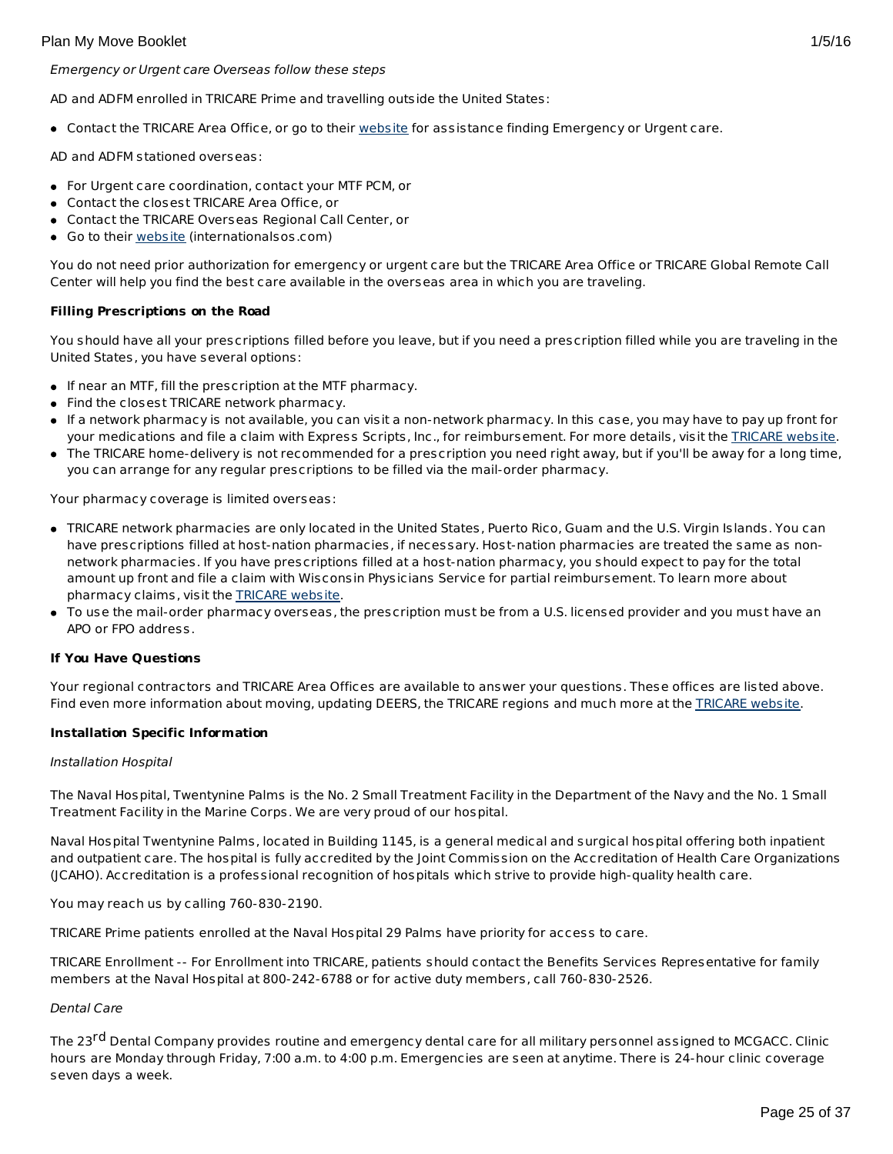• Contact the TRICARE Area Office, or go to their [website](http://www.internationalsos.com/en/) for assistance finding Emergency or Urgent care.

AD and ADFM stationed overseas:

- For Urgent care coordination, contact your MTF PCM, or
- Contact the closest TRICARE Area Office, or
- Contact the TRICARE Overseas Regional Call Center, or
- Go to their [website](http://www.internationalsos.com/en/) (internationalsos.com)

You do not need prior authorization for emergency or urgent care but the TRICARE Area Office or TRICARE Global Remote Call Center will help you find the best care available in the overseas area in which you are traveling.

#### **Filling Prescriptions on the Road**

You should have all your prescriptions filled before you leave, but if you need a prescription filled while you are traveling in the United States, you have several options:

- If near an MTF, fill the prescription at the MTF pharmacy.
- Find the closest TRICARE network pharmacy.
- If a network pharmacy is not available, you can visit a non-network pharmacy. In this case, you may have to pay up front for your medications and file a claim with Express Scripts, Inc., for reimbursement. For more details, visit the [TRICARE](http://www.tricare.mil/) website.
- The TRICARE home-delivery is not recommended for a prescription you need right away, but if you'll be away for a long time, you can arrange for any regular prescriptions to be filled via the mail-order pharmacy.

Your pharmacy coverage is limited overseas:

- TRICARE network pharmacies are only located in the United States, Puerto Rico, Guam and the U.S. Virgin Islands. You can have prescriptions filled at host-nation pharmacies, if necessary. Host-nation pharmacies are treated the same as nonnetwork pharmacies. If you have prescriptions filled at a host-nation pharmacy, you should expect to pay for the total amount up front and file a claim with Wisconsin Physicians Service for partial reimbursement. To learn more about pharmacy claims, visit the [TRICARE](http://www.tricare.mil/) website.
- To use the mail-order pharmacy overseas, the prescription must be from a U.S. licensed provider and you must have an APO or FPO address.

#### **If You Have Questions**

Your regional contractors and TRICARE Area Offices are available to answer your questions. These offices are listed above. Find even more information about moving, updating DEERS, the [TRICARE](http://www.tricare.mil/) regions and much more at the TRICARE website.

#### **Installation Specific Information**

#### Installation Hospital

The Naval Hospital, Twentynine Palms is the No. 2 Small Treatment Facility in the Department of the Navy and the No. 1 Small Treatment Facility in the Marine Corps. We are very proud of our hospital.

Naval Hospital Twentynine Palms, located in Building 1145, is a general medical and surgical hospital offering both inpatient and outpatient care. The hospital is fully accredited by the Joint Commission on the Accreditation of Health Care Organizations (JCAHO). Accreditation is a professional recognition of hospitals which strive to provide high-quality health care.

You may reach us by calling 760-830-2190.

TRICARE Prime patients enrolled at the Naval Hospital 29 Palms have priority for access to care.

TRICARE Enrollment -- For Enrollment into TRICARE, patients should contact the Benefits Services Representative for family members at the Naval Hospital at 800-242-6788 or for active duty members, call 760-830-2526.

#### Dental Care

The 23<sup>rd</sup> Dental Company provides routine and emergency dental care for all military personnel assigned to MCGACC. Clinic hours are Monday through Friday, 7:00 a.m. to 4:00 p.m. Emergencies are seen at anytime. There is 24-hour clinic coverage seven days a week.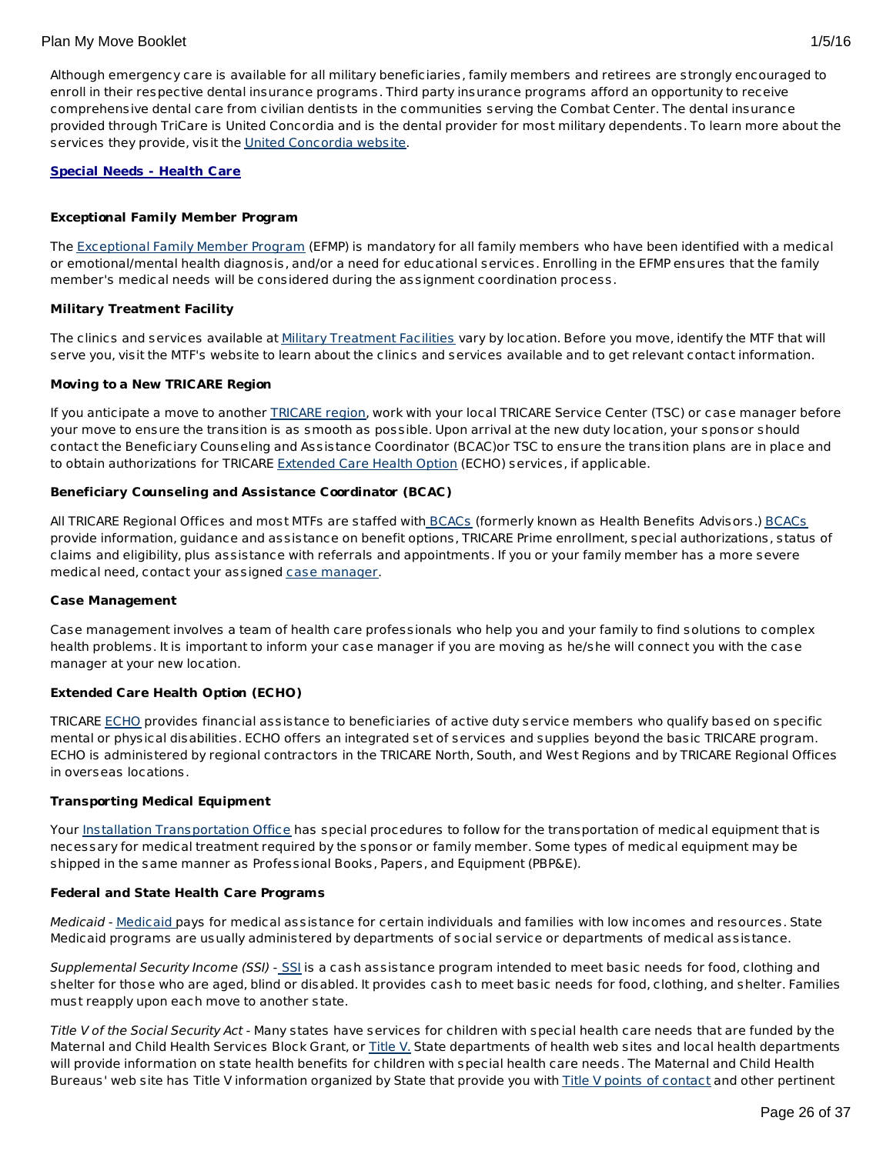Although emergency care is available for all military beneficiaries, family members and retirees are strongly encouraged to enroll in their respective dental insurance programs. Third party insurance programs afford an opportunity to receive comprehensive dental care from civilian dentists in the communities serving the Combat Center. The dental insurance provided through TriCare is United Concordia and is the dental provider for most military dependents. To learn more about the services they provide, visit the United [Concordia](http://www.tricaredentalprogram.com/) website.

## **Special Needs - Health Care**

#### **Exceptional Family Member Program**

The **[Exceptional](http://www.militaryhomefront.dod.mil/MOS/f?p=MHF:HOME1:0::::SID:20.40.500.570.0.0.0.0.0) Family Member Program** (EFMP) is mandatory for all family members who have been identified with a medical or emotional/mental health diagnosis, and/or a need for educational services. Enrolling in the EFMP ensures that the family member's medical needs will be considered during the assignment coordination process.

#### **Military Treatment Facility**

The clinics and services available at Military [Treatment](http://tricare.mil/mtf/main1.aspx) Facilities vary by location. Before you move, identify the MTF that will serve you, visit the MTF's website to learn about the clinics and services available and to get relevant contact information.

#### **Moving to a New TRICARE Region**

If you anticipate a move to another [TRICARE](http://www.tricare.mil/mhshome.aspx) region, work with your local TRICARE Service Center (TSC) or case manager before your move to ensure the transition is as smooth as possible. Upon arrival at the new duty location, your sponsor should contact the Beneficiary Counseling and Assistance Coordinator (BCAC)or TSC to ensure the transition plans are in place and to obtain authorizations for TRICARE [Extended](http://tricare.mil/mybenefit/ProfileFilter.do?puri=%2Fhome%2Foverview%2FSpecialPrograms%2FECHO) Care Health Option (ECHO) services, if applicable.

## **Beneficiary Counseling and Assistance Coordinator (BCAC)**

All TRICARE Regional Offices and most MTFs are staffed with [BCACs](http://www.tricare.mil/bcacdcao/) (formerly known as Health Benefits Advisors.) BCACs provide information, guidance and assistance on benefit options, TRICARE Prime enrollment, special authorizations, status of claims and eligibility, plus assistance with referrals and appointments. If you or your family member has a more severe medical need, contact your assigned case [manager](http://www.militaryhomefront.dod.mil/tf/efmp).

#### **Case Management**

Case management involves a team of health care professionals who help you and your family to find solutions to complex health problems. It is important to inform your case manager if you are moving as he/she will connect you with the case manager at your new location.

#### **Extended Care Health Option (ECHO)**

TRICARE [ECHO](http://tricare.mil/mybenefit/ProfileFilter.do?puri=%2Fhome%2Foverview%2FSpecialPrograms%2FECHO) provides financial assistance to beneficiaries of active duty service members who qualify based on specific mental or physical disabilities. ECHO offers an integrated set of services and supplies beyond the basic TRICARE program. ECHO is administered by regional contractors in the TRICARE North, South, and West Regions and by TRICARE Regional Offices in overseas locations.

#### **Transporting Medical Equipment**

Your Installation [Transportation](http://www.militaryinstallations.dod.mil/) Office has special procedures to follow for the transportation of medical equipment that is necessary for medical treatment required by the sponsor or family member. Some types of medical equipment may be shipped in the same manner as Professional Books, Papers, and Equipment (PBP&E).

#### **Federal and State Health Care Programs**

[Medicaid](http://www.militaryhomefront.dod.mil/tf/efmp/resources) - Medicaid pays for medical assistance for certain individuals and families with low incomes and resources. State Medicaid programs are usually administered by departments of social service or departments of medical assistance.

Supplemental Security Income ([SSI](http://www.socialsecurity.gov/pgm/ssi.htm)) - SSI is a cash assistance program intended to meet basic needs for food, clothing and shelter for those who are aged, blind or disabled. It provides cash to meet basic needs for food, clothing, and shelter. Families must reapply upon each move to another state.

Title V of the Social Security Act - Many states have services for children with special health care needs that are funded by the Maternal and Child Health Services Block Grant, or [Title](http://www.socialsecurity.gov/OP_Home/ssact/title05/0500.htm) V. State departments of health web sites and local health departments will provide information on state health benefits for children with special health care needs. The Maternal and Child Health Bureaus' web site has Title V information organized by State that provide you with Title V points of [contact](https://perfdata.hrsa.gov/mchb/TVISReports/ContactInfo/StateContactSearch.aspx) and other pertinent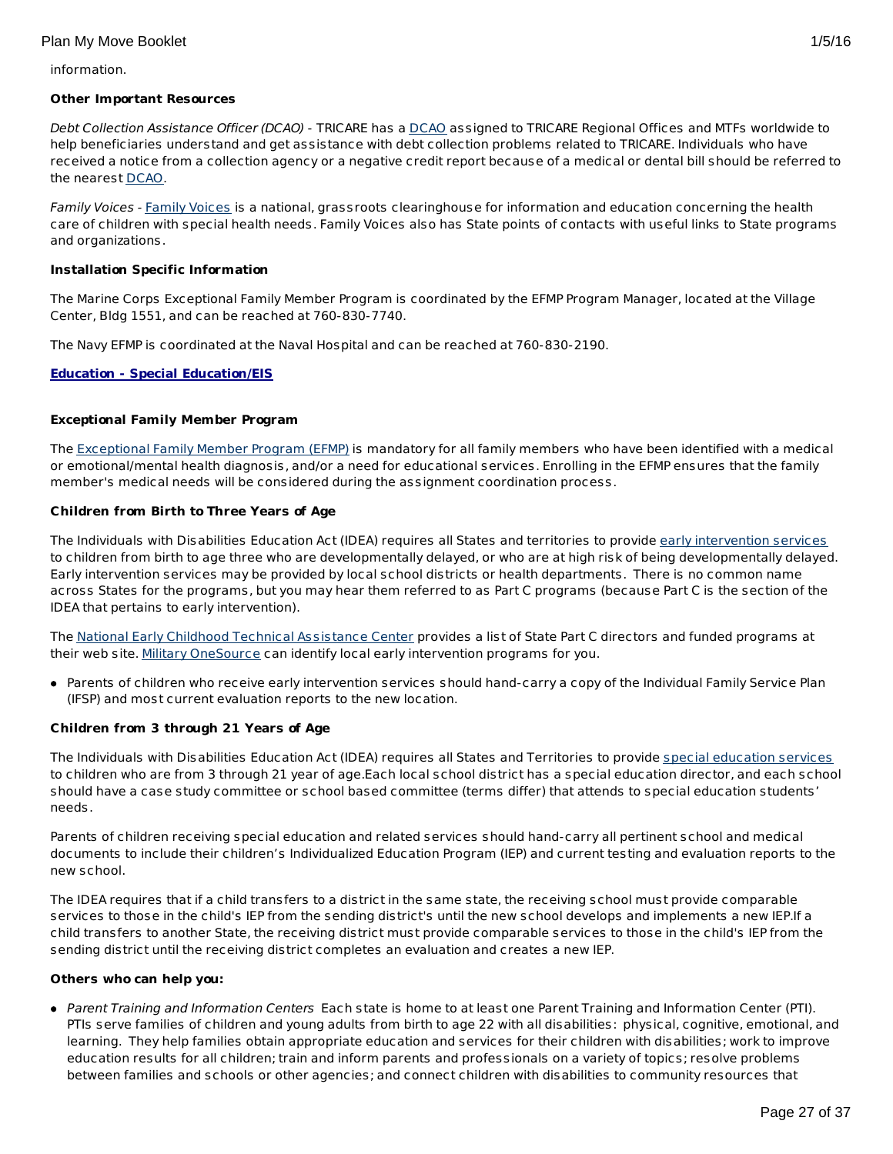information.

#### **Other Important Resources**

Debt Collection Assistance Officer ([DCAO](http://www.tricare.mil/bcacdcao/)) - TRICARE has a DCAO assigned to TRICARE Regional Offices and MTFs worldwide to help beneficiaries understand and get assistance with debt collection problems related to TRICARE. Individuals who have received a notice from a collection agency or a negative credit report because of a medical or dental bill should be referred to the nearest [DCAO](http://www.tricare.mil/bcacdcao/).

Family Voices - Family [Voices](http://www.familyvoices.org) is a national, grassroots clearinghouse for information and education concerning the health care of children with special health needs. Family Voices also has State points of contacts with useful links to State programs and organizations.

#### **Installation Specific Information**

The Marine Corps Exceptional Family Member Program is coordinated by the EFMP Program Manager, located at the Village Center, Bldg 1551, and can be reached at 760-830-7740.

The Navy EFMP is coordinated at the Naval Hospital and can be reached at 760-830-2190.

#### **Education - Special Education/EIS**

#### **Exceptional Family Member Program**

The [Exceptional](http://www.militaryhomefront.dod.mil/tf/efmp) Family Member Program (EFMP) is mandatory for all family members who have been identified with a medical or emotional/mental health diagnosis, and/or a need for educational services. Enrolling in the EFMP ensures that the family member's medical needs will be considered during the assignment coordination process.

#### **Children from Birth to Three Years of Age**

The Individuals with Disabilities Education Act (IDEA) requires all States and territories to provide early [intervention](http://www.militaryhomefront.dod.mil/tf/efmp) services to children from birth to age three who are developmentally delayed, or who are at high risk of being developmentally delayed. Early intervention services may be provided by local school districts or health departments. There is no common name across States for the programs, but you may hear them referred to as Part C programs (because Part C is the section of the IDEA that pertains to early intervention).

The National Early Childhood Technical [Assistance](http://www.nectac.org/) Center provides a list of State Part C directors and funded programs at their web site. Military [OneSource](http://www.militaryonesource.mil/) can identify local early intervention programs for you.

Parents of children who receive early intervention services should hand-carry a copy of the Individual Family Service Plan (IFSP) and most current evaluation reports to the new location.

#### **Children from 3 through 21 Years of Age**

The Individuals with Disabilities Education Act (IDEA) requires all States and Territories to provide special [education](http://www.militaryhomefront.dod.mil/tf/efmp) services to children who are from 3 through 21 year of age.Each local school district has a special education director, and each school should have a case study committee or school based committee (terms differ) that attends to special education students' needs.

Parents of children receiving special education and related services should hand-carry all pertinent school and medical documents to include their children's Individualized Education Program (IEP) and current testing and evaluation reports to the new school.

The IDEA requires that if a child transfers to a district in the same state, the receiving school must provide comparable services to those in the child's IEP from the sending district's until the new school develops and implements a new IEP.If a child transfers to another State, the receiving district must provide comparable services to those in the child's IEP from the sending district until the receiving district completes an evaluation and creates a new IEP.

#### **Others who can help you:**

Parent Training and Information Centers Each state is home to at least one Parent Training and Information Center (PTI). PTIs serve families of children and young adults from birth to age 22 with all disabilities: physical, cognitive, emotional, and learning. They help families obtain appropriate education and services for their children with disabilities; work to improve education results for all children; train and inform parents and professionals on a variety of topics; resolve problems between families and schools or other agencies; and connect children with disabilities to community resources that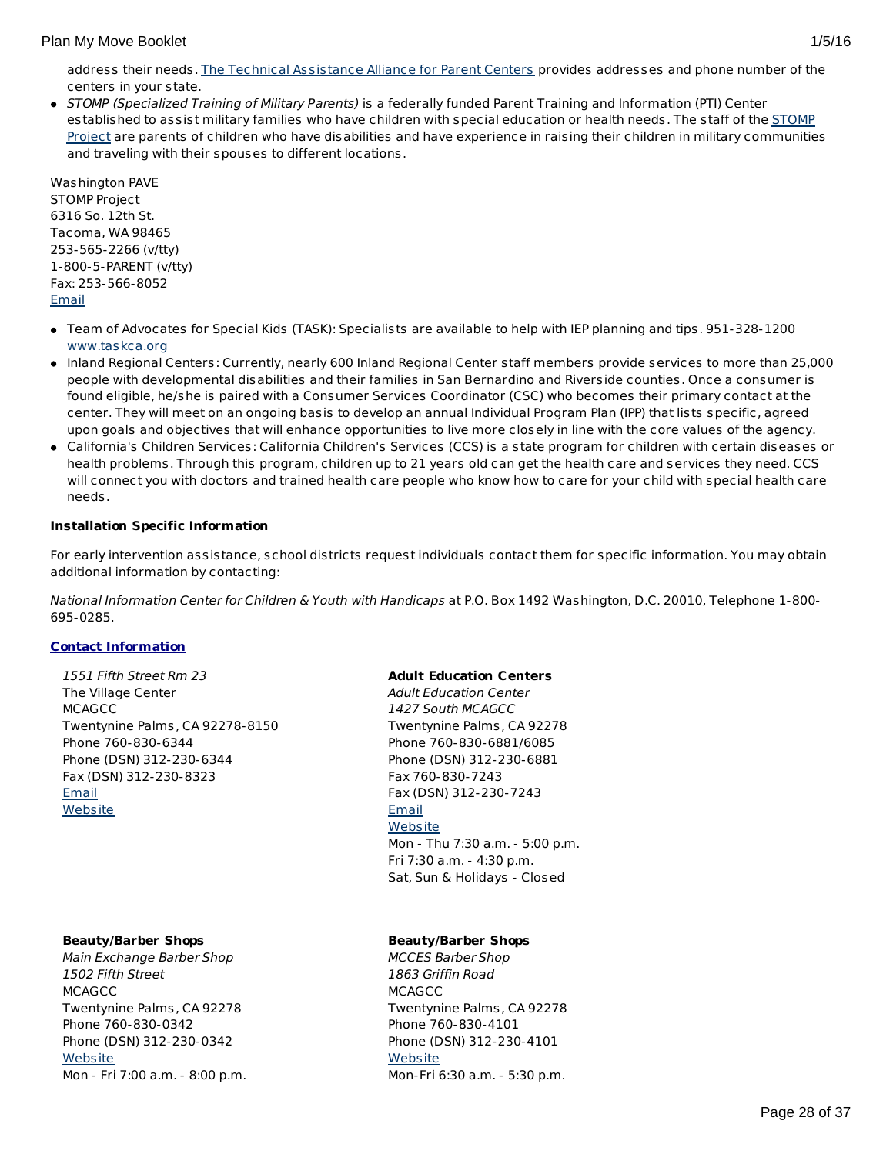address their needs. The Technical [Assistance](http://www.taalliance.org) Alliance for Parent Centers provides addresses and phone number of the centers in your state.

• STOMP (Specialized Training of Military Parents) is a federally funded Parent Training and Information (PTI) Center [established](http://www.stompproject.org/) to assist military families who have children with special education or health needs. The staff of the STOMP Project are parents of children who have disabilities and have experience in raising their children in military communities and traveling with their spouses to different locations.

Washington PAVE STOMP Project 6316 So. 12th St. Tacoma, WA 98465 253-565-2266 (v/tty) 1-800-5-PARENT (v/tty) Fax: 253-566-8052 [Email](http://apps.militaryonesource.mil/MOS/f?p=108:5:0::NO::P5_APP_NAME,P5_MSG_TYPE,P5_EID:STOMP Project,Consultant,1000001266)

- Team of Advocates for Special Kids (TASK): Specialists are available to help with IEP planning and tips. 951-328-1200 [www.taskca.org](http://www.taskca.org)
- Inland Regional Centers: Currently, nearly 600 Inland Regional Center staff members provide services to more than 25,000 people with developmental disabilities and their families in San Bernardino and Riverside counties. Once a consumer is found eligible, he/she is paired with a Consumer Services Coordinator (CSC) who becomes their primary contact at the center. They will meet on an ongoing basis to develop an annual Individual Program Plan (IPP) that lists specific, agreed upon goals and objectives that will enhance opportunities to live more closely in line with the core values of the agency.
- California's Children Services: California Children's Services (CCS) is a state program for children with certain diseases or health problems. Through this program, children up to 21 years old can get the health care and services they need. CCS will connect you with doctors and trained health care people who know how to care for your child with special health care needs.

# **Installation Specific Information**

For early intervention assistance, school districts request individuals contact them for specific information. You may obtain additional information by contacting:

National Information Center for Children & Youth with Handicaps at P.O. Box 1492 Washington, D.C. 20010, Telephone 1-800- 695-0285.

# **Contact Information**

1551 Fifth Street Rm 23 The Village Center **MCAGCC** Twentynine Palms, CA 92278-8150 Phone 760-830-6344 Phone (DSN) 312-230-6344 Fax (DSN) 312-230-8323 **[Email](http://apps.militaryonesource.mil/MOS/f?p=AMS:5:0::::P5_APP_NAME,P5_MSG_TYPE,P5_EID:Plan My Move,Installation Address (I R Office),86567) [Website](http://www.29palms.usmc.mil)** 

#### **Beauty/Barber Shops**

Main Exchange Barber Shop 1502 Fifth Street **MCAGCC** Twentynine Palms, CA 92278 Phone 760-830-0342 Phone (DSN) 312-230-0342 **[Website](http://www.mccs29palms.com)** Mon - Fri 7:00 a.m. - 8:00 p.m.

#### **Adult Education Centers**

Adult Education Center 1427 South MCAGCC Twentynine Palms, CA 92278 Phone 760-830-6881/6085 Phone (DSN) 312-230-6881 Fax 760-830-7243 Fax (DSN) 312-230-7243 **[Email](http://apps.militaryonesource.mil/MOS/f?p=AMS:5:0::::P5_APP_NAME,P5_MSG_TYPE,P5_EID:Plan My Move,Adult Education Center,197432) [Website](http://www.mccs29palms.com)** Mon - Thu 7:30 a.m. - 5:00 p.m. Fri 7:30 a.m. - 4:30 p.m. Sat, Sun & Holidays - Closed

# **Beauty/Barber Shops**

MCCES Barber Shop 1863 Griffin Road **MCAGCC** Twentynine Palms, CA 92278 Phone 760-830-4101 Phone (DSN) 312-230-4101 **[Website](http://www.mccs29palms.com/)** Mon-Fri 6:30 a.m. - 5:30 p.m.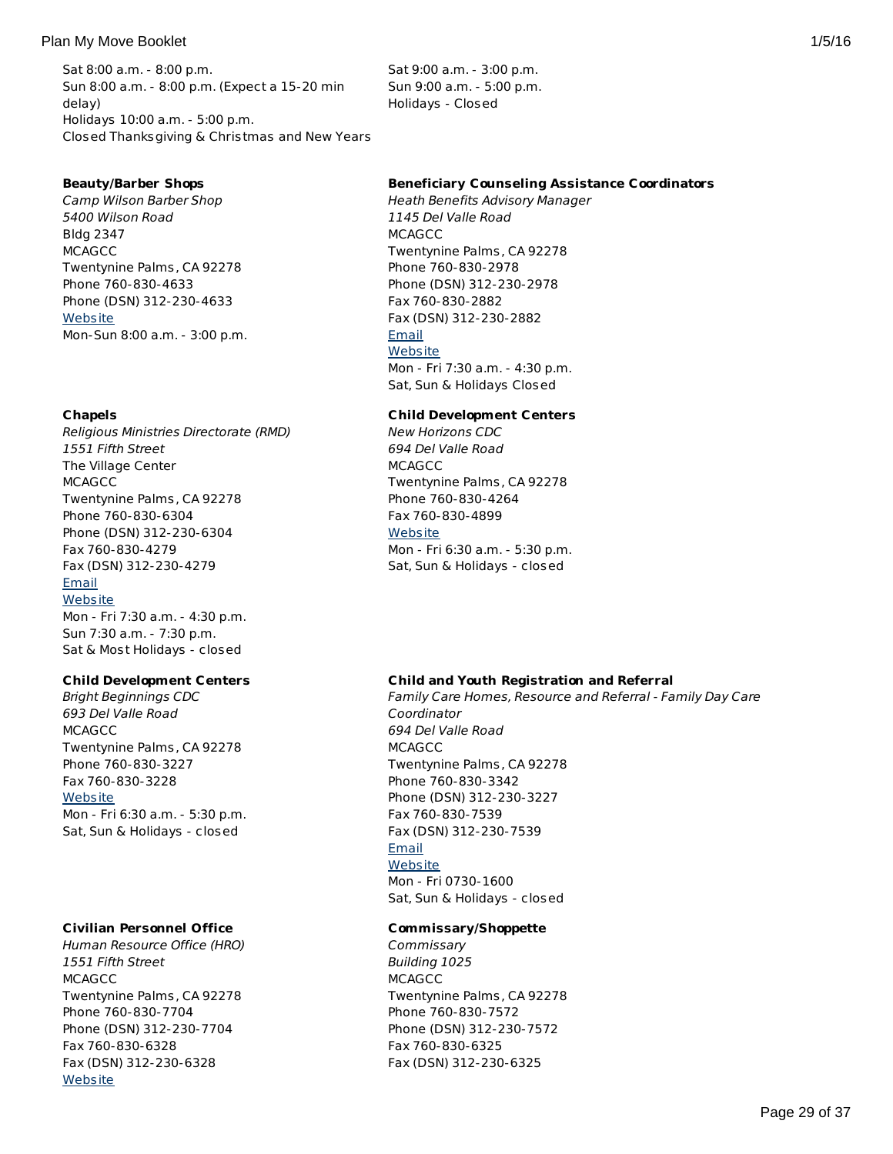## Plan My Move Booklet 2012 1/5/16

Sat 8:00 a.m. - 8:00 p.m. Sun 8:00 a.m. - 8:00 p.m. (Expect a 15-20 min delay) Holidays 10:00 a.m. - 5:00 p.m. Closed Thanksgiving & Christmas and New Years

## **Beauty/Barber Shops**

Camp Wilson Barber Shop 5400 Wilson Road Bldg 2347 **MCAGCC** Twentynine Palms, CA 92278 Phone 760-830-4633 Phone (DSN) 312-230-4633 **[Website](http://www.mccs29palms.com)** Mon-Sun 8:00 a.m. - 3:00 p.m.

## **Chapels**

Religious Ministries Directorate (RMD) 1551 Fifth Street The Village Center **MCAGCC** Twentynine Palms, CA 92278 Phone 760-830-6304 Phone (DSN) 312-230-6304 Fax 760-830-4279 Fax (DSN) 312-230-4279 [Email](http://apps.militaryonesource.mil/MOS/f?p=AMS:5:0::::P5_APP_NAME,P5_MSG_TYPE,P5_EID:Plan My Move,Religious Ministries Directorate (RMD),128416) **[Website](http://www.29palms.usmc.mil)** Mon - Fri 7:30 a.m. - 4:30 p.m.

Sun 7:30 a.m. - 7:30 p.m. Sat & Most Holidays - closed

# **Child Development Centers**

Bright Beginnings CDC 693 Del Valle Road **MCAGCC** Twentynine Palms, CA 92278 Phone 760-830-3227 Fax 760-830-3228 **[Website](http://www.mccs29palms.com)** Mon - Fri 6:30 a.m. - 5:30 p.m. Sat, Sun & Holidays - closed

# **Civilian Personnel Office**

Human Resource Office (HRO) 1551 Fifth Street **MCAGCC** Twentynine Palms, CA 92278 Phone 760-830-7704 Phone (DSN) 312-230-7704 Fax 760-830-6328 Fax (DSN) 312-230-6328 **[Website](http://www.usajobs.gov)** 

Sat 9:00 a.m. - 3:00 p.m. Sun 9:00 a.m. - 5:00 p.m. Holidays - Closed

#### **Beneficiary Counseling Assistance Coordinators**

Heath Benefits Advisory Manager 1145 Del Valle Road **MCAGCC** Twentynine Palms, CA 92278 Phone 760-830-2978 Phone (DSN) 312-230-2978 Fax 760-830-2882 Fax (DSN) 312-230-2882 [Email](http://apps.militaryonesource.mil/MOS/f?p=AMS:5:0::::P5_APP_NAME,P5_MSG_TYPE,P5_EID:Plan My Move,Heath Benefits Advisory Manager,197434) **[Website](http://www.nhtp.med.navy.mil)** Mon - Fri 7:30 a.m. - 4:30 p.m. Sat, Sun & Holidays Closed

#### **Child Development Centers**

New Horizons CDC 694 Del Valle Road **MCAGCC** Twentynine Palms, CA 92278 Phone 760-830-4264 Fax 760-830-4899 [Website](http://www.mccs29palms.com) Mon - Fri 6:30 a.m. - 5:30 p.m. Sat, Sun & Holidays - closed

#### **Child and Youth Registration and Referral**

Family Care Homes, Resource and Referral - Family Day Care Coordinator 694 Del Valle Road **MCAGCC** Twentynine Palms, CA 92278 Phone 760-830-3342 Phone (DSN) 312-230-3227 Fax 760-830-7539 Fax (DSN) 312-230-7539 **[Email](http://apps.militaryonesource.mil/MOS/f?p=AMS:5:0::::P5_APP_NAME,P5_MSG_TYPE,P5_EID:Plan My Move,Family Care Homes  Resource and Referral - Family Day Care Coordinator,197436) [Website](http://www.mccs29palms.com)** Mon - Fri 0730-1600 Sat, Sun & Holidays - closed

#### **Commissary/Shoppette**

**Commissary** Building 1025 **MCAGCC** Twentynine Palms, CA 92278 Phone 760-830-7572 Phone (DSN) 312-230-7572 Fax 760-830-6325 Fax (DSN) 312-230-6325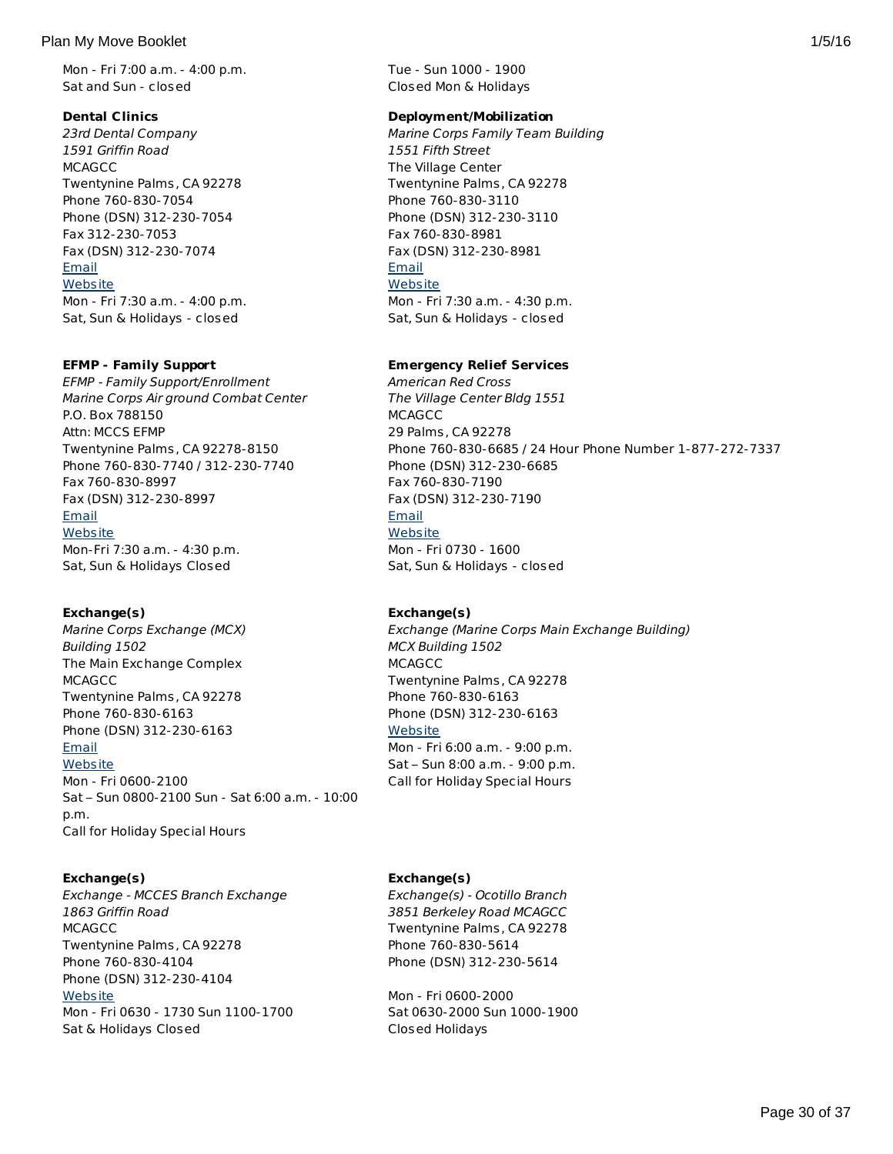## Plan My Move Booklet 2008 1/5/16 and 2008 1/5/16 and 2008 1/5/16 and 2008 1/5/16 and 2008 1/5/16 and 2008 1/5/16

Mon - Fri 7:00 a.m. - 4:00 p.m. Sat and Sun - closed

# **Dental Clinics**

23rd Dental Company 1591 Griffin Road **MCAGCC** Twentynine Palms, CA 92278 Phone 760-830-7054 Phone (DSN) 312-230-7054 Fax 312-230-7053 Fax (DSN) 312-230-7074 [Email](http://apps.militaryonesource.mil/MOS/f?p=AMS:5:0::::P5_APP_NAME,P5_MSG_TYPE,P5_EID:Plan My Move,23rd Dental Company,128446) **[Website](http://www.29palms.usmc.mil)** Mon - Fri 7:30 a.m. - 4:00 p.m. Sat, Sun & Holidays - closed

# **EFMP - Family Support**

EFMP - Family Support/Enrollment Marine Corps Air ground Combat Center P.O. Box 788150 Attn: MCCS EFMP Twentynine Palms, CA 92278-8150 Phone 760-830-7740 / 312-230-7740 Fax 760-830-8997 Fax (DSN) 312-230-8997 [Email](http://apps.militaryonesource.mil/MOS/f?p=AMS:5:0::::P5_APP_NAME,P5_MSG_TYPE,P5_EID:Plan My Move,EFMP - Family Support/Enrollment ,1000007465) [Website](http://www.mccs29palms.com/pages/mFamServices/EFMP/EFMP.html) Mon-Fri 7:30 a.m. - 4:30 p.m. Sat, Sun & Holidays Closed

# **Exchange(s)**

Marine Corps Exchange (MCX) Building 1502 The Main Exchange Complex **MCAGCC** Twentynine Palms, CA 92278 Phone 760-830-6163 Phone (DSN) 312-230-6163 [Email](http://apps.militaryonesource.mil/MOS/f?p=AMS:5:0::::P5_APP_NAME,P5_MSG_TYPE,P5_EID:Plan My Move,Marine Corps Exchange (MCX),128247) **[Website](http://www.mccs29palms.com)** Mon - Fri 0600-2100 Sat – Sun 0800-2100 Sun - Sat 6:00 a.m. - 10:00 p.m. Call for Holiday Special Hours

# **Exchange(s)**

Exchange - MCCES Branch Exchange 1863 Griffin Road **MCAGCC** Twentynine Palms, CA 92278 Phone 760-830-4104 Phone (DSN) 312-230-4104 **[Website](http://www.mccs29palms.com)** Mon - Fri 0630 - 1730 Sun 1100-1700 Sat & Holidays Closed

Tue - Sun 1000 - 1900 Closed Mon & Holidays

# **Deployment/Mobilization**

Marine Corps Family Team Building 1551 Fifth Street The Village Center Twentynine Palms, CA 92278 Phone 760-830-3110 Phone (DSN) 312-230-3110 Fax 760-830-8981 Fax (DSN) 312-230-8981 [Email](http://apps.militaryonesource.mil/MOS/f?p=AMS:5:0::::P5_APP_NAME,P5_MSG_TYPE,P5_EID:Plan My Move,Marine Corps Family Team Building,1000005957) **[Website](http://www.mccs29palms.com/)** Mon - Fri 7:30 a.m. - 4:30 p.m. Sat, Sun & Holidays - closed

# **Emergency Relief Services**

American Red Cross The Village Center Bldg 1551 **MCAGCC** 29 Palms, CA 92278 Phone 760-830-6685 / 24 Hour Phone Number 1-877-272-7337 Phone (DSN) 312-230-6685 Fax 760-830-7190 Fax (DSN) 312-230-7190 [Email](http://apps.militaryonesource.mil/MOS/f?p=AMS:5:0::::P5_APP_NAME,P5_MSG_TYPE,P5_EID:Plan My Move,American Red Cross,128361) **[Website](http://www.mccs29palms.com)** Mon - Fri 0730 - 1600 Sat, Sun & Holidays - closed

# **Exchange(s)**

Exchange (Marine Corps Main Exchange Building) MCX Building 1502 **MCAGCC** Twentynine Palms, CA 92278 Phone 760-830-6163 Phone (DSN) 312-230-6163 **[Website](http://www.mccs29palms.com/)** Mon - Fri 6:00 a.m. - 9:00 p.m. Sat – Sun 8:00 a.m. - 9:00 p.m. Call for Holiday Special Hours

# **Exchange(s)**

Exchange(s) - Ocotillo Branch 3851 Berkeley Road MCAGCC Twentynine Palms, CA 92278 Phone 760-830-5614 Phone (DSN) 312-230-5614

Mon - Fri 0600-2000 Sat 0630-2000 Sun 1000-1900 Closed Holidays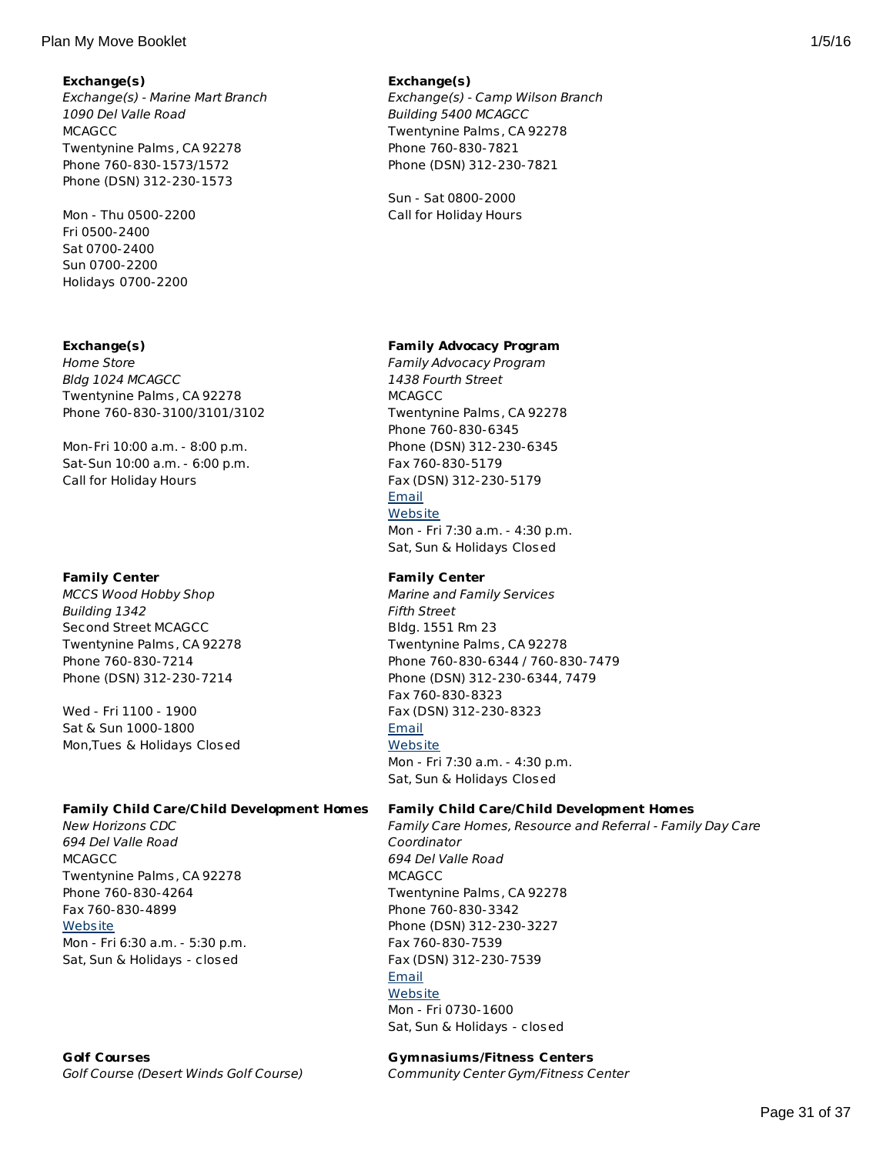## Plan My Move Booklet 2012 1/5/16

# **Exchange(s)**

Exchange(s) - Marine Mart Branch 1090 Del Valle Road **MCAGCC** Twentynine Palms, CA 92278 Phone 760-830-1573/1572 Phone (DSN) 312-230-1573

Mon - Thu 0500-2200 Fri 0500-2400 Sat 0700-2400 Sun 0700-2200 Holidays 0700-2200

# **Exchange(s)**

Home Store Bldg 1024 MCAGCC Twentynine Palms, CA 92278 Phone 760-830-3100/3101/3102

Mon-Fri 10:00 a.m. - 8:00 p.m. Sat-Sun 10:00 a.m. - 6:00 p.m. Call for Holiday Hours

# **Family Center**

MCCS Wood Hobby Shop Building 1342 Second Street MCAGCC Twentynine Palms, CA 92278 Phone 760-830-7214 Phone (DSN) 312-230-7214

Wed - Fri 1100 - 1900 Sat & Sun 1000-1800 Mon,Tues & Holidays Closed

## **Family Child Care/Child Development Homes**

New Horizons CDC 694 Del Valle Road **MCAGCC** Twentynine Palms, CA 92278 Phone 760-830-4264 Fax 760-830-4899 **[Website](http://www.mccs29palms.com)** Mon - Fri 6:30 a.m. - 5:30 p.m. Sat, Sun & Holidays - closed

## **Exchange(s)**

Exchange(s) - Camp Wilson Branch Building 5400 MCAGCC Twentynine Palms, CA 92278 Phone 760-830-7821 Phone (DSN) 312-230-7821

Sun - Sat 0800-2000 Call for Holiday Hours

## **Family Advocacy Program**

Family Advocacy Program 1438 Fourth Street **MCAGCC** Twentynine Palms, CA 92278 Phone 760-830-6345 Phone (DSN) 312-230-6345 Fax 760-830-5179 Fax (DSN) 312-230-5179 [Email](http://apps.militaryonesource.mil/MOS/f?p=AMS:5:0::::P5_APP_NAME,P5_MSG_TYPE,P5_EID:Plan My Move,Family Advocacy Program,197435) **[Website](http://www.mccs29palms.com)** Mon - Fri 7:30 a.m. - 4:30 p.m.

Sat, Sun & Holidays Closed

#### **Family Center**

Marine and Family Services Fifth Street Bldg. 1551 Rm 23 Twentynine Palms, CA 92278 Phone 760-830-6344 / 760-830-7479 Phone (DSN) 312-230-6344, 7479 Fax 760-830-8323 Fax (DSN) 312-230-8323 **[Email](http://apps.militaryonesource.mil/MOS/f?p=AMS:5:0::::P5_APP_NAME,P5_MSG_TYPE,P5_EID:Plan My Move,Marine and Family Services,128353) [Website](http://www.mccs29palms.com)** Mon - Fri 7:30 a.m. - 4:30 p.m. Sat, Sun & Holidays Closed

#### **Family Child Care/Child Development Homes**

Family Care Homes, Resource and Referral - Family Day Care Coordinator 694 Del Valle Road **MCAGCC** Twentynine Palms, CA 92278 Phone 760-830-3342 Phone (DSN) 312-230-3227 Fax 760-830-7539 Fax (DSN) 312-230-7539 [Email](http://apps.militaryonesource.mil/MOS/f?p=AMS:5:0::::P5_APP_NAME,P5_MSG_TYPE,P5_EID:Plan My Move,Family Care Homes  Resource and Referral - Family Day Care Coordinator,197436) **[Website](http://www.mccs29palms.com)** Mon - Fri 0730-1600 Sat, Sun & Holidays - closed

**Gymnasiums/Fitness Centers** Community Center Gym/Fitness Center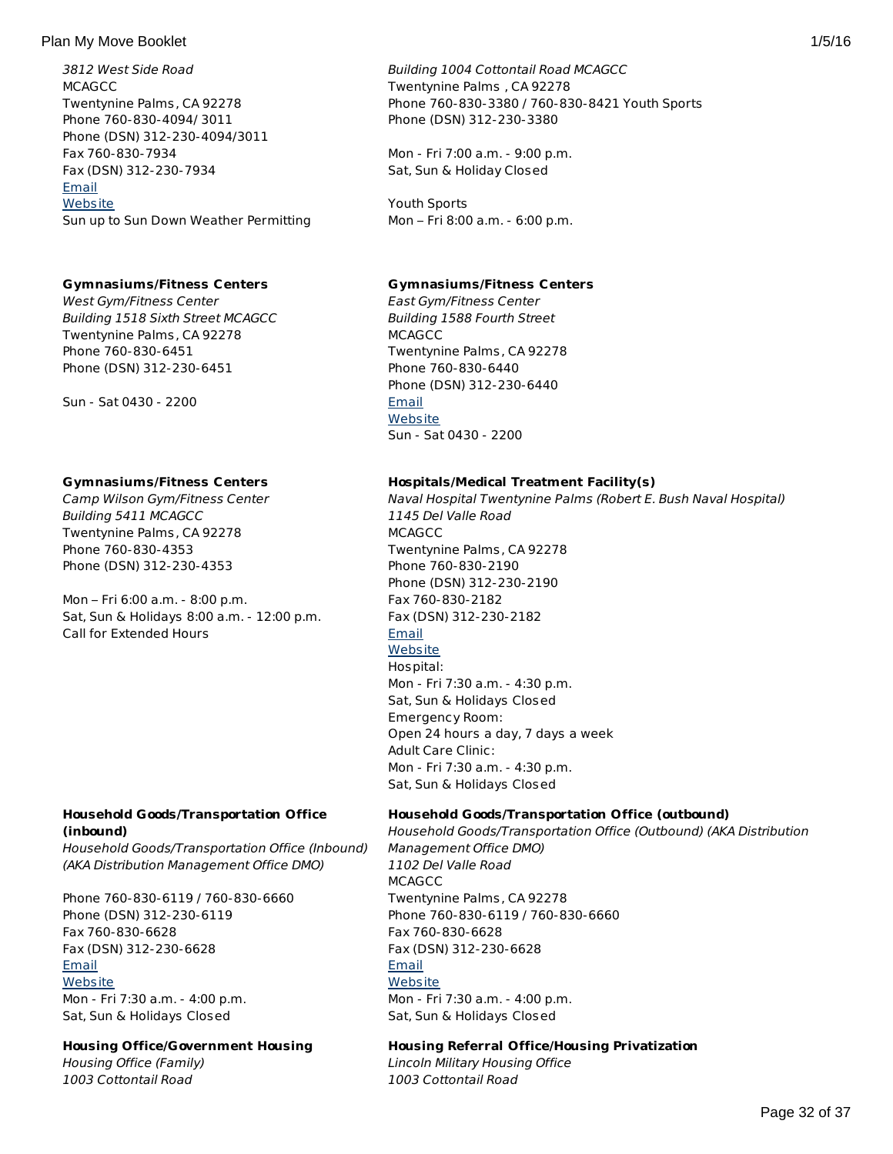## Plan My Move Booklet 2012 1/5/16

3812 West Side Road **MCAGCC** Twentynine Palms, CA 92278 Phone 760-830-4094/ 3011 Phone (DSN) 312-230-4094/3011 Fax 760-830-7934 Fax (DSN) 312-230-7934 [Email](http://apps.militaryonesource.mil/MOS/f?p=AMS:5:0::::P5_APP_NAME,P5_MSG_TYPE,P5_EID:Plan My Move,Golf Course (Desert Winds Golf Course),128405) **[Website](http://www.mccs29palms.com)** Sun up to Sun Down Weather Permitting

# **Gymnasiums/Fitness Centers**

West Gym/Fitness Center Building 1518 Sixth Street MCAGCC Twentynine Palms, CA 92278 Phone 760-830-6451 Phone (DSN) 312-230-6451

Sun - Sat 0430 - 2200

# **Gymnasiums/Fitness Centers**

Camp Wilson Gym/Fitness Center Building 5411 MCAGCC Twentynine Palms, CA 92278 Phone 760-830-4353 Phone (DSN) 312-230-4353

Mon – Fri 6:00 a.m. - 8:00 p.m. Sat, Sun & Holidays 8:00 a.m. - 12:00 p.m. Call for Extended Hours

# **Household Goods/Transportation Office (inbound)**

Household Goods/Transportation Office (Inbound) (AKA Distribution Management Office DMO)

Phone 760-830-6119 / 760-830-6660 Phone (DSN) 312-230-6119 Fax 760-830-6628 Fax (DSN) 312-230-6628 [Email](http://apps.militaryonesource.mil/MOS/f?p=AMS:5:0::::P5_APP_NAME,P5_MSG_TYPE,P5_EID:Plan My Move,Household Goods/Transportation Office (Inbound) (AKA Distribution Management Office DMO),203793) **[Website](http://www.29palms.usmc.mil)** Mon - Fri 7:30 a.m. - 4:00 p.m. Sat, Sun & Holidays Closed

# **Housing Office/Government Housing**

Housing Office (Family) 1003 Cottontail Road

# Building 1004 Cottontail Road MCAGCC Twentynine Palms , CA 92278 Phone 760-830-3380 / 760-830-8421 Youth Sports Phone (DSN) 312-230-3380

Mon - Fri 7:00 a.m. - 9:00 p.m. Sat, Sun & Holiday Closed

Youth Sports Mon – Fri 8:00 a.m. - 6:00 p.m.

# **Gymnasiums/Fitness Centers**

East Gym/Fitness Center Building 1588 Fourth Street **MCAGCC** Twentynine Palms, CA 92278 Phone 760-830-6440 Phone (DSN) 312-230-6440 **[Email](http://apps.militaryonesource.mil/MOS/f?p=AMS:5:0::::P5_APP_NAME,P5_MSG_TYPE,P5_EID:Plan My Move,East Gym/Fitness Center,128410) [Website](http://www.mccs29palms.com)** Sun - Sat 0430 - 2200

# **Hospitals/Medical Treatment Facility(s)**

Naval Hospital Twentynine Palms (Robert E. Bush Naval Hospital) 1145 Del Valle Road MCAGCC Twentynine Palms, CA 92278 Phone 760-830-2190 Phone (DSN) 312-230-2190 Fax 760-830-2182 Fax (DSN) 312-230-2182 [Email](http://apps.militaryonesource.mil/MOS/f?p=AMS:5:0::::P5_APP_NAME,P5_MSG_TYPE,P5_EID:Plan My Move,Naval Hospital Twentynine Palms (Robert E. Bush Naval Hospital),128346) **[Website](http://www.nhtp.med.navy.mil)** Hospital: Mon - Fri 7:30 a.m. - 4:30 p.m. Sat, Sun & Holidays Closed Emergency Room: Open 24 hours a day, 7 days a week Adult Care Clinic: Mon - Fri 7:30 a.m. - 4:30 p.m. Sat, Sun & Holidays Closed

# **Household Goods/Transportation Office (outbound)**

Household Goods/Transportation Office (Outbound) (AKA Distribution Management Office DMO) 1102 Del Valle Road **MCAGCC** Twentynine Palms, CA 92278 Phone 760-830-6119 / 760-830-6660 Fax 760-830-6628 Fax (DSN) 312-230-6628 [Email](http://apps.militaryonesource.mil/MOS/f?p=AMS:5:0::::P5_APP_NAME,P5_MSG_TYPE,P5_EID:Plan My Move,Household Goods/Transportation Office (Outbound) (AKA Distribution Management Office DMO),203794) **[Website](http://www.29palms.usmc.mil)** Mon - Fri 7:30 a.m. - 4:00 p.m. Sat, Sun & Holidays Closed

# **Housing Referral Office/Housing Privatization**

Lincoln Military Housing Office 1003 Cottontail Road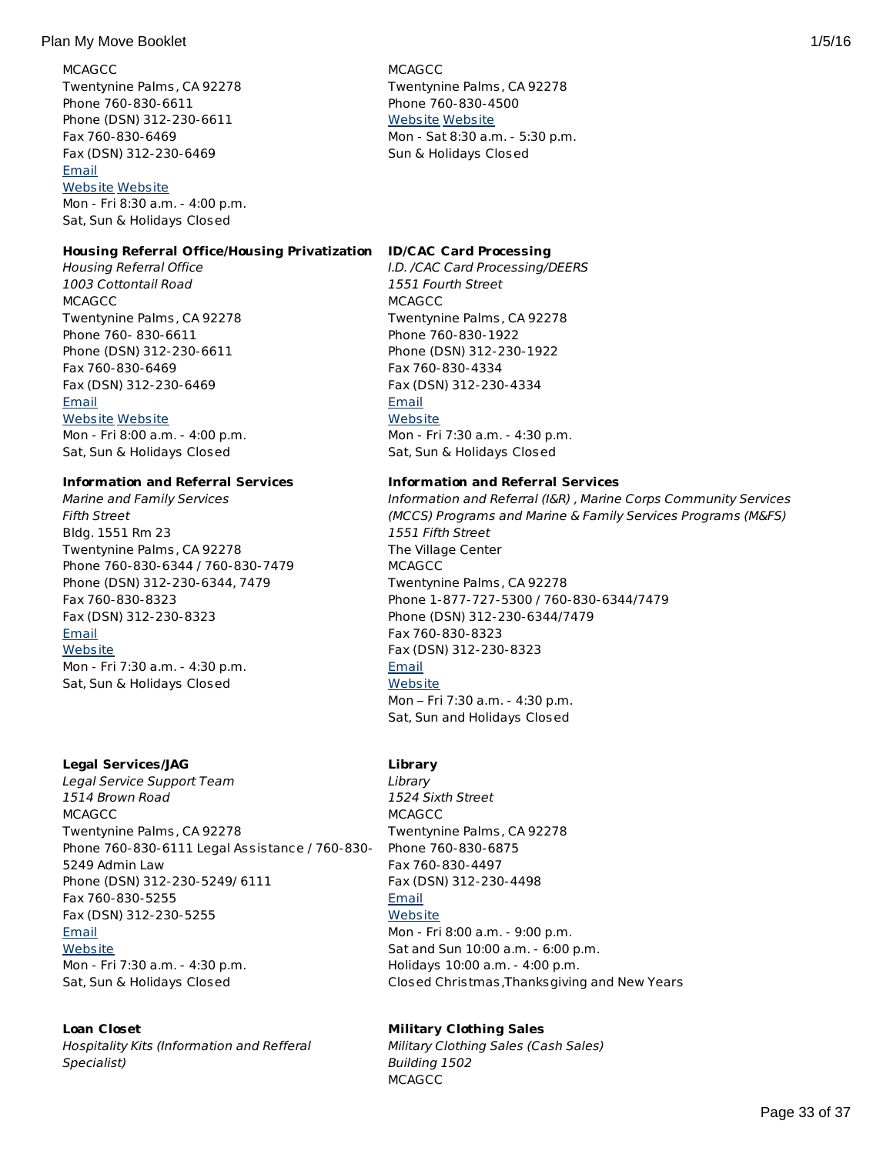## Plan My Move Booklet 2008 1/5/16 and 2008 1/5/16 and 2008 1/5/16 and 2008 1/5/16 and 2008 1/5/16 and 2008 1/5/16

**MCAGCC** Twentynine Palms, CA 92278 Phone 760-830-6611 Phone (DSN) 312-230-6611 Fax 760-830-6469 Fax (DSN) 312-230-6469 [Email](http://apps.militaryonesource.mil/MOS/f?p=AMS:5:0::::P5_APP_NAME,P5_MSG_TYPE,P5_EID:Plan My Move,Housing Office (Family),128313) [Website](http://www.29palms.usmc.mil) [Website](http://www.housing.navy.mil/onestop/housingoffices.aspx?bid=725&tab=mil) Mon - Fri 8:30 a.m. - 4:00 p.m.

Sat, Sun & Holidays Closed

# **Housing Referral Office/Housing Privatization**

Housing Referral Office 1003 Cottontail Road **MCAGCC** Twentynine Palms, CA 92278 Phone 760- 830-6611 Phone (DSN) 312-230-6611 Fax 760-830-6469 Fax (DSN) 312-230-6469 [Email](http://apps.militaryonesource.mil/MOS/f?p=AMS:5:0::::P5_APP_NAME,P5_MSG_TYPE,P5_EID:Plan My Move,Housing Referral Office,128110) [Website](http://www.29palms.usmc.mil) [Website](http://www.housing.navy.mil/onestop/housingoffices.aspx?bid=725&tab=mil) Mon - Fri 8:00 a.m. - 4:00 p.m.

Sat, Sun & Holidays Closed

#### **Information and Referral Services**

Marine and Family Services Fifth Street Bldg. 1551 Rm 23 Twentynine Palms, CA 92278 Phone 760-830-6344 / 760-830-7479 Phone (DSN) 312-230-6344, 7479 Fax 760-830-8323 Fax (DSN) 312-230-8323 [Email](http://apps.militaryonesource.mil/MOS/f?p=AMS:5:0::::P5_APP_NAME,P5_MSG_TYPE,P5_EID:Plan My Move,Marine and Family Services,128353) **[Website](http://www.mccs29palms.com)** Mon - Fri 7:30 a.m. - 4:30 p.m. Sat, Sun & Holidays Closed

#### **Legal Services/JAG**

Legal Service Support Team 1514 Brown Road **MCAGCC** Twentynine Palms, CA 92278 Phone 760-830-6111 Legal Assistance / 760-830- 5249 Admin Law Phone (DSN) 312-230-5249/ 6111 Fax 760-830-5255 Fax (DSN) 312-230-5255 [Email](http://apps.militaryonesource.mil/MOS/f?p=AMS:5:0::::P5_APP_NAME,P5_MSG_TYPE,P5_EID:Plan My Move,Legal Service Support Team,128422) **[Website](http://www.29palms.usmc.mil)** Mon - Fri 7:30 a.m. - 4:30 p.m. Sat, Sun & Holidays Closed

# **Loan Closet**

Hospitality Kits (Information and Refferal Specialist)

**MCAGCC** Twentynine Palms, CA 92278 Phone 760-830-4500 [Website](http://www.lpcmil.com) [Website](http://www.housing.navy.mil/onestop/housingoffices.aspx?bid=725&tab=mil) Mon - Sat 8:30 a.m. - 5:30 p.m. Sun & Holidays Closed

## **ID/CAC Card Processing**

I.D. /CAC Card Processing/DEERS 1551 Fourth Street **MCAGCC** Twentynine Palms, CA 92278 Phone 760-830-1922 Phone (DSN) 312-230-1922 Fax 760-830-4334 Fax (DSN) 312-230-4334 **[Email](http://apps.militaryonesource.mil/MOS/f?p=AMS:5:0::::P5_APP_NAME,P5_MSG_TYPE,P5_EID:Plan My Move,I.D. /CAC Card Processing/DEERS,128086) [Website](http://www.29palms.usmc.mil)** Mon - Fri 7:30 a.m. - 4:30 p.m. Sat, Sun & Holidays Closed

#### **Information and Referral Services**

Information and Referral (I&R) , Marine Corps Community Services (MCCS) Programs and Marine & Family Services Programs (M&FS) 1551 Fifth Street The Village Center **MCAGCC** Twentynine Palms, CA 92278 Phone 1-877-727-5300 / 760-830-6344/7479 Phone (DSN) 312-230-6344/7479 Fax 760-830-8323 Fax (DSN) 312-230-8323 [Email](http://apps.militaryonesource.mil/MOS/f?p=AMS:5:0::::P5_APP_NAME,P5_MSG_TYPE,P5_EID:Plan My Move,Information and Referral (I R)   Marine Corps Community Services (MCCS) Programs and Marine   Family Services Programs (M FS),197437) **[Website](http://www.mccs29palms.com)** Mon – Fri 7:30 a.m. - 4:30 p.m. Sat, Sun and Holidays Closed

#### **Library**

**Library** 1524 Sixth Street **MCAGCC** Twentynine Palms, CA 92278 Phone 760-830-6875 Fax 760-830-4497 Fax (DSN) 312-230-4498 [Email](http://apps.militaryonesource.mil/MOS/f?p=AMS:5:0::::P5_APP_NAME,P5_MSG_TYPE,P5_EID:Plan My Move,Library,128406) **[Website](http://www.mccs29palms.com)** Mon - Fri 8:00 a.m. - 9:00 p.m. Sat and Sun 10:00 a.m. - 6:00 p.m. Holidays 10:00 a.m. - 4:00 p.m. Closed Christmas,Thanksgiving and New Years

# **Military Clothing Sales**

Military Clothing Sales (Cash Sales) Building 1502 **MCAGCC**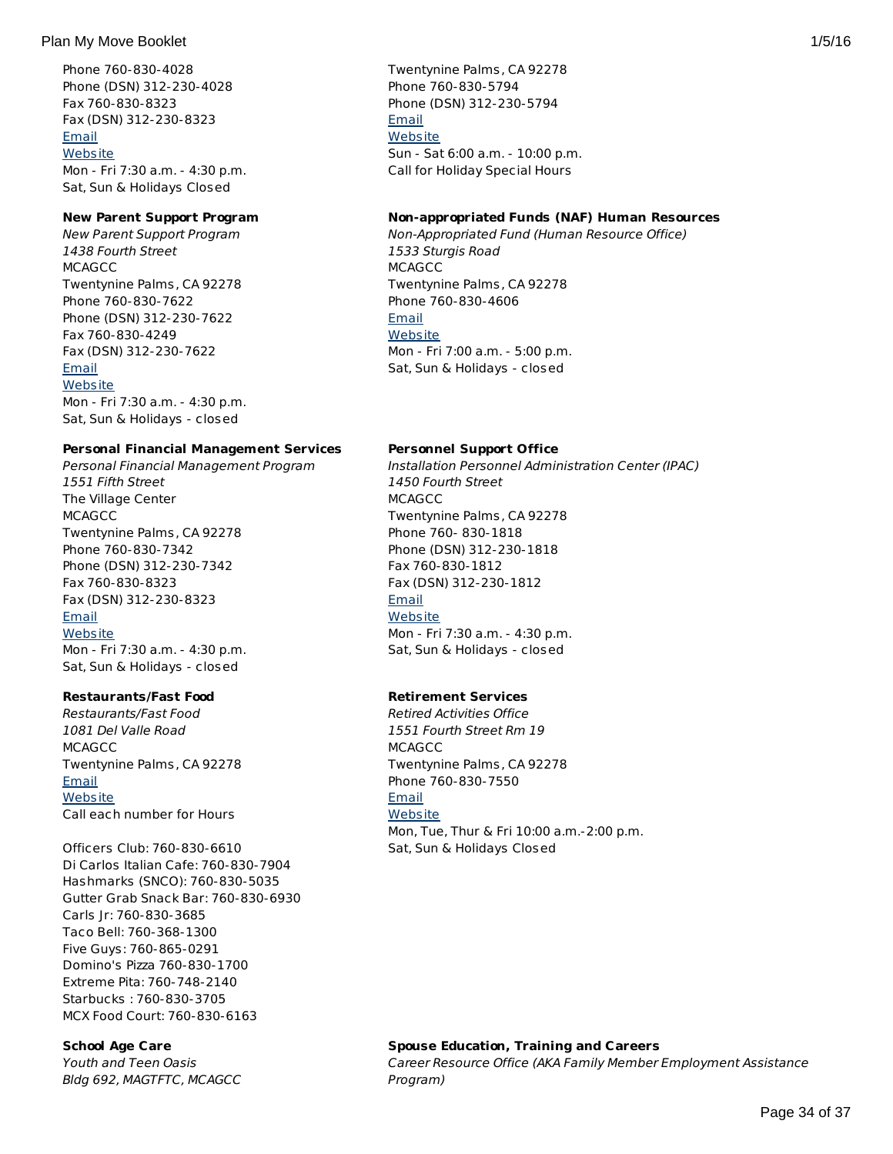## Plan My Move Booklet 2008 1/5/16 and 2008 1/5/16 and 2008 1/5/16 and 2008 1/5/16 and 2008 1/5/16 and 2008 1/5/16

Phone 760-830-4028 Phone (DSN) 312-230-4028 Fax 760-830-8323 Fax (DSN) 312-230-8323 **[Email](http://apps.militaryonesource.mil/MOS/f?p=AMS:5:0::::P5_APP_NAME,P5_MSG_TYPE,P5_EID:Plan My Move,Hospitality Kits (Information and Refferal Specialist),197380) [Website](http://www.mccs29palms.com)** Mon - Fri 7:30 a.m. - 4:30 p.m. Sat, Sun & Holidays Closed

# **New Parent Support Program**

New Parent Support Program 1438 Fourth Street **MCAGCC** Twentynine Palms, CA 92278 Phone 760-830-7622 Phone (DSN) 312-230-7622 Fax 760-830-4249 Fax (DSN) 312-230-7622 [Email](http://apps.militaryonesource.mil/MOS/f?p=AMS:5:0::::P5_APP_NAME,P5_MSG_TYPE,P5_EID:Plan My Move,New Parent Support Program,128426) **[Website](http://www.mccs29palms.com)** Mon - Fri 7:30 a.m. - 4:30 p.m.

Sat, Sun & Holidays - closed

**Personal Financial Management Services** Personal Financial Management Program 1551 Fifth Street The Village Center **MCAGCC** Twentynine Palms, CA 92278 Phone 760-830-7342 Phone (DSN) 312-230-7342 Fax 760-830-8323 Fax (DSN) 312-230-8323 **[Email](http://apps.militaryonesource.mil/MOS/f?p=AMS:5:0::::P5_APP_NAME,P5_MSG_TYPE,P5_EID:Plan My Move,Personal Financial Management Program,128383) [Website](http://www.mccs29palms.com)** Mon - Fri 7:30 a.m. - 4:30 p.m.

Sat, Sun & Holidays - closed

# **Restaurants/Fast Food**

Restaurants/Fast Food 1081 Del Valle Road **MCAGCC** Twentynine Palms, CA 92278 [Email](http://apps.militaryonesource.mil/MOS/f?p=AMS:5:0::::P5_APP_NAME,P5_MSG_TYPE,P5_EID:Plan My Move,Restaurants/Fast Food,197216) **[Website](http://www.mccs29palms.com)** Call each number for Hours

Officers Club: 760-830-6610 Di Carlos Italian Cafe: 760-830-7904 Hashmarks (SNCO): 760-830-5035 Gutter Grab Snack Bar: 760-830-6930 Carls Jr: 760-830-3685 Taco Bell: 760-368-1300 Five Guys: 760-865-0291 Domino's Pizza 760-830-1700 Extreme Pita: 760-748-2140 Starbucks : 760-830-3705 MCX Food Court: 760-830-6163

# **School Age Care**

Youth and Teen Oasis Bldg 692, MAGTFTC, MCAGCC Twentynine Palms, CA 92278 Phone 760-830-5794 Phone (DSN) 312-230-5794 [Email](http://apps.militaryonesource.mil/MOS/f?p=AMS:5:0::::P5_APP_NAME,P5_MSG_TYPE,P5_EID:Plan My Move,Military Clothing Sales (Cash Sales),197212) **[Website](http://www.mccs29palms.com)** Sun - Sat 6:00 a.m. - 10:00 p.m. Call for Holiday Special Hours

## **Non-appropriated Funds (NAF) Human Resources**

Non-Appropriated Fund (Human Resource Office) 1533 Sturgis Road **MCAGCC** Twentynine Palms, CA 92278 Phone 760-830-4606 [Email](http://apps.militaryonesource.mil/MOS/f?p=AMS:5:0::::P5_APP_NAME,P5_MSG_TYPE,P5_EID:Plan My Move,Non-Appropriated Fund (Human Resource Office),197433) **[Website](http://www.mccs29palms.com)** Mon - Fri 7:00 a.m. - 5:00 p.m. Sat, Sun & Holidays - closed

# **Personnel Support Office**

Installation Personnel Administration Center (IPAC) 1450 Fourth Street MCAGCC Twentynine Palms, CA 92278 Phone 760- 830-1818 Phone (DSN) 312-230-1818 Fax 760-830-1812 Fax (DSN) 312-230-1812 [Email](http://apps.militaryonesource.mil/MOS/f?p=AMS:5:0::::P5_APP_NAME,P5_MSG_TYPE,P5_EID:Plan My Move,Installation Personnel Administration Center (IPAC),128111) **[Website](http://www.29palms.usmc.mil)** Mon - Fri 7:30 a.m. - 4:30 p.m. Sat, Sun & Holidays - closed

# **Retirement Services**

Retired Activities Office 1551 Fourth Street Rm 19 **MCAGCC** Twentynine Palms, CA 92278 Phone 760-830-7550 [Email](http://apps.militaryonesource.mil/MOS/f?p=AMS:5:0::::P5_APP_NAME,P5_MSG_TYPE,P5_EID:Plan My Move,Retired Activities Office,128358) **[Website](http://www.mccs29palms.com)** Mon, Tue, Thur & Fri 10:00 a.m.-2:00 p.m. Sat, Sun & Holidays Closed

**Spouse Education, Training and Careers** Career Resource Office (AKA Family Member Employment Assistance Program)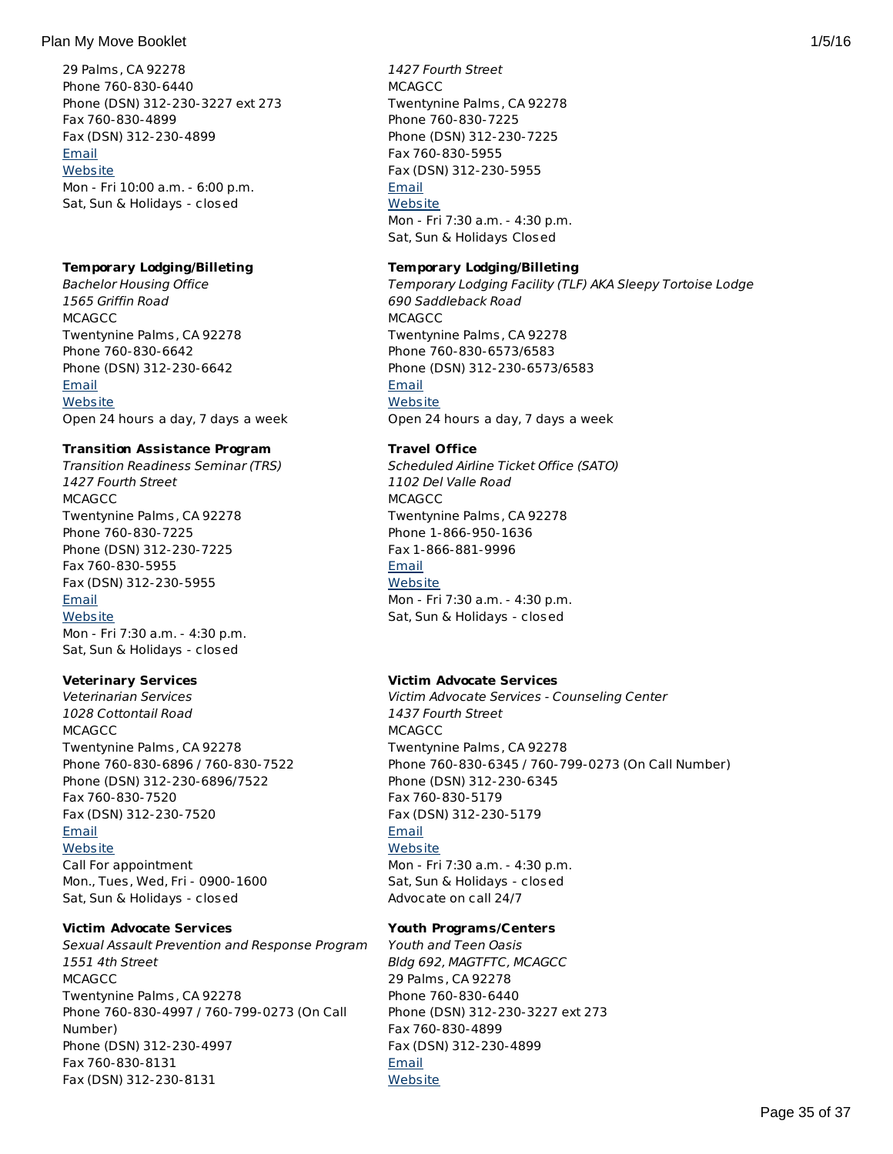## Plan My Move Booklet 2012 1/5/16

29 Palms, CA 92278 Phone 760-830-6440 Phone (DSN) 312-230-3227 ext 273 Fax 760-830-4899 Fax (DSN) 312-230-4899 [Email](http://apps.militaryonesource.mil/MOS/f?p=AMS:5:0::::P5_APP_NAME,P5_MSG_TYPE,P5_EID:Plan My Move,Youth and Teen Oasis,128423) **[Website](http://www.mccs29palms.com)** Mon - Fri 10:00 a.m. - 6:00 p.m. Sat, Sun & Holidays - closed

# **Temporary Lodging/Billeting**

Bachelor Housing Office 1565 Griffin Road **MCAGCC** Twentynine Palms, CA 92278 Phone 760-830-6642 Phone (DSN) 312-230-6642 **[Email](http://apps.militaryonesource.mil/MOS/f?p=AMS:5:0::::P5_APP_NAME,P5_MSG_TYPE,P5_EID:Plan My Move,Bachelor Housing Office,128314) [Website](http://www.29palms.usmc.mil)** Open 24 hours a day, 7 days a week

# **Transition Assistance Program**

Transition Readiness Seminar (TRS) 1427 Fourth Street **MCAGCC** Twentynine Palms, CA 92278 Phone 760-830-7225 Phone (DSN) 312-230-7225 Fax 760-830-5955 Fax (DSN) 312-230-5955 [Email](http://apps.militaryonesource.mil/MOS/f?p=AMS:5:0::::P5_APP_NAME,P5_MSG_TYPE,P5_EID:Plan My Move,Transition Readiness Seminar (TRS),128360) **[Website](http://www.mccs29palms.com)** Mon - Fri 7:30 a.m. - 4:30 p.m. Sat, Sun & Holidays - closed

# **Veterinary Services**

Veterinarian Services 1028 Cottontail Road **MCAGCC** Twentynine Palms, CA 92278 Phone 760-830-6896 / 760-830-7522 Phone (DSN) 312-230-6896/7522 Fax 760-830-7520 Fax (DSN) 312-230-7520 [Email](http://apps.militaryonesource.mil/MOS/f?p=AMS:5:0::::P5_APP_NAME,P5_MSG_TYPE,P5_EID:Plan My Move,Veterinarian Services,128134) **[Website](http://www.29palms.usmc.mil)** Call For appointment Mon., Tues, Wed, Fri - 0900-1600 Sat, Sun & Holidays - closed

# **Victim Advocate Services**

Sexual Assault Prevention and Response Program 1551 4th Street **MCAGCC** Twentynine Palms, CA 92278 Phone 760-830-4997 / 760-799-0273 (On Call Number) Phone (DSN) 312-230-4997 Fax 760-830-8131 Fax (DSN) 312-230-8131

1427 Fourth Street **MCAGCC** Twentynine Palms, CA 92278 Phone 760-830-7225 Phone (DSN) 312-230-7225 Fax 760-830-5955 Fax (DSN) 312-230-5955 [Email](http://apps.militaryonesource.mil/MOS/f?p=AMS:5:0::::P5_APP_NAME,P5_MSG_TYPE,P5_EID:Plan My Move,Career Resource Office (AKA Family Member Employment Assistance Program),1000010292) **[Website](http://www.mccs29palms.com)** Mon - Fri 7:30 a.m. - 4:30 p.m. Sat, Sun & Holidays Closed

# **Temporary Lodging/Billeting**

Temporary Lodging Facility (TLF) AKA Sleepy Tortoise Lodge 690 Saddleback Road **MCAGCC** Twentynine Palms, CA 92278 Phone 760-830-6573/6583 Phone (DSN) 312-230-6573/6583 [Email](http://apps.militaryonesource.mil/MOS/f?p=AMS:5:0::::P5_APP_NAME,P5_MSG_TYPE,P5_EID:Plan My Move,Temporary Lodging Facility (TLF) AKA Sleepy Tortoise Lodge,128349) **[Website](http://www.mccs29palms.com)** Open 24 hours a day, 7 days a week

# **Travel Office**

Scheduled Airline Ticket Office (SATO) 1102 Del Valle Road MCAGCC Twentynine Palms, CA 92278 Phone 1-866-950-1636 Fax 1-866-881-9996 [Email](http://apps.militaryonesource.mil/MOS/f?p=AMS:5:0::::P5_APP_NAME,P5_MSG_TYPE,P5_EID:Plan My Move,Scheduled Airline Ticket Office (SATO),128127) **[Website](http://www.29palms.usmc.mil)** Mon - Fri 7:30 a.m. - 4:30 p.m. Sat, Sun & Holidays - closed

# **Victim Advocate Services**

Victim Advocate Services - Counseling Center 1437 Fourth Street MCAGCC Twentynine Palms, CA 92278 Phone 760-830-6345 / 760-799-0273 (On Call Number) Phone (DSN) 312-230-6345 Fax 760-830-5179 Fax (DSN) 312-230-5179 [Email](http://apps.militaryonesource.mil/MOS/f?p=AMS:5:0::::P5_APP_NAME,P5_MSG_TYPE,P5_EID:Plan My Move,Victim Advocate Services - Counseling Center,128385) **[Website](http://www.mccs29palms.com/pages/mFamServices/counseling.html#vaa)** Mon - Fri 7:30 a.m. - 4:30 p.m. Sat, Sun & Holidays - closed Advocate on call 24/7

# **Youth Programs/Centers**

Youth and Teen Oasis Bldg 692, MAGTFTC, MCAGCC 29 Palms, CA 92278 Phone 760-830-6440 Phone (DSN) 312-230-3227 ext 273 Fax 760-830-4899 Fax (DSN) 312-230-4899 [Email](http://apps.militaryonesource.mil/MOS/f?p=AMS:5:0::::P5_APP_NAME,P5_MSG_TYPE,P5_EID:Plan My Move,Youth and Teen Oasis,128423) **[Website](http://www.mccs29palms.com)**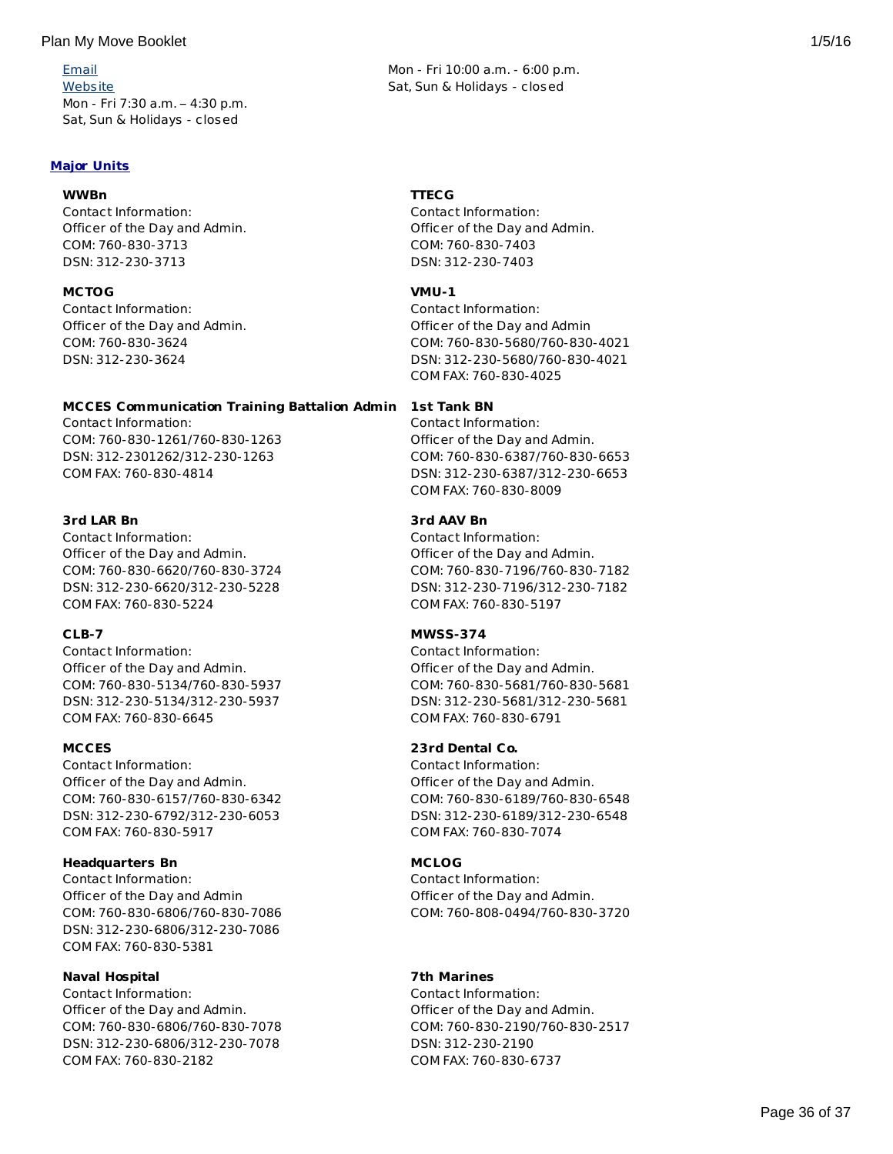[Email](http://apps.militaryonesource.mil/MOS/f?p=AMS:5:0::::P5_APP_NAME,P5_MSG_TYPE,P5_EID:Plan My Move,Sexual Assault Prevention and Response Program,1000008597) **[Website](http://www.marines.mil/unit/29palms/g1/pages/sapr/sapr.html)** Mon - Fri 7:30 a.m. – 4:30 p.m. Sat, Sun & Holidays - closed

# **Major Units**

## **WWBn**

Contact Information: Officer of the Day and Admin. COM: 760-830-3713 DSN: 312-230-3713

## **MCTOG**

Contact Information: Officer of the Day and Admin. COM: 760-830-3624 DSN: 312-230-3624

#### **MCCES Communication Training Battalion Admin 1st Tank BN**

Contact Information: COM: 760-830-1261/760-830-1263 DSN: 312-2301262/312-230-1263 COM FAX: 760-830-4814

# **3rd LAR Bn**

Contact Information: Officer of the Day and Admin. COM: 760-830-6620/760-830-3724 DSN: 312-230-6620/312-230-5228 COM FAX: 760-830-5224

# **CLB-7**

Contact Information: Officer of the Day and Admin. COM: 760-830-5134/760-830-5937 DSN: 312-230-5134/312-230-5937 COM FAX: 760-830-6645

#### **MCCES**

Contact Information: Officer of the Day and Admin. COM: 760-830-6157/760-830-6342 DSN: 312-230-6792/312-230-6053 COM FAX: 760-830-5917

# **Headquarters Bn**

Contact Information: Officer of the Day and Admin COM: 760-830-6806/760-830-7086 DSN: 312-230-6806/312-230-7086 COM FAX: 760-830-5381

# **Naval Hospital**

Contact Information: Officer of the Day and Admin. COM: 760-830-6806/760-830-7078 DSN: 312-230-6806/312-230-7078 COM FAX: 760-830-2182

Mon - Fri 10:00 a.m. - 6:00 p.m. Sat, Sun & Holidays - closed

#### **TTECG**

Contact Information: Officer of the Day and Admin. COM: 760-830-7403 DSN: 312-230-7403

#### **VMU-1**

Contact Information: Officer of the Day and Admin COM: 760-830-5680/760-830-4021 DSN: 312-230-5680/760-830-4021 COM FAX: 760-830-4025

Contact Information: Officer of the Day and Admin. COM: 760-830-6387/760-830-6653 DSN: 312-230-6387/312-230-6653 COM FAX: 760-830-8009

# **3rd AAV Bn**

Contact Information: Officer of the Day and Admin. COM: 760-830-7196/760-830-7182 DSN: 312-230-7196/312-230-7182 COM FAX: 760-830-5197

## **MWSS-374**

Contact Information: Officer of the Day and Admin. COM: 760-830-5681/760-830-5681 DSN: 312-230-5681/312-230-5681 COM FAX: 760-830-6791

# **23rd Dental Co.**

Contact Information: Officer of the Day and Admin. COM: 760-830-6189/760-830-6548 DSN: 312-230-6189/312-230-6548 COM FAX: 760-830-7074

# **MCLOG**

Contact Information: Officer of the Day and Admin. COM: 760-808-0494/760-830-3720

# **7th Marines**

Contact Information: Officer of the Day and Admin. COM: 760-830-2190/760-830-2517 DSN: 312-230-2190 COM FAX: 760-830-6737